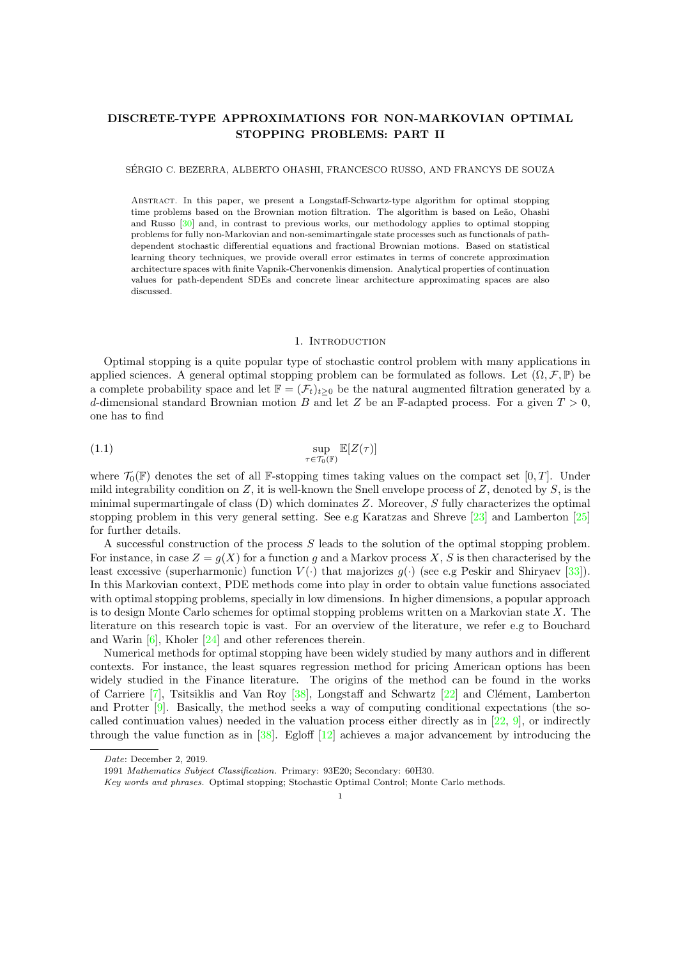# DISCRETE-TYPE APPROXIMATIONS FOR NON-MARKOVIAN OPTIMAL STOPPING PROBLEMS: PART II

SERGIO C. BEZERRA, ALBERTO OHASHI, FRANCESCO RUSSO, AND FRANCYS DE SOUZA ´

Abstract. In this paper, we present a Longstaff-Schwartz-type algorithm for optimal stopping time problems based on the Brownian motion filtration. The algorithm is based on Leão, Ohashi and Russo [\[30\]](#page-29-0) and, in contrast to previous works, our methodology applies to optimal stopping problems for fully non-Markovian and non-semimartingale state processes such as functionals of pathdependent stochastic differential equations and fractional Brownian motions. Based on statistical learning theory techniques, we provide overall error estimates in terms of concrete approximation architecture spaces with finite Vapnik-Chervonenkis dimension. Analytical properties of continuation values for path-dependent SDEs and concrete linear architecture approximating spaces are also discussed.

#### <span id="page-0-0"></span>1. INTRODUCTION

Optimal stopping is a quite popular type of stochastic control problem with many applications in applied sciences. A general optimal stopping problem can be formulated as follows. Let  $(\Omega, \mathcal{F}, \mathbb{P})$  be a complete probability space and let  $\mathbb{F} = (\mathcal{F}_t)_{t>0}$  be the natural augmented filtration generated by a d-dimensional standard Brownian motion B and let Z be an F-adapted process. For a given  $T > 0$ , one has to find

(1.1) 
$$
\sup_{\tau \in \mathcal{T}_0(\mathbb{F})} \mathbb{E}[Z(\tau)]
$$

where  $\mathcal{T}_0(\mathbb{F})$  denotes the set of all F-stopping times taking values on the compact set [0, T]. Under mild integrability condition on  $Z$ , it is well-known the Snell envelope process of  $Z$ , denoted by  $S$ , is the minimal supermartingale of class  $(D)$  which dominates Z. Moreover, S fully characterizes the optimal stopping problem in this very general setting. See e.g Karatzas and Shreve [\[23\]](#page-29-1) and Lamberton [\[25\]](#page-29-2) for further details.

A successful construction of the process S leads to the solution of the optimal stopping problem. For instance, in case  $Z = g(X)$  for a function g and a Markov process X, S is then characterised by the least excessive (superharmonic) function  $V(\cdot)$  that majorizes  $q(\cdot)$  (see e.g Peskir and Shiryaev [\[33\]](#page-29-3)). In this Markovian context, PDE methods come into play in order to obtain value functions associated with optimal stopping problems, specially in low dimensions. In higher dimensions, a popular approach is to design Monte Carlo schemes for optimal stopping problems written on a Markovian state X. The literature on this research topic is vast. For an overview of the literature, we refer e.g to Bouchard and Warin  $[6]$ , Kholer  $[24]$  and other references therein.

Numerical methods for optimal stopping have been widely studied by many authors and in different contexts. For instance, the least squares regression method for pricing American options has been widely studied in the Finance literature. The origins of the method can be found in the works of Carriere [\[7\]](#page-29-5), Tsitsiklis and Van Roy [\[38\]](#page-29-6), Longstaff and Schwartz [\[22\]](#page-29-7) and Clément, Lamberton and Protter [\[9\]](#page-29-8). Basically, the method seeks a way of computing conditional expectations (the socalled continuation values) needed in the valuation process either directly as in  $[22, 9]$  $[22, 9]$  $[22, 9]$ , or indirectly through the value function as in  $[38]$ . Egloff  $[12]$  achieves a major advancement by introducing the

Date: December 2, 2019.

<sup>1991</sup> Mathematics Subject Classification. Primary: 93E20; Secondary: 60H30.

Key words and phrases. Optimal stopping; Stochastic Optimal Control; Monte Carlo methods.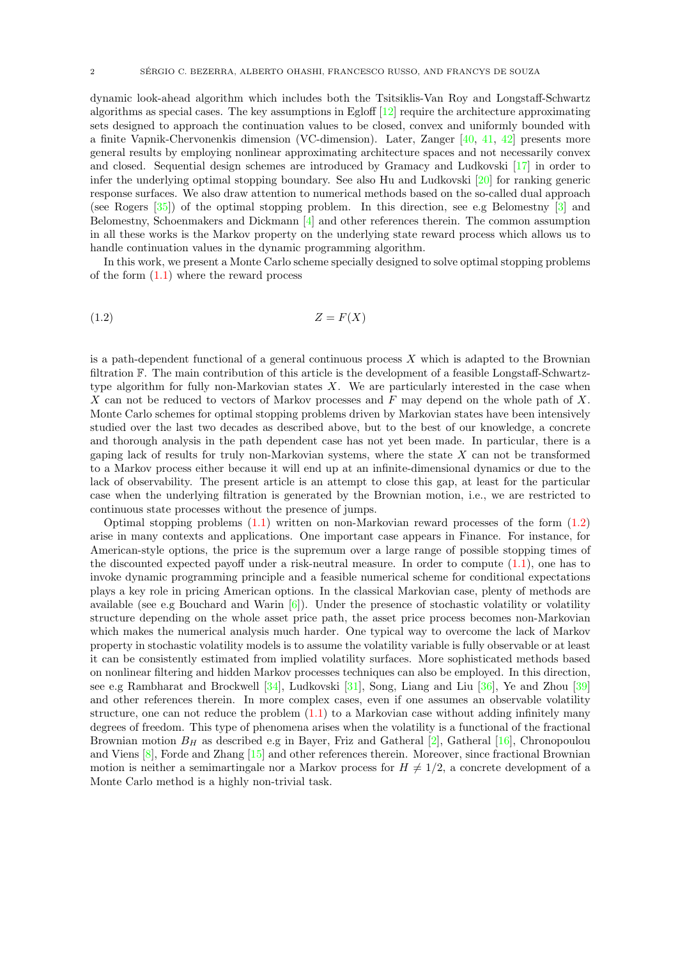dynamic look-ahead algorithm which includes both the Tsitsiklis-Van Roy and Longstaff-Schwartz algorithms as special cases. The key assumptions in Egloff [\[12\]](#page-29-9) require the architecture approximating sets designed to approach the continuation values to be closed, convex and uniformly bounded with a finite Vapnik-Chervonenkis dimension (VC-dimension). Later, Zanger [\[40,](#page-29-10) [41,](#page-29-11) [42\]](#page-30-0) presents more general results by employing nonlinear approximating architecture spaces and not necessarily convex and closed. Sequential design schemes are introduced by Gramacy and Ludkovski [\[17\]](#page-29-12) in order to infer the underlying optimal stopping boundary. See also Hu and Ludkovski [\[20\]](#page-29-13) for ranking generic response surfaces. We also draw attention to numerical methods based on the so-called dual approach (see Rogers [\[35\]](#page-29-14)) of the optimal stopping problem. In this direction, see e.g Belomestny [\[3\]](#page-28-1) and Belomestny, Schoenmakers and Dickmann [\[4\]](#page-28-2) and other references therein. The common assumption in all these works is the Markov property on the underlying state reward process which allows us to handle continuation values in the dynamic programming algorithm.

In this work, we present a Monte Carlo scheme specially designed to solve optimal stopping problems of the form  $(1.1)$  where the reward process

<span id="page-1-0"></span>
$$
(1.2)\t\t Z = F(X)
$$

is a path-dependent functional of a general continuous process  $X$  which is adapted to the Brownian filtration F. The main contribution of this article is the development of a feasible Longstaff-Schwartztype algorithm for fully non-Markovian states  $X$ . We are particularly interested in the case when X can not be reduced to vectors of Markov processes and  $F$  may depend on the whole path of X. Monte Carlo schemes for optimal stopping problems driven by Markovian states have been intensively studied over the last two decades as described above, but to the best of our knowledge, a concrete and thorough analysis in the path dependent case has not yet been made. In particular, there is a gaping lack of results for truly non-Markovian systems, where the state  $X$  can not be transformed to a Markov process either because it will end up at an infinite-dimensional dynamics or due to the lack of observability. The present article is an attempt to close this gap, at least for the particular case when the underlying filtration is generated by the Brownian motion, i.e., we are restricted to continuous state processes without the presence of jumps.

Optimal stopping problems [\(1.1\)](#page-0-0) written on non-Markovian reward processes of the form [\(1.2\)](#page-1-0) arise in many contexts and applications. One important case appears in Finance. For instance, for American-style options, the price is the supremum over a large range of possible stopping times of the discounted expected payoff under a risk-neutral measure. In order to compute [\(1.1\)](#page-0-0), one has to invoke dynamic programming principle and a feasible numerical scheme for conditional expectations plays a key role in pricing American options. In the classical Markovian case, plenty of methods are available (see e.g Bouchard and Warin [\[6\]](#page-28-0)). Under the presence of stochastic volatility or volatility structure depending on the whole asset price path, the asset price process becomes non-Markovian which makes the numerical analysis much harder. One typical way to overcome the lack of Markov property in stochastic volatility models is to assume the volatility variable is fully observable or at least it can be consistently estimated from implied volatility surfaces. More sophisticated methods based on nonlinear filtering and hidden Markov processes techniques can also be employed. In this direction, see e.g Rambharat and Brockwell [\[34\]](#page-29-15), Ludkovski [\[31\]](#page-29-16), Song, Liang and Liu [\[36\]](#page-29-17), Ye and Zhou [\[39\]](#page-29-18) and other references therein. In more complex cases, even if one assumes an observable volatility structure, one can not reduce the problem  $(1.1)$  to a Markovian case without adding infinitely many degrees of freedom. This type of phenomena arises when the volatility is a functional of the fractional Brownian motion  $B_H$  as described e.g in Bayer, Friz and Gatheral [\[2\]](#page-28-3), Gatheral [\[16\]](#page-29-19), Chronopoulou and Viens [\[8\]](#page-29-20), Forde and Zhang [\[15\]](#page-29-21) and other references therein. Moreover, since fractional Brownian motion is neither a semimartingale nor a Markov process for  $H \neq 1/2$ , a concrete development of a Monte Carlo method is a highly non-trivial task.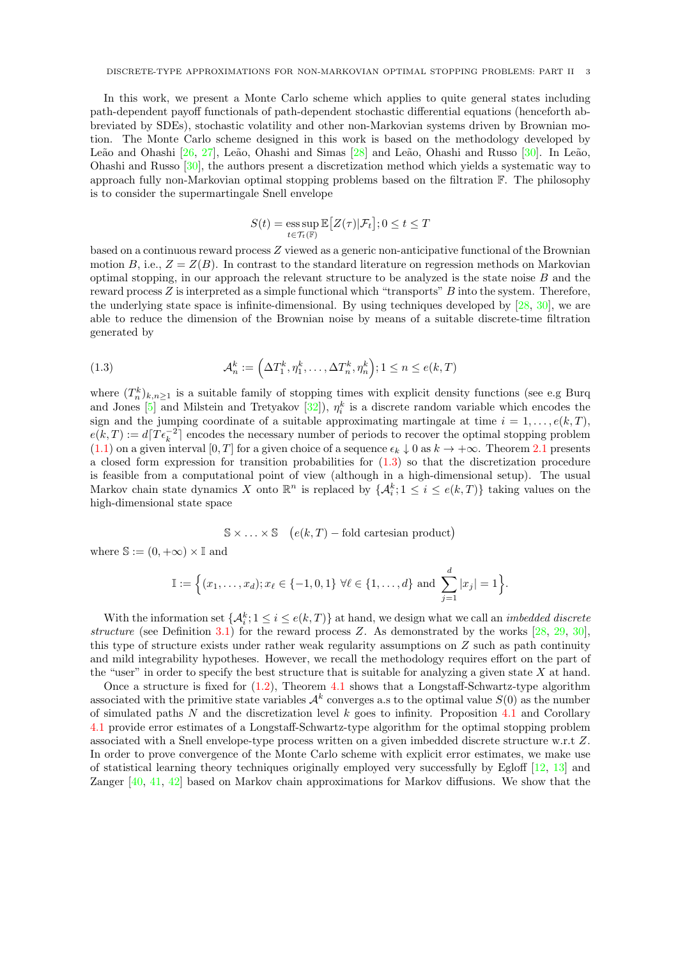In this work, we present a Monte Carlo scheme which applies to quite general states including path-dependent payoff functionals of path-dependent stochastic differential equations (henceforth abbreviated by SDEs), stochastic volatility and other non-Markovian systems driven by Brownian motion. The Monte Carlo scheme designed in this work is based on the methodology developed by Leão and Ohashi [\[26,](#page-29-22) [27\]](#page-29-23), Leão, Ohashi and Simas [\[28\]](#page-29-24) and Leão, Ohashi and Russo  $[30]$ . In Leão, Ohashi and Russo [\[30\]](#page-29-0), the authors present a discretization method which yields a systematic way to approach fully non-Markovian optimal stopping problems based on the filtration F. The philosophy is to consider the supermartingale Snell envelope

$$
S(t) = \operatorname*{ess\,sup}_{t \in \mathcal{T}_t(\mathbb{F})} \mathbb{E}\big[Z(\tau)|\mathcal{F}_t\big]; 0 \le t \le T
$$

based on a continuous reward process Z viewed as a generic non-anticipative functional of the Brownian motion B, i.e.,  $Z = Z(B)$ . In contrast to the standard literature on regression methods on Markovian optimal stopping, in our approach the relevant structure to be analyzed is the state noise  $B$  and the reward process  $Z$  is interpreted as a simple functional which "transports"  $B$  into the system. Therefore, the underlying state space is infinite-dimensional. By using techniques developed by [\[28,](#page-29-24) [30\]](#page-29-0), we are able to reduce the dimension of the Brownian noise by means of a suitable discrete-time filtration generated by

<span id="page-2-0"></span>(1.3) 
$$
\mathcal{A}_n^k := \left(\Delta T_1^k, \eta_1^k, \dots, \Delta T_n^k, \eta_n^k\right); 1 \le n \le e(k, T)
$$

where  $(T_n^k)_{k,n\geq 1}$  is a suitable family of stopping times with explicit density functions (see e.g Burq and Jones [\[5\]](#page-28-4) and Milstein and Tretyakov  $[32]$ ,  $\eta_i^k$  is a discrete random variable which encodes the sign and the jumping coordinate of a suitable approximating martingale at time  $i = 1, \ldots, e(k, T)$ ,  $e(k,T) := d\left[T\epsilon_k^{-2}\right]$  encodes the necessary number of periods to recover the optimal stopping problem  $(1.1)$  on a given interval  $[0, T]$  for a given choice of a sequence  $\epsilon_k \downarrow 0$  as  $k \to +\infty$ . Theorem [2.1](#page-6-0) presents a closed form expression for transition probabilities for [\(1.3\)](#page-2-0) so that the discretization procedure is feasible from a computational point of view (although in a high-dimensional setup). The usual Markov chain state dynamics X onto  $\mathbb{R}^n$  is replaced by  $\{\mathcal{A}_i^k; 1 \leq i \leq e(k,T)\}\)$  taking values on the high-dimensional state space

$$
\mathbb{S} \times \ldots \times \mathbb{S}
$$
 ( $e(k,T)$  – fold cartesian product)

where  $\mathbb{S} := (0, +\infty) \times \mathbb{I}$  and

$$
\mathbb{I} := \Big\{ (x_1, \ldots, x_d) ; x_\ell \in \{-1, 0, 1\} \; \forall \ell \in \{1, \ldots, d\} \; \text{and} \; \sum_{j=1}^d |x_j| = 1 \Big\}.
$$

With the information set  $\{\mathcal{A}_i^k; 1 \leq i \leq e(k,T)\}\$  at hand, we design what we call an *imbedded discrete* structure (see Definition [3.1\)](#page-6-1) for the reward process  $Z$ . As demonstrated by the works  $[28, 29, 30]$  $[28, 29, 30]$  $[28, 29, 30]$  $[28, 29, 30]$  $[28, 29, 30]$ , this type of structure exists under rather weak regularity assumptions on Z such as path continuity and mild integrability hypotheses. However, we recall the methodology requires effort on the part of the "user" in order to specify the best structure that is suitable for analyzing a given state  $X$  at hand.

Once a structure is fixed for  $(1.2)$ , Theorem [4.1](#page-16-0) shows that a Longstaff-Schwartz-type algorithm associated with the primitive state variables  $\mathcal{A}^k$  converges a.s to the optimal value  $S(0)$  as the number of simulated paths  $N$  and the discretization level  $k$  goes to infinity. Proposition [4.1](#page-16-1) and Corollary [4.1](#page-18-0) provide error estimates of a Longstaff-Schwartz-type algorithm for the optimal stopping problem associated with a Snell envelope-type process written on a given imbedded discrete structure w.r.t Z. In order to prove convergence of the Monte Carlo scheme with explicit error estimates, we make use of statistical learning theory techniques originally employed very successfully by Egloff [\[12,](#page-29-9) [13\]](#page-29-27) and Zanger [\[40,](#page-29-10) [41,](#page-29-11) [42\]](#page-30-0) based on Markov chain approximations for Markov diffusions. We show that the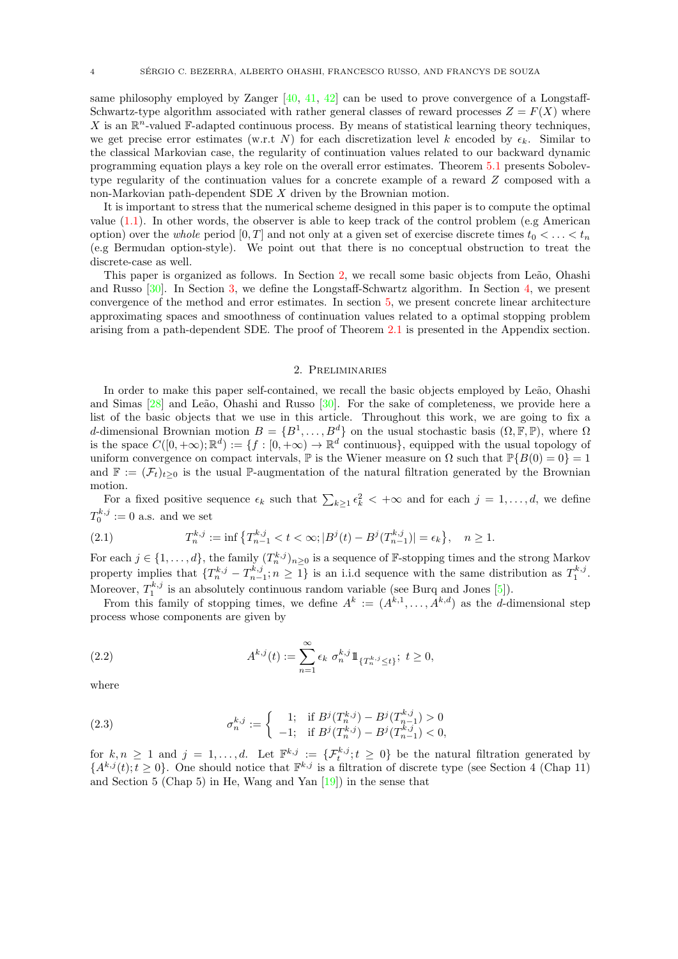same philosophy employed by Zanger  $[40, 41, 42]$  $[40, 41, 42]$  $[40, 41, 42]$  $[40, 41, 42]$  $[40, 41, 42]$  can be used to prove convergence of a Longstaff-Schwartz-type algorithm associated with rather general classes of reward processes  $Z = F(X)$  where X is an  $\mathbb{R}^n$ -valued F-adapted continuous process. By means of statistical learning theory techniques, we get precise error estimates (w.r.t N) for each discretization level k encoded by  $\epsilon_k$ . Similar to the classical Markovian case, the regularity of continuation values related to our backward dynamic programming equation plays a key role on the overall error estimates. Theorem [5.1](#page-21-0) presents Sobolevtype regularity of the continuation values for a concrete example of a reward Z composed with a non-Markovian path-dependent SDE X driven by the Brownian motion.

It is important to stress that the numerical scheme designed in this paper is to compute the optimal value  $(1.1)$ . In other words, the observer is able to keep track of the control problem (e.g American option) over the whole period  $[0, T]$  and not only at a given set of exercise discrete times  $t_0 < \ldots < t_n$ (e.g Bermudan option-style). We point out that there is no conceptual obstruction to treat the discrete-case as well.

This paper is organized as follows. In Section [2,](#page-3-0) we recall some basic objects from Leão, Ohashi and Russo [\[30\]](#page-29-0). In Section [3,](#page-6-2) we define the Longstaff-Schwartz algorithm. In Section [4,](#page-11-0) we present convergence of the method and error estimates. In section [5,](#page-18-1) we present concrete linear architecture approximating spaces and smoothness of continuation values related to a optimal stopping problem arising from a path-dependent SDE. The proof of Theorem [2.1](#page-6-0) is presented in the Appendix section.

#### 2. Preliminaries

<span id="page-3-0"></span>In order to make this paper self-contained, we recall the basic objects employed by Leão, Ohashi and Simas  $[28]$  and Leão, Ohashi and Russo  $[30]$ . For the sake of completeness, we provide here a list of the basic objects that we use in this article. Throughout this work, we are going to fix a d-dimensional Brownian motion  $B = \{B^1, \ldots, B^d\}$  on the usual stochastic basis  $(0, \mathbb{F}, \mathbb{P})$ , where  $\Omega$ is the space  $C([0, +\infty); \mathbb{R}^d) := \{f : [0, +\infty) \to \mathbb{R}^d \text{ continuous}\},$  equipped with the usual topology of uniform convergence on compact intervals,  $\mathbb P$  is the Wiener measure on  $\Omega$  such that  $\mathbb P\{B(0)=0\}=1$ and  $\mathbb{F} := (\mathcal{F}_t)_{t>0}$  is the usual P-augmentation of the natural filtration generated by the Brownian motion.

For a fixed positive sequence  $\epsilon_k$  such that  $\sum_{k\geq 1} \epsilon_k^2 < +\infty$  and for each  $j = 1, \ldots, d$ , we define  $T_0^{k,j} := 0$  a.s. and we set

<span id="page-3-1"></span>(2.1) 
$$
T_n^{k,j} := \inf \left\{ T_{n-1}^{k,j} < t < \infty; \left| B^j(t) - B^j(T_{n-1}^{k,j}) \right| = \epsilon_k \right\}, \quad n \ge 1.
$$

For each  $j \in \{1, ..., d\}$ , the family  $(T_n^{k,j})_{n \geq 0}$  is a sequence of F-stopping times and the strong Markov property implies that  $\{T_n^{k,j} - T_{n-1}^{k,j}; n \geq 1\}$  is an i.i.d sequence with the same distribution as  $T_1^{k,j}$ . Moreover,  $T_1^{k,j}$  is an absolutely continuous random variable (see Burq and Jones [\[5\]](#page-28-4)).

From this family of stopping times, we define  $A^k := (A^{k,1}, \ldots, A^{k,d})$  as the *d*-dimensional step process whose components are given by

(2.2) 
$$
A^{k,j}(t) := \sum_{n=1}^{\infty} \epsilon_k \ \sigma_n^{k,j} 1\!\!1_{\{T_n^{k,j} \le t\}}; \ t \ge 0,
$$

where

(2.3) 
$$
\sigma_n^{k,j} := \begin{cases} 1; & \text{if } B^j(T_n^{k,j}) - B^j(T_{n-1}^{k,j}) > 0 \\ -1; & \text{if } B^j(T_n^{k,j}) - B^j(T_{n-1}^{k,j}) < 0, \end{cases}
$$

for  $k, n \geq 1$  and  $j = 1, \ldots, d$ . Let  $\mathbb{F}^{k,j} := \{ \mathcal{F}_t^{k,j}; t \geq 0 \}$  be the natural filtration generated by  ${A^{k,j}(t); t \geq 0}$ . One should notice that  $\mathbb{F}^{k,j}$  is a filtration of discrete type (see Section 4 (Chap 11) and Section 5 (Chap 5) in He, Wang and Yan [\[19\]](#page-29-28)) in the sense that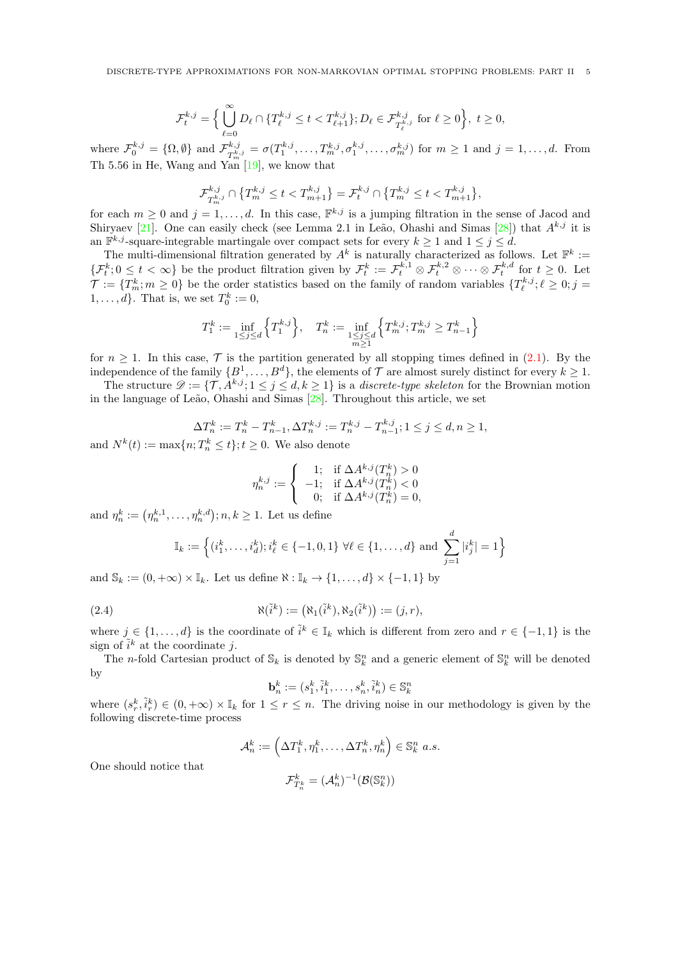DISCRETE-TYPE APPROXIMATIONS FOR NON-MARKOVIAN OPTIMAL STOPPING PROBLEMS: PART II 5

$$
\mathcal{F}_t^{k,j} = \Big\{ \bigcup_{\ell=0}^{\infty} D_{\ell} \cap \{ T_{\ell}^{k,j} \le t < T_{\ell+1}^{k,j} \}; D_{\ell} \in \mathcal{F}_{T_{\ell}^{k,j}}^{k,j} \text{ for } \ell \ge 0 \Big\},\ t \ge 0,
$$

where  $\mathcal{F}_0^{k,j} = \{\Omega, \emptyset\}$  and  $\mathcal{F}_{\mathcal{T}^{k,j}}^{k,j}$  $T_{m}^{k,j} = \sigma(T_1^{k,j}, \ldots, T_m^{k,j}, \sigma_1^{k,j}, \ldots, \sigma_m^{k,j})$  for  $m \ge 1$  and  $j = 1, \ldots, d$ . From Th 5.56 in He, Wang and  $\overline{\text{Yan}}$  [\[19\]](#page-29-28), we know that

$$
\mathcal{F}^{k,j}_{T^{k,j}_m} \cap \left\{T^{k,j}_m \leq t < T^{k,j}_{m+1}\right\} = \mathcal{F}^{k,j}_t \cap \left\{T^{k,j}_m \leq t < T^{k,j}_{m+1}\right\},
$$

for each  $m \geq 0$  and  $j = 1, \ldots, d$ . In this case,  $\mathbb{F}^{k,j}$  is a jumping filtration in the sense of Jacod and Shiryaev [\[21\]](#page-29-29). One can easily check (see Lemma 2.1 in Leão, Ohashi and Simas [\[28\]](#page-29-24)) that  $A^{k,j}$  it is an  $\mathbb{F}^{k,j}$ -square-integrable martingale over compact sets for every  $k \geq 1$  and  $1 \leq j \leq d$ .

The multi-dimensional filtration generated by  $A^k$  is naturally characterized as follows. Let  $\mathbb{F}^k :=$  $\{\mathcal{F}_t^k: 0 \leq t < \infty\}$  be the product filtration given by  $\mathcal{F}_t^k := \mathcal{F}_t^{k,1} \otimes \mathcal{F}_t^{k,2} \otimes \cdots \otimes \mathcal{F}_t^{k,d}$  for  $t \geq 0$ . Let  $\mathcal{T} := \{T_m^k; m \geq 0\}$  be the order statistics based on the family of random variables  $\{T_\ell^{k,j}; \ell \geq 0; j = 1\}$  $1, \ldots, d$ . That is, we set  $T_0^k := 0$ ,

$$
T_1^k := \inf_{1 \le j \le d} \left\{ T_1^{k,j} \right\}, \quad T_n^k := \inf_{\substack{1 \le j \le d \\ m \ge 1}} \left\{ T_m^{k,j} ; T_m^{k,j} \ge T_{n-1}^k \right\}
$$

for  $n \geq 1$ . In this case,  $\mathcal{T}$  is the partition generated by all stopping times defined in [\(2.1\)](#page-3-1). By the independence of the family  $\{B^1,\ldots,B^d\}$ , the elements of  $\mathcal T$  are almost surely distinct for every  $k\geq 1$ .

The structure  $\mathcal{D} := \{ \mathcal{T}, A^{k,j} ; 1 \leq j \leq d, k \geq 1 \}$  is a *discrete-type skeleton* for the Brownian motion in the language of Leão, Ohashi and Simas  $[28]$ . Throughout this article, we set

$$
\Delta T_n^k := T_n^k - T_{n-1}^k, \Delta T_n^{k,j} := T_n^{k,j} - T_{n-1}^{k,j}; 1 \le j \le d, n \ge 1,
$$

and  $N^k(t) := \max\{n; T_n^k \leq t\}; t \geq 0$ . We also denote

$$
\eta_n^{k,j} := \begin{cases}\n1; & \text{if } \Delta A^{k,j}(T_n^k) > 0 \\
-1; & \text{if } \Delta A^{k,j}(T_n^k) < 0 \\
0; & \text{if } \Delta A^{k,j}(T_n^k) = 0,\n\end{cases}
$$

and  $\eta_n^k := (\eta_n^{k,1}, \dots, \eta_n^{k,d}); n, k \ge 1$ . Let us define

One should notice that

$$
\mathbb{I}_k := \left\{ (i_1^k, \dots, i_d^k) ; i_\ell^k \in \{-1, 0, 1\} \; \forall \ell \in \{1, \dots, d\} \text{ and } \sum_{j=1}^d |i_j^k| = 1 \right\}
$$

and  $\mathbb{S}_k := (0, +\infty) \times \mathbb{I}_k$ . Let us define  $\aleph : \mathbb{I}_k \to \{1, \ldots, d\} \times \{-1, 1\}$  by

(2.4) 
$$
\aleph(\tilde{i}^k) := (\aleph_1(\tilde{i}^k), \aleph_2(\tilde{i}^k)) := (j, r),
$$

where  $j \in \{1, \ldots, d\}$  is the coordinate of  $\tilde{i}^k \in \mathbb{I}_k$  which is different from zero and  $r \in \{-1, 1\}$  is the sign of  $\tilde{i}^k$  at the coordinate j.

The *n*-fold Cartesian product of  $\mathbb{S}_k$  is denoted by  $\mathbb{S}_k^n$  and a generic element of  $\mathbb{S}_k^n$  will be denoted by

$$
\mathbf{b}_n^k := (s_1^k, \tilde{i}_1^k, \dots, s_n^k, \tilde{i}_n^k) \in \mathbb{S}_k^n
$$

where  $(s_r^k, \tilde{i}_r^k) \in (0, +\infty) \times \mathbb{I}_k$  for  $1 \leq r \leq n$ . The driving noise in our methodology is given by the following discrete-time process

$$
\mathcal{A}_n^k := \left(\Delta T_1^k, \eta_1^k, \dots, \Delta T_n^k, \eta_n^k\right) \in \mathbb{S}_k^n \text{ a.s.}
$$

$$
\mathcal{F}_{T_n^k}^k = (\mathcal{A}_n^k)^{-1}(\mathcal{B}(\mathbb{S}_k^n))
$$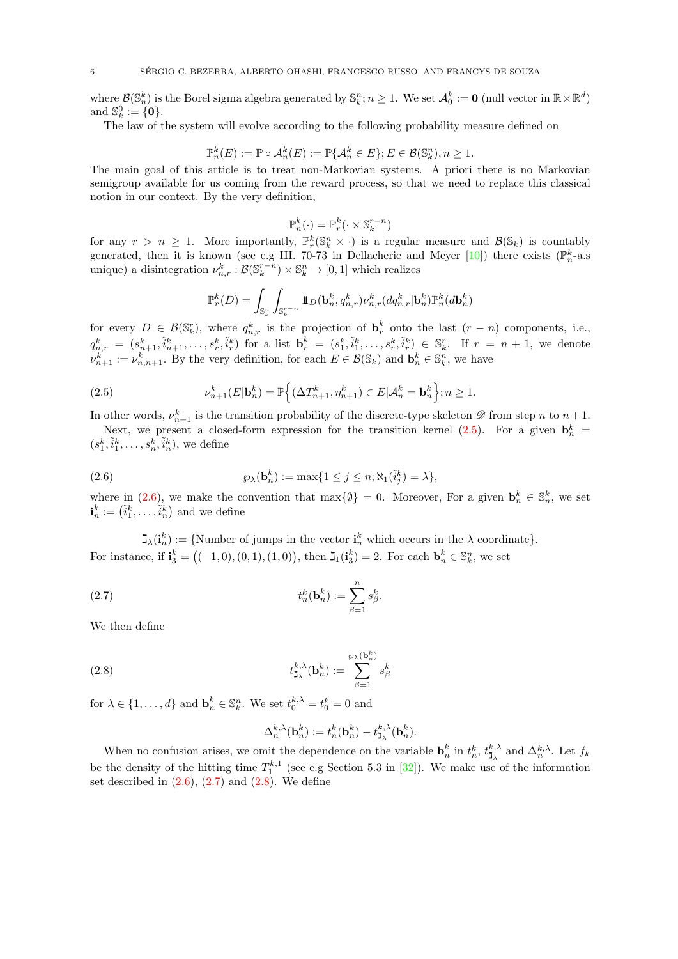where  $\mathcal{B}(\mathbb{S}_n^k)$  is the Borel sigma algebra generated by  $\mathbb{S}_k^n$ ;  $n \geq 1$ . We set  $\mathcal{A}_0^k := \mathbf{0}$  (null vector in  $\mathbb{R} \times \mathbb{R}^d$ ) and  $\mathbb{S}_k^0 := \{0\}.$ 

The law of the system will evolve according to the following probability measure defined on

$$
\mathbb{P}_n^k(E) := \mathbb{P} \circ \mathcal{A}_n^k(E) := \mathbb{P} \{ \mathcal{A}_n^k \in E \}; E \in \mathcal{B}(\mathbb{S}_k^n), n \ge 1.
$$

The main goal of this article is to treat non-Markovian systems. A priori there is no Markovian semigroup available for us coming from the reward process, so that we need to replace this classical notion in our context. By the very definition,

$$
\mathbb{P}_n^k(\cdot) = \mathbb{P}_r^k(\cdot \times \mathbb{S}_k^{r-n})
$$

for any  $r > n \geq 1$ . More importantly,  $\mathbb{P}_r^k(\mathbb{S}_k^n \times \cdot)$  is a regular measure and  $\mathcal{B}(\mathbb{S}_k)$  is countably generated, then it is known (see e.g III. 70-73 in Dellacherie and Meyer [\[10\]](#page-29-30)) there exists ( $\mathbb{P}_n^k$ -a.s unique) a disintegration  $\nu_{n,r}^k : \mathcal{B}(\mathbb{S}_k^{r-n}) \times \mathbb{S}_k^n \to [0,1]$  which realizes

<span id="page-5-0"></span>
$$
\mathbb{P}_r^k(D) = \int_{\mathbb{S}_k^n} \int_{\mathbb{S}_k^{r-n}} 1\!\!1_D(\mathbf{b}_n^k, q_{n,r}^k) \nu_{n,r}^k(dq_{n,r}^k | \mathbf{b}_n^k) \mathbb{P}_n^k(d\mathbf{b}_n^k)
$$

for every  $D \in \mathcal{B}(\mathbb{S}_k^r)$ , where  $q_{n,r}^k$  is the projection of  $\mathbf{b}_r^k$  onto the last  $(r - n)$  components, i.e.,  $q_{n,r}^k = (s_{n+1}^k, \tilde{i}_{n+1}^k, \ldots, s_r^k, \tilde{i}_r^k)$  for a list  $\mathbf{b}_r^k = (s_1^k, \tilde{i}_1^k, \ldots, s_r^k, \tilde{i}_r^k) \in \mathbb{S}_k^r$ . If  $r = n+1$ , we denote  $\nu_{n+1}^k := \nu_{n,n+1}^k$ . By the very definition, for each  $E \in \mathcal{B}(\mathbb{S}_k)$  and  $\mathbf{b}_n^k \in \mathbb{S}_k^n$ , we have

(2.5) 
$$
\nu_{n+1}^k(E|\mathbf{b}_n^k) = \mathbb{P}\Big\{(\Delta T_{n+1}^k, \eta_{n+1}^k) \in E|\mathcal{A}_n^k = \mathbf{b}_n^k\Big\}; n \ge 1.
$$

In other words,  $\nu_{n+1}^k$  is the transition probability of the discrete-type skeleton  $\mathscr D$  from step n to  $n+1$ . Next, we present a closed-form expression for the transition kernel  $(2.5)$ . For a given  $\mathbf{b}_n^k$  $(s_1^k, \tilde{i}_1^k, \ldots, s_n^k, \tilde{i}_n^k),$  we define

<span id="page-5-1"></span>

(2.6) 
$$
\wp_{\lambda}(\mathbf{b}_n^k) := \max\{1 \leq j \leq n; \aleph_1(\tilde{i}_j^k) = \lambda\},
$$

where in [\(2.6\)](#page-5-1), we make the convention that  $\max\{\emptyset\} = 0$ . Moreover, For a given  $\mathbf{b}_n^k \in \mathbb{S}_n^k$ , we set  $\mathbf{i}_n^k := (\tilde{i}_1^k, \dots, \tilde{i}_n^k)$  and we define

 $\mathbf{I}_{\lambda}(\mathbf{i}_n^k) := \{\text{Number of jumps in the vector } \mathbf{i}_n^k \text{ which occurs in the } \lambda \text{ coordinate}\}.$ For instance, if  $\mathbf{i}_3^k = ((-1,0), (0,1), (1,0))$ , then  $\mathbf{J}_1(\mathbf{i}_3^k) = 2$ . For each  $\mathbf{b}_n^k \in \mathbb{S}_k^n$ , we set

(2.7) 
$$
t_n^k(\mathbf{b}_n^k) := \sum_{\beta=1}^n s_\beta^k.
$$

We then define

(2.8) 
$$
t_{\mathbf{J}_{\lambda}}^{k,\lambda}(\mathbf{b}_n^k) := \sum_{\beta=1}^{\wp_{\lambda}(\mathbf{b}_n^k)} s_{\beta}^k
$$

for  $\lambda \in \{1, ..., d\}$  and  $\mathbf{b}_n^k \in \mathbb{S}_k^n$ . We set  $t_0^{k, \lambda} = t_0^k = 0$  and

<span id="page-5-3"></span><span id="page-5-2"></span>
$$
\Delta_n^{k,\lambda}(\mathbf{b}_n^k) := t_n^k(\mathbf{b}_n^k) - t_{\mathbf{J}_{\lambda}}^{k,\lambda}(\mathbf{b}_n^k).
$$

When no confusion arises, we omit the dependence on the variable  $\mathbf{b}_n^k$  in  $t_n^k$ ,  $t_{\mathbf{J}_\lambda}^{k,\lambda}$  and  $\Delta_n^{k,\lambda}$ . Let  $f_k$  $v_n$  in  $t_n$ ,  $t_{\mathbf{j}_\lambda}$  and  $\Delta_n$ be the density of the hitting time  $T_1^{k,1}$  (see e.g Section 5.3 in [\[32\]](#page-29-25)). We make use of the information set described in  $(2.6)$ ,  $(2.7)$  and  $(2.8)$ . We define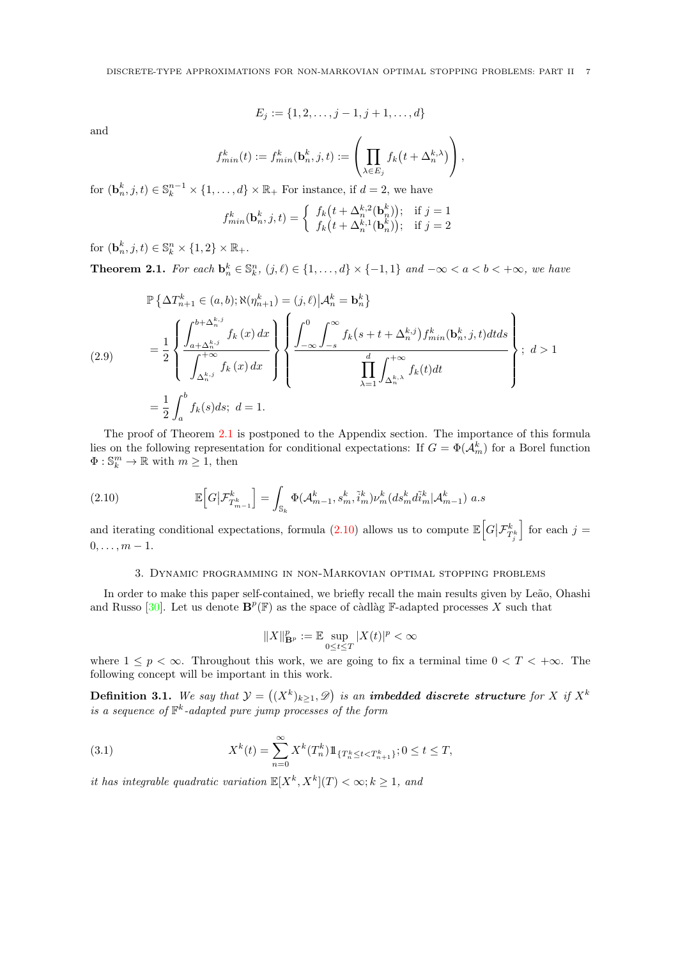$$
E_j := \{1, 2, \dots, j-1, j+1, \dots, d\}
$$

and

$$
f_{min}^k(t) := f_{min}^k(\mathbf{b}_n^k, j, t) := \left(\prod_{\lambda \in E_j} f_k\big(t + \Delta_n^{k, \lambda}\big)\right),
$$

for  $(\mathbf{b}_n^k, j, t) \in \mathbb{S}_k^{n-1} \times \{1, ..., d\} \times \mathbb{R}_+$  For instance, if  $d = 2$ , we have

$$
f_{min}^k(\mathbf{b}_n^k, j, t) = \begin{cases} f_k(t + \Delta_n^{k,2}(\mathbf{b}_n^k)); & \text{if } j = 1\\ f_k(t + \Delta_n^{k,1}(\mathbf{b}_n^k)); & \text{if } j = 2 \end{cases}
$$

for  $(\mathbf{b}_n^k, j, t) \in \mathbb{S}_k^n \times \{1, 2\} \times \mathbb{R}_+$ .

<span id="page-6-0"></span>**Theorem 2.1.** For each  $\mathbf{b}_n^k \in \mathbb{S}_k^n$ ,  $(j, \ell) \in \{1, \ldots, d\} \times \{-1, 1\}$  and  $-\infty < a < b < +\infty$ , we have

<span id="page-6-5"></span>
$$
\mathbb{P}\left\{\Delta T_{n+1}^{k} \in (a,b); \aleph(\eta_{n+1}^{k}) = (j,\ell)|\mathcal{A}_{n}^{k} = \mathbf{b}_{n}^{k}\right\}
$$
\n
$$
= \frac{1}{2} \left\{\frac{\int_{a+\Delta_{n}^{k,j}}^{b+\Delta_{n}^{k,j}} f_{k}(x) dx}{\int_{\Delta_{n}^{k,j}}^{+\infty} f_{k}(x) dx}\right\} \left\{\frac{\int_{-\infty}^{0} \int_{-s}^{\infty} f_{k}(s+t+\Delta_{n}^{k,j}) f_{min}^{k}(\mathbf{b}_{n}^{k},j,t) dt ds}{\prod_{\lambda=1}^{d} \int_{\Delta_{n}^{k,\lambda}}^{+\infty} f_{k}(t) dt}\right\}; d > 1
$$
\n
$$
= \frac{1}{2} \int_{a}^{b} f_{k}(s) ds; d = 1.
$$

The proof of Theorem [2.1](#page-6-0) is postponed to the Appendix section. The importance of this formula lies on the following representation for conditional expectations: If  $G = \Phi(A_m^k)$  for a Borel function  $\Phi: \mathbb{S}_k^m \to \mathbb{R}$  with  $m \geq 1$ , then

(2.10) 
$$
\mathbb{E}\Big[G\big|\mathcal{F}_{T_{m-1}^{k}}^{k}\Big] = \int_{\mathbb{S}_{k}} \Phi(\mathcal{A}_{m-1}^{k}, s_{m}^{k}, \tilde{i}_{m}^{k}) \nu_{m}^{k}(ds_{m}^{k} d\tilde{i}_{m}^{k}|\mathcal{A}_{m-1}^{k}) a.s
$$

and iterating conditional expectations, formula [\(2.10\)](#page-6-3) allows us to compute  $\mathbb{E}\Big[G\big|\mathcal{F}_{T_j^k}^k\Big]$  $\Big\}$  for each  $j =$  $0, \ldots, m-1.$ 

### <span id="page-6-3"></span>3. Dynamic programming in non-Markovian optimal stopping problems

<span id="page-6-2"></span>In order to make this paper self-contained, we briefly recall the main results given by Leão, Ohashi and Russo [\[30\]](#page-29-0). Let us denote  $\mathbf{B}^p(\mathbb{F})$  as the space of càdlàg F-adapted processes X such that

<span id="page-6-4"></span>
$$
||X||_{\mathbf{B}^p}^p := \mathbb{E} \sup_{0 \le t \le T} |X(t)|^p < \infty
$$

where  $1 \leq p < \infty$ . Throughout this work, we are going to fix a terminal time  $0 < T < +\infty$ . The following concept will be important in this work.

<span id="page-6-1"></span>**Definition 3.1.** We say that  $\mathcal{Y} = ((X^k)_{k \geq 1}, \mathcal{D})$  is an imbedded discrete structure for X if  $X^k$ is a sequence of  $\mathbb{F}^k$ -adapted pure jump processes of the form

(3.1) 
$$
X^{k}(t) = \sum_{n=0}^{\infty} X^{k}(T_{n}^{k}) 1\!\!1_{\{T_{n}^{k} \leq t < T_{n+1}^{k}\}}; 0 \leq t \leq T,
$$

it has integrable quadratic variation  $\mathbb{E}[X^k, X^k](T) < \infty; k \geq 1$ , and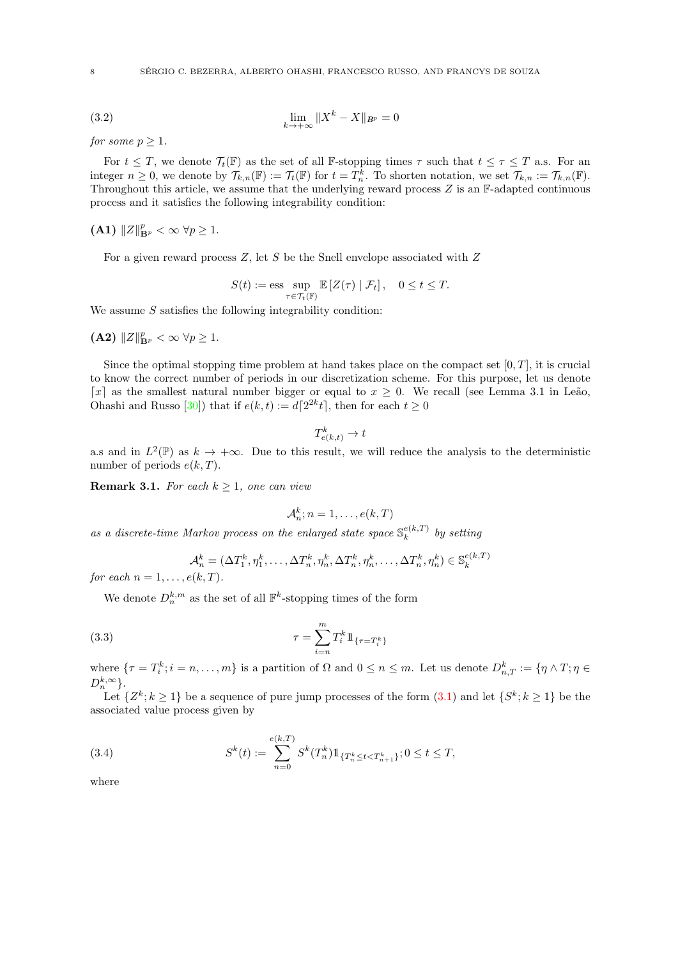(3.2) 
$$
\lim_{k \to +\infty} \|X^k - X\|_{B^p} = 0
$$

for some  $p \geq 1$ .

For  $t \leq T$ , we denote  $\mathcal{T}_t(\mathbb{F})$  as the set of all F-stopping times  $\tau$  such that  $t \leq \tau \leq T$  a.s. For an integer  $n \geq 0$ , we denote by  $\mathcal{T}_{k,n}(\mathbb{F}) := \mathcal{T}_t(\mathbb{F})$  for  $t = T_n^k$ . To shorten notation, we set  $\mathcal{T}_{k,n} := \mathcal{T}_{k,n}(\mathbb{F})$ . Throughout this article, we assume that the underlying reward process  $Z$  is an  $\mathbb F$ -adapted continuous process and it satisfies the following integrability condition:

(A1)  $||Z||_{\mathbf{B}^p}^p < \infty \ \forall p \geq 1.$ 

For a given reward process  $Z$ , let  $S$  be the Snell envelope associated with  $Z$ 

<span id="page-7-1"></span>
$$
S(t) := \text{ess} \sup_{\tau \in \mathcal{T}_t(\mathbb{F})} \mathbb{E}\left[Z(\tau) \mid \mathcal{F}_t\right], \quad 0 \le t \le T.
$$

We assume  $S$  satisfies the following integrability condition:

(A2)  $||Z||_{\mathbf{B}^p}^p < \infty \ \forall p \geq 1.$ 

Since the optimal stopping time problem at hand takes place on the compact set  $[0, T]$ , it is crucial to know the correct number of periods in our discretization scheme. For this purpose, let us denote [x] as the smallest natural number bigger or equal to  $x \geq 0$ . We recall (see Lemma 3.1 in Leão, Ohashi and Russo [\[30\]](#page-29-0)) that if  $e(k, t) := d[2^{2k}t]$ , then for each  $t \ge 0$ 

$$
T_{e(k,t)}^k \to t
$$

a.s and in  $L^2(\mathbb{P})$  as  $k \to +\infty$ . Due to this result, we will reduce the analysis to the deterministic number of periods  $e(k, T)$ .

<span id="page-7-2"></span>**Remark 3.1.** For each  $k \geq 1$ , one can view

$$
\mathcal{A}_n^k; n = 1, \dots, e(k, T)
$$

as a discrete-time Markov process on the enlarged state space  $\mathbb{S}_{k}^{e(k,T)}$  $b_k^{e(k,1)}$  by setting

$$
\mathcal{A}_n^k = (\Delta T_1^k, \eta_1^k, \dots, \Delta T_n^k, \eta_n^k, \Delta T_n^k, \eta_n^k, \dots, \Delta T_n^k, \eta_n^k) \in \mathbb{S}_k^{e(k,T)}
$$

for each  $n = 1, \ldots, e(k, T)$ .

We denote  $D_n^{k,m}$  as the set of all  $\mathbb{F}^k$ -stopping times of the form

(3.3) 
$$
\tau = \sum_{i=n}^{m} T_i^k 1\!\!1_{\{\tau = T_i^k\}}
$$

where  $\{\tau = T_i^k; i = n, \ldots, m\}$  is a partition of  $\Omega$  and  $0 \le n \le m$ . Let us denote  $D_{n,T}^k := \{\eta \wedge T; \eta \in$  $D_n^{k,\infty}$ .

Let  $\{Z^k; k \geq 1\}$  be a sequence of pure jump processes of the form  $(3.1)$  and let  $\{S^k; k \geq 1\}$  be the associated value process given by

<span id="page-7-0"></span>(3.4) 
$$
S^{k}(t) := \sum_{n=0}^{e(k,T)} S^{k}(T_{n}^{k}) 1\!\!1_{\{T_{n}^{k} \leq t < T_{n+1}^{k}\}}; 0 \leq t \leq T,
$$

where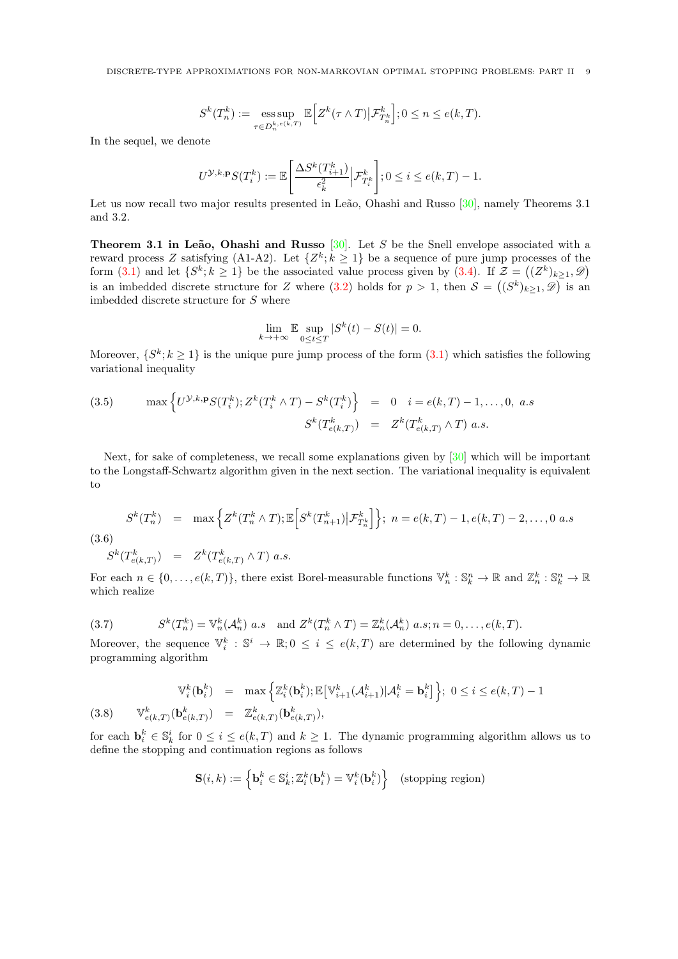DISCRETE-TYPE APPROXIMATIONS FOR NON-MARKOVIAN OPTIMAL STOPPING PROBLEMS: PART II 9

$$
S^{k}(T_{n}^{k}) := \underset{\tau \in D_{n}^{k, e(k,T)}}{\text{ess sup}} \mathbb{E}\Big[Z^{k}(\tau \wedge T) \big| \mathcal{F}_{T_{n}^{k}}^{k}\Big]; 0 \leq n \leq e(k,T).
$$

In the sequel, we denote

$$
U^{\mathcal{Y},k,\mathbf{p}}S(T_i^k) := \mathbb{E}\left[\frac{\Delta S^k(T_{i+1}^k)}{\epsilon_k^2}\Big|\mathcal{F}_{T_i^k}^k\right]; 0 \le i \le e(k,T)-1.
$$

Let us now recall two major results presented in Leão, Ohashi and Russo  $[30]$ , namely Theorems 3.1 and 3.2.

**Theorem 3.1 in Leão, Ohashi and Russo** [\[30\]](#page-29-0). Let S be the Snell envelope associated with a reward process Z satisfying (A1-A2). Let  $\{Z^k; k \geq 1\}$  be a sequence of pure jump processes of the form  $(3.1)$  and let  $\{S^k; k \geq 1\}$  be the associated value process given by  $(3.4)$ . If  $\mathcal{Z} = ((Z^k)_{k \geq 1}, \mathcal{D})$ is an imbedded discrete structure for Z where  $(3.2)$  holds for  $p > 1$ , then  $\mathcal{S} = ((S^k)_{k \geq 1}, \mathscr{D})$  is an imbedded discrete structure for S where

$$
\lim_{k \to +\infty} \mathbb{E} \sup_{0 \le t \le T} |S^k(t) - S(t)| = 0.
$$

Moreover,  $\{S^k; k \geq 1\}$  is the unique pure jump process of the form  $(3.1)$  which satisfies the following variational inequality

(3.5) 
$$
\max \left\{ U^{\mathcal{Y},k,\mathbf{p}} S(T_i^k); Z^k(T_i^k \wedge T) - S^k(T_i^k) \right\} = 0 \quad i = e(k,T) - 1, ..., 0, \ a.s
$$

$$
S^k(T_{e(k,T)}^k) = Z^k(T_{e(k,T)}^k \wedge T) \ a.s.
$$

Next, for sake of completeness, we recall some explanations given by [\[30\]](#page-29-0) which will be important to the Longstaff-Schwartz algorithm given in the next section. The variational inequality is equivalent to

$$
S^{k}(T_{n}^{k}) = \max \left\{ Z^{k}(T_{n}^{k} \wedge T); \mathbb{E}\left[S^{k}(T_{n+1}^{k}) | \mathcal{F}_{T_{n}^{k}}^{k}\right] \right\}; n = e(k, T) - 1, e(k, T) - 2, ..., 0 \text{ a.s}
$$

(3.6)

$$
S^k(T^k_{e(k,T)}) = Z^k(T^k_{e(k,T)} \wedge T) \ a.s.
$$

For each  $n \in \{0, \ldots, e(k,T)\}\$ , there exist Borel-measurable functions  $\mathbb{V}_n^k : \mathbb{S}_k^n \to \mathbb{R}$  and  $\mathbb{Z}_n^k : \mathbb{S}_k^n \to \mathbb{R}$ which realize

<span id="page-8-0"></span>(3.7) 
$$
S^k(T_n^k) = \mathbb{V}_n^k(\mathcal{A}_n^k) \ a.s \quad \text{and } Z^k(T_n^k \wedge T) = \mathbb{Z}_n^k(\mathcal{A}_n^k) \ a.s; n = 0, \dots, e(k, T).
$$

Moreover, the sequence  $\mathbb{V}_i^k : \mathbb{S}^i \to \mathbb{R}$ ;  $0 \leq i \leq e(k,T)$  are determined by the following dynamic programming algorithm

<span id="page-8-1"></span>
$$
\mathbb{V}_i^k(\mathbf{b}_i^k) = \max \left\{ \mathbb{Z}_i^k(\mathbf{b}_i^k); \mathbb{E} \left[ \mathbb{V}_{i+1}^k(\mathcal{A}_{i+1}^k) | \mathcal{A}_i^k = \mathbf{b}_i^k \right] \right\}; \ 0 \le i \le e(k, T) - 1
$$
\n
$$
(3.8) \qquad \mathbb{V}_{e(k,T)}^k(\mathbf{b}_{e(k,T)}^k) = \mathbb{Z}_{e(k,T)}^k(\mathbf{b}_{e(k,T)}^k),
$$

for each  $\mathbf{b}_i^k \in \mathbb{S}_k^i$  for  $0 \leq i \leq e(k,T)$  and  $k \geq 1$ . The dynamic programming algorithm allows us to define the stopping and continuation regions as follows

$$
\mathbf{S}(i,k) := \left\{ \mathbf{b}_i^k \in \mathbb{S}_k^i; \mathbb{Z}_i^k(\mathbf{b}_i^k) = \mathbb{V}_i^k(\mathbf{b}_i^k) \right\} \quad \text{(stopping region)}
$$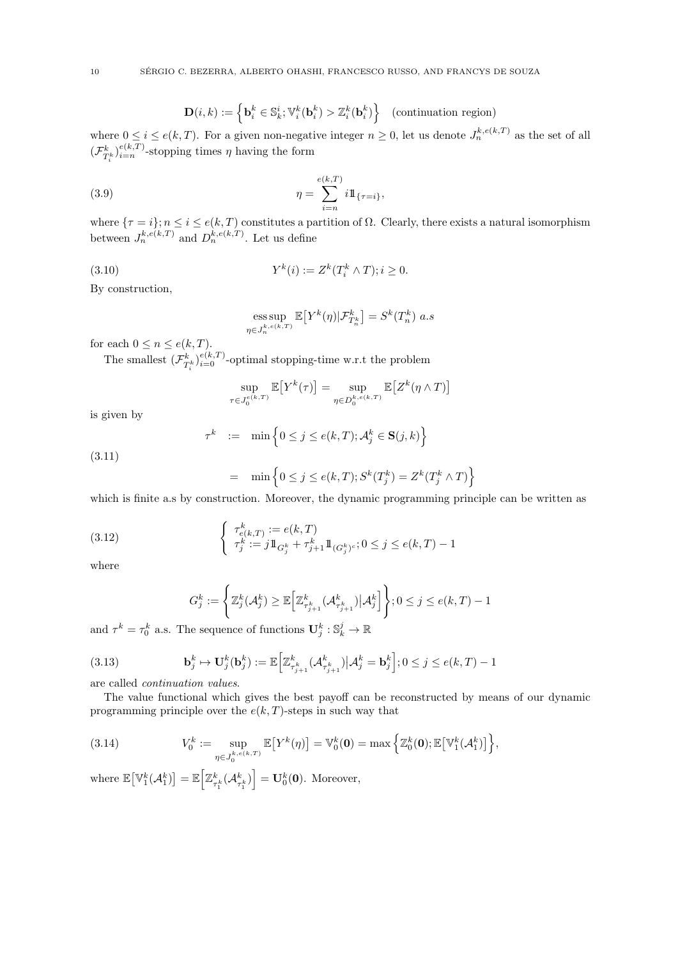$$
\mathbf{D}(i,k) := \left\{ \mathbf{b}_i^k \in \mathbb{S}_k^i; \mathbb{V}_i^k(\mathbf{b}_i^k) > \mathbb{Z}_i^k(\mathbf{b}_i^k) \right\} \quad \text{(continuation region)}
$$

where  $0 \leq i \leq e(k,T)$ . For a given non-negative integer  $n \geq 0$ , let us denote  $J_n^{k,e(k,T)}$  as the set of all  $(\mathcal{F}^k_{T^k_i})_{i=n}^{e(k,T)}$ -stopping times  $\eta$  having the form

(3.9) 
$$
\eta = \sum_{i=n}^{e(k,T)} i1\!\!1_{\{\tau=i\}},
$$

where  $\{\tau = i\}$ ;  $n \leq i \leq e(k, T)$  constitutes a partition of  $\Omega$ . Clearly, there exists a natural isomorphism between  $J_n^{k,e(k,T)}$  and  $D_n^{k,e(k,T)}$ . Let us define

(3.10) 
$$
Y^{k}(i) := Z^{k}(T_{i}^{k} \wedge T); i \geq 0.
$$

 $\tau$ 

By construction,

ess sup 
$$
\mathbb{E}[Y^k(\eta)|\mathcal{F}^k_{T^k_n}] = S^k(T^k_n)
$$
 a.s  $\eta \in J^{k,e(k,T)}_n$ 

for each  $0 \leq n \leq e(k, T)$ .

The smallest  $(\mathcal{F}^k_{T^k_i})_{i=0}^{e(k,T)}$ -optimal stopping-time w.r.t the problem

$$
\sup_{\substack{\in J_0^{e(k,T)} }} \mathbb{E}\big[ Y^k(\tau) \big] = \sup_{\eta \in D_0^{k,e(k,T)}} \mathbb{E}\big[ Z^k(\eta \wedge T) \big]
$$

is given by

$$
\tau^k \quad := \quad \min \Big\{ 0 \leq j \leq e(k,T); \mathcal{A}_j^k \in \mathbf{S}(j,k) \Big\}
$$

$$
(3.11)
$$

$$
= \min \left\{ 0 \le j \le e(k,T); S^k(T_j^k) = Z^k(T_j^k \wedge T) \right\}
$$

which is finite a.s by construction. Moreover, the dynamic programming principle can be written as

(3.12) 
$$
\begin{cases} \tau_{e(k,T)}^k := e(k,T) \\ \tau_j^k := j 1 \Big|_{G_j^k} + \tau_{j+1}^k 1 \Big|_{(G_j^k)^c}; 0 \le j \le e(k,T) - 1 \end{cases}
$$

where

<span id="page-9-2"></span><span id="page-9-1"></span>
$$
G_j^k := \left\{ \mathbb{Z}_j^k(\mathcal{A}_j^k) \ge \mathbb{E}\Big[\mathbb{Z}_{\tau_{j+1}^k}^k(\mathcal{A}_{\tau_{j+1}^k}^k) \big| \mathcal{A}_j^k\Big] \right\}; 0 \le j \le e(k,T) - 1
$$

and  $\tau^k = \tau_0^k$  a.s. The sequence of functions  $\mathbf{U}_j^k : \mathbb{S}_k^j \to \mathbb{R}$ 

(3.13) 
$$
\mathbf{b}_j^k \mapsto \mathbf{U}_j^k(\mathbf{b}_j^k) := \mathbb{E}\Big[\mathbb{Z}_{\tau_{j+1}^k}^k(\mathcal{A}_{\tau_{j+1}^k}^k) \big| \mathcal{A}_j^k = \mathbf{b}_j^k\Big]; 0 \leq j \leq e(k,T)-1
$$

are called continuation values.

The value functional which gives the best payoff can be reconstructed by means of our dynamic programming principle over the  $e(k, T)$ -steps in such way that

<span id="page-9-0"></span>(3.14) 
$$
V_0^k := \sup_{\eta \in J_0^{k, e(k,T)}} \mathbb{E}\big[ Y^k(\eta) \big] = \mathbb{V}_0^k(\mathbf{0}) = \max \Big\{ \mathbb{Z}_0^k(\mathbf{0}); \mathbb{E}\big[ \mathbb{V}_1^k(\mathcal{A}_1^k) \big] \Big\},
$$

where  $\mathbb{E}\big[\mathbb{V}^k_1(\mathcal{A}^k_1)\big] = \mathbb{E}\Big[\mathbb{Z}^k_{\tau^k_1}(\mathcal{A}^k_{\tau^k_1})\Big] = \mathbf{U}^k_0(\mathbf{0}).$  Moreover,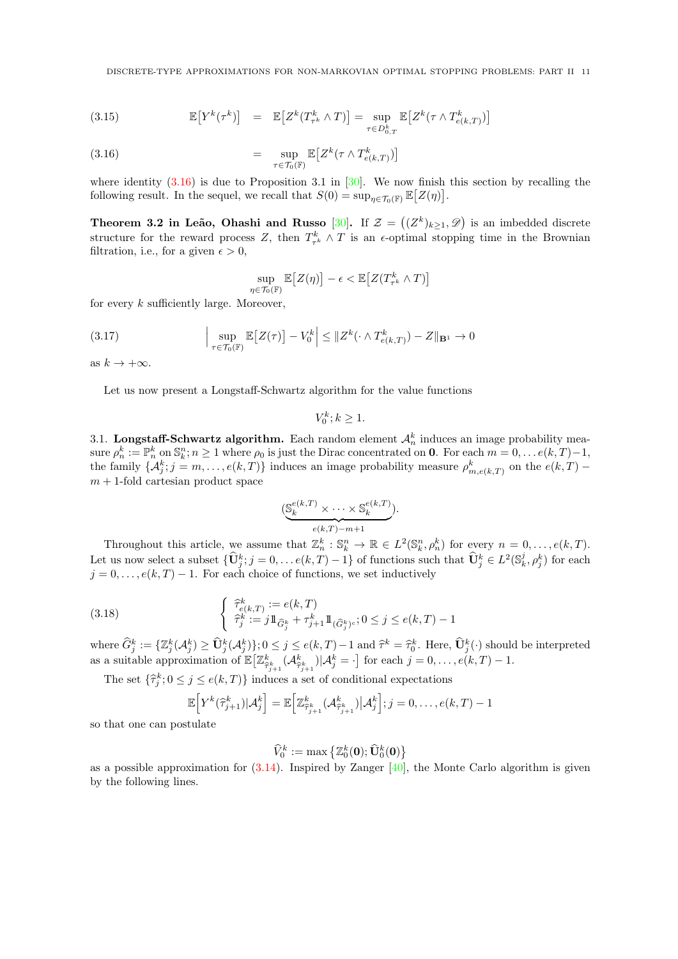<span id="page-10-0"></span>(3.15) 
$$
\mathbb{E}\big[Y^k(\tau^k)\big] = \mathbb{E}\big[Z^k(T^k_{\tau^k} \wedge T)\big] = \sup_{\tau \in D^k_{0,T}} \mathbb{E}\big[Z^k(\tau \wedge T^k_{e(k,T)})\big]
$$

(3.16) 
$$
= \sup_{\tau \in \mathcal{T}_0(\mathbb{F})} \mathbb{E}\big[Z^k(\tau \wedge T^k_{e(k,T)})\big]
$$

where identity  $(3.16)$  is due to Proposition 3.1 in [\[30\]](#page-29-0). We now finish this section by recalling the following result. In the sequel, we recall that  $S(0) = \sup_{\eta \in \mathcal{T}_0(\mathbb{F})} \mathbb{E}\big[Z(\eta)\big].$ 

Theorem 3.2 in Leão, Ohashi and Russo [\[30\]](#page-29-0). If  $\mathcal{Z} = ((Z^k)_{k \geq 1}, \mathscr{D})$  is an imbedded discrete structure for the reward process Z, then  $T_{\tau^k}^k \wedge T$  is an  $\epsilon$ -optimal stopping time in the Brownian filtration, i.e., for a given  $\epsilon > 0$ ,

$$
\sup_{\eta \in \mathcal{T}_0(\mathbb{F})} \mathbb{E}\big[Z(\eta)\big] - \epsilon < \mathbb{E}\big[Z(T^k_{\tau^k} \wedge T)\big]
$$

for every  $k$  sufficiently large. Moreover,

(3.17) 
$$
\left|\sup_{\tau \in \mathcal{T}_0(\mathbb{F})} \mathbb{E}\left[Z(\tau)\right] - V_0^k\right| \leq \|Z^k(\cdot \wedge T_{e(k,T)}^k) - Z\|_{\mathbf{B}^1} \to 0
$$

as  $k \to +\infty$ .

Let us now present a Longstaff-Schwartz algorithm for the value functions

$$
V_0^k; k \ge 1.
$$

3.1. Longstaff-Schwartz algorithm. Each random element  $\mathcal{A}_n^k$  induces an image probability measure  $\rho_n^k := \mathbb{P}_n^k$  on  $\mathbb{S}_k^n$ ;  $n \ge 1$  where  $\rho_0$  is just the Dirac concentrated on **0**. For each  $m = 0, \ldots e(k,T)-1$ , the family  $\{\mathcal{A}_{j}^{k}$ ;  $j = m, \ldots, e(k, T)\}$  induces an image probability measure  $\rho_{m, e(k, T)}^{k}$  on the  $e(k, T)$   $m + 1$ -fold cartesian product space

$$
(\underbrace{\mathbb{S}_k^{e(k,T)}\times \cdots \times \mathbb{S}_k^{e(k,T)}}_{e(k,T)-m+1}).
$$

Throughout this article, we assume that  $\mathbb{Z}_n^k : \mathbb{S}_k^n \to \mathbb{R} \in L^2(\mathbb{S}_k^n, \rho_n^k)$  for every  $n = 0, \ldots, e(k, T)$ . Let us now select a subset  $\{\widehat{\mathbf{U}}_j^k; j = 0, \ldots e(k,T) - 1\}$  of functions such that  $\widehat{\mathbf{U}}_j^k \in L^2(\mathbb{S}_k^j, \rho_j^k)$  for each  $j = 0, \ldots, e(k, T) - 1$ . For each choice of functions, we set inductively

(3.18) 
$$
\begin{cases} \ \widehat{\tau}_{e(k,T)}^k := e(k,T) \\ \ \widehat{\tau}_j^k := j 1 \, \widehat{\sigma}_j^k + \tau_{j+1}^k 1 \! 1_{(\widehat{G}_j^k)^c}; 0 \leq j \leq e(k,T) - 1 \end{cases}
$$

where  $\widehat{G}_j^k := \{ \mathbb{Z}_j^k(\mathcal{A}_j^k) \geq \widehat{U}_j^k(\mathcal{A}_j^k) \}; 0 \leq j \leq e(k,T) - 1 \text{ and } \widehat{\tau}^k = \widehat{\tau}_0^k$ . Here,  $\widehat{U}_j^k(\cdot)$  should be interpreted as a suitable approximation of  $\mathbb{E}\left[\mathbb{Z}^k_{\widehat{\tau}^k_{j+1}}(\mathcal{A}^k_{\widehat{\tau}^k_{j+1}})|\mathcal{A}^k_j=\cdot\right]$  for each  $j=0,\ldots,e(k,T)-1$ .

The set  $\{\hat{\tau}_j^k; 0 \leq j \leq e(k,T)\}\$  induces a set of conditional expectations

$$
\mathbb{E}\Big[Y^k(\widehat{\tau}_{j+1}^k)|\mathcal{A}_j^k\Big] = \mathbb{E}\Big[\mathbb{Z}^k_{\widehat{\tau}_{j+1}^k}(\mathcal{A}_{\widehat{\tau}_{j+1}^k}^k)|\mathcal{A}_j^k\Big]; j=0,\ldots,e(k,T)-1
$$

so that one can postulate

$$
\widehat{V}_0^k := \max\left\{ \mathbb{Z}_0^k(\mathbf{0}); \widehat{\mathbf{U}}_0^k(\mathbf{0}) \right\}
$$

as a possible approximation for  $(3.14)$ . Inspired by Zanger [\[40\]](#page-29-10), the Monte Carlo algorithm is given by the following lines.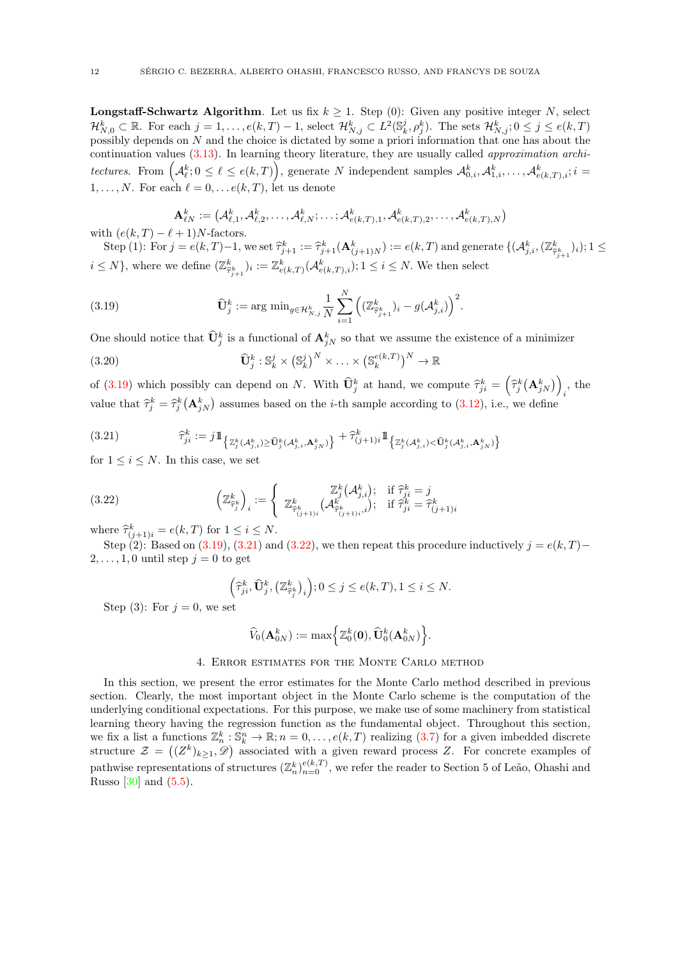**Longstaff-Schwartz Algorithm.** Let us fix  $k > 1$ . Step (0): Given any positive integer N, select  $\mathcal{H}_{N,0}^k\subset\mathbb{R}$ . For each  $j=1,\ldots,e(k,T)-1$ , select  $\mathcal{H}_{N,j}^k\subset L^2(\mathbb{S}_k^j,\rho_j^k)$ . The sets  $\mathcal{H}_{N,j}^k;0\leq j\leq e(k,T)$ possibly depends on N and the choice is dictated by some a priori information that one has about the continuation values [\(3.13\)](#page-9-1). In learning theory literature, they are usually called approximation architectures. From  $(A_\ell^k; 0 \leq \ell \leq e(k,T) \big)$ , generate N independent samples  $\mathcal{A}_{0,i}^k, \mathcal{A}_{1,i}^k, \ldots, \mathcal{A}_{e(k,T),i}^k; i =$  $1, \ldots, N$ . For each  $\ell = 0, \ldots e(k, T)$ , let us denote

$$
\mathbf{A}_{\ell N}^k := \left(\mathcal{A}_{\ell,1}^k, \mathcal{A}_{\ell,2}^k, \ldots, \mathcal{A}_{\ell,N}^k; \ldots; \mathcal{A}_{e(k,T),1}^k, \mathcal{A}_{e(k,T),2}^k, \ldots, \mathcal{A}_{e(k,T),N}^k\right)
$$
\nwith  $(e(k,T) - \ell + 1)N$ -factors.

Step (1): For  $j = e(k,T)-1$ , we set  $\hat{\tau}_{j+1}^k := \hat{\tau}_{j+1}^k(\mathbf{A}_{(j+1)N}^k) := e(k,T)$  and generate  $\{(\mathcal{A}_{j,i}^k,(\mathbb{Z}_{\hat{\tau}_{j+1}}^k)_i); 1 \leq k \leq k\}$  $i \leq N$ , where we define  $(\mathbb{Z}^k_{\hat{\tau}_{j+1}})_i := \mathbb{Z}^k_{e(k,T)}(\mathcal{A}^k_{e(k,T),i}); 1 \leq i \leq N$ . We then select

<span id="page-11-1"></span>(3.19) 
$$
\widehat{\mathbf{U}}_{j}^{k} := \arg \min_{g \in \mathcal{H}_{N,j}^{k}} \frac{1}{N} \sum_{i=1}^{N} \left( (\mathbb{Z}_{\widehat{\tau}_{j+1}^{k}}^{k})_{i} - g(\mathcal{A}_{j,i}^{k}) \right)^{2}.
$$

One should notice that  $\hat{\mathbf{U}}_j^k$  is a functional of  $\mathbf{A}_{jN}^k$  so that we assume the existence of a minimizer

<span id="page-11-4"></span>(3.20) 
$$
\widehat{\mathbf{U}}_j^k : \mathbb{S}_k^j \times (\mathbb{S}_k^j)^N \times \ldots \times (\mathbb{S}_k^{e(k,T)})^N \to \mathbb{R}
$$

of [\(3.19\)](#page-11-1) which possibly can depend on N. With  $\widehat{\mathbf{U}}_j^k$  at hand, we compute  $\widehat{\tau}_{ji}^k = (\widehat{\tau}_j^k(\mathbf{A}_{jN}^k))$  $\,i$ , the value that  $\hat{\tau}^k_j = \hat{\tau}^k_j (\mathbf{A}^k_{jN})$  assumes based on the *i*-th sample according to [\(3.12\)](#page-9-2), i.e., we define

<span id="page-11-2"></span>
$$
(3.21) \qquad \qquad \widehat{\tau}_{ji}^k := j1\!\!1_{\left\{\mathbb{Z}_j^k(\mathcal{A}_{j,i}^k) \geq \widehat{\mathbf{U}}_j^k(\mathcal{A}_{j,i}^k, \mathbf{A}_{jN}^k)\right\}} + \widehat{\tau}_{(j+1)i}^k1\!\!1_{\left\{\mathbb{Z}_j^k(\mathcal{A}_{j,i}^k) < \widehat{\mathbf{U}}_j^k(\mathcal{A}_{j,i}^k, \mathbf{A}_{jN}^k)\right\}}
$$

for  $1 \leq i \leq N$ . In this case, we set

(3.22) 
$$
\left(\mathbb{Z}_{\widehat{\tau}_j^k}^k\right)_i := \left\{\begin{array}{c} \mathbb{Z}_j^k(\mathcal{A}_{j,i}^k); \quad \text{if } \widehat{\tau}_{ji}^k = j\\ \mathbb{Z}_{\widehat{\tau}_{(j+1)i}^k}^k(\mathcal{A}_{\widehat{\tau}_{(j+1)i}^k}^k); \quad \text{if } \widehat{\tau}_{ji}^k = \widehat{\tau}_{(j+1)i}^k \end{array}\right.
$$

where  $\hat{\tau}_{(j+1)i}^k = e(k,T)$  for  $1 \le i \le N$ .

Step (2): Based on [\(3.19\)](#page-11-1), [\(3.21\)](#page-11-2) and [\(3.22\)](#page-11-3), we then repeat this procedure inductively  $j = e(k, T)$ −  $2, \ldots, 1, 0$  until step  $j = 0$  to get

<span id="page-11-3"></span>
$$
\left(\widehat{\tau}_{ji}^k, \widehat{\mathbf{U}}_j^k, \left(\mathbb{Z}_{\widehat{\tau}_j^k}^k\right)_i\right); 0 \le j \le e(k, T), 1 \le i \le N.
$$

Step (3): For  $i = 0$ , we set

$$
\widehat{V}_0(\mathbf{A}_{0N}^k):=\max\Bigl\{\mathbb{Z}_0^k(\mathbf{0}),\widehat{\mathbf{U}}_0^k(\mathbf{A}_{0N}^k)\Bigr\}.
$$

## 4. Error estimates for the Monte Carlo method

<span id="page-11-0"></span>In this section, we present the error estimates for the Monte Carlo method described in previous section. Clearly, the most important object in the Monte Carlo scheme is the computation of the underlying conditional expectations. For this purpose, we make use of some machinery from statistical learning theory having the regression function as the fundamental object. Throughout this section, we fix a list a functions  $\mathbb{Z}_n^k : \mathbb{S}_k^n \to \mathbb{R}$ ;  $n = 0, \ldots, e(k, T)$  realizing  $(3.7)$  for a given imbedded discrete structure  $\mathcal{Z} = ((Z^k)_{k \geq 1}, \mathcal{D})$  associated with a given reward process Z. For concrete examples of pathwise representations of structures  $(\mathbb{Z}_{n}^{k})_{n=0}^{e(k,T)}$ , we refer the reader to Section 5 of Leão, Ohashi and Russo  $[30]$  and  $(5.5)$ .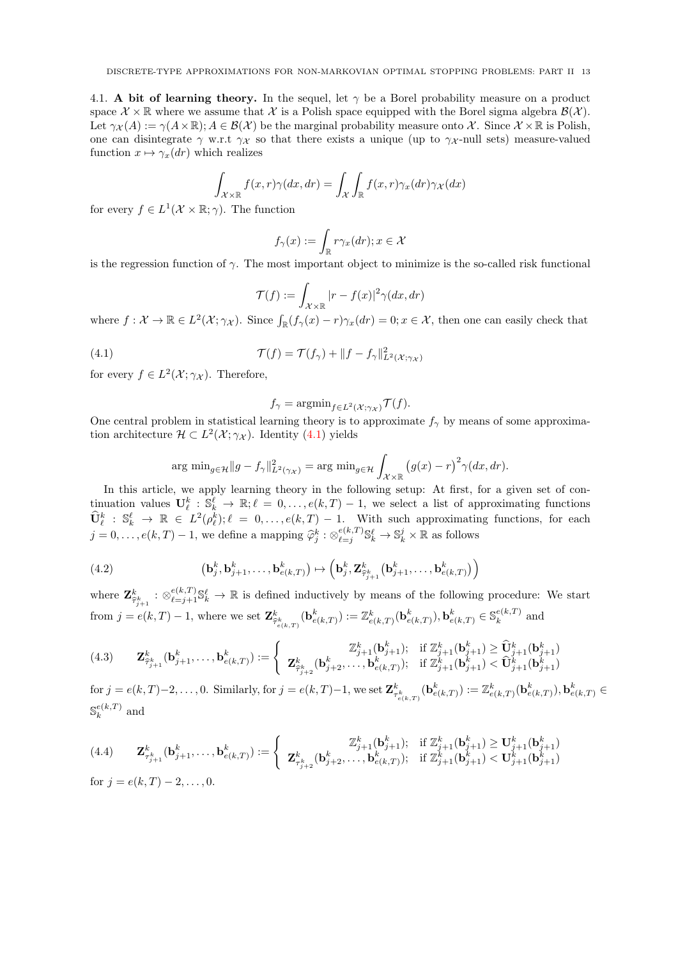4.1. A bit of learning theory. In the sequel, let  $\gamma$  be a Borel probability measure on a product space  $\mathcal{X} \times \mathbb{R}$  where we assume that X is a Polish space equipped with the Borel sigma algebra  $\mathcal{B}(\mathcal{X})$ . Let  $\gamma_{\mathcal{X}}(A) := \gamma(A \times \mathbb{R}); A \in \mathcal{B}(\mathcal{X})$  be the marginal probability measure onto X. Since  $\mathcal{X} \times \mathbb{R}$  is Polish, one can disintegrate  $\gamma$  w.r.t  $\gamma_{\mathcal{X}}$  so that there exists a unique (up to  $\gamma_{\mathcal{X}}$ -null sets) measure-valued function  $x \mapsto \gamma_x(dr)$  which realizes

$$
\int_{\mathcal{X}\times\mathbb{R}} f(x,r)\gamma(dx,dr) = \int_{\mathcal{X}} \int_{\mathbb{R}} f(x,r)\gamma_x(dr)\gamma_x(dx)
$$

for every  $f \in L^1(\mathcal{X} \times \mathbb{R}; \gamma)$ . The function

$$
f_{\gamma}(x) := \int_{\mathbb{R}} r \gamma_x(dr); x \in \mathcal{X}
$$

is the regression function of  $\gamma$ . The most important object to minimize is the so-called risk functional

$$
\mathcal{T}(f) := \int_{\mathcal{X} \times \mathbb{R}} |r - f(x)|^2 \gamma(dx, dr)
$$

where  $f: \mathcal{X} \to \mathbb{R} \in L^2(\mathcal{X}; \gamma_{\mathcal{X}})$ . Since  $\int_{\mathbb{R}} (f_{\gamma}(x) - r) \gamma_x(dr) = 0; x \in \mathcal{X}$ , then one can easily check that

(4.1) 
$$
\mathcal{T}(f) = \mathcal{T}(f_{\gamma}) + ||f - f_{\gamma}||_{L^{2}(\mathcal{X};\gamma_{\mathcal{X}})}^{2}
$$

for every  $f \in L^2(\mathcal{X}; \gamma_{\mathcal{X}})$ . Therefore,

<span id="page-12-0"></span>
$$
f_{\gamma} = \operatorname{argmin}_{f \in L^2(\mathcal{X}; \gamma_{\mathcal{X}})} \mathcal{T}(f).
$$

One central problem in statistical learning theory is to approximate  $f_{\gamma}$  by means of some approximation architecture  $\mathcal{H} \subset L^2(\mathcal{X}; \gamma_{\mathcal{X}})$ . Identity [\(4.1\)](#page-12-0) yields

$$
\arg\min_{g\in\mathcal{H}}\|g-f_{\gamma}\|_{L^{2}(\gamma_{\mathcal{X}})}^{2}=\arg\min_{g\in\mathcal{H}}\int_{\mathcal{X}\times\mathbb{R}}\left(g(x)-r\right)^{2}\gamma(dx,dr).
$$

In this article, we apply learning theory in the following setup: At first, for a given set of continuation values  $\mathbf{U}_{\ell}^k : \mathbb{S}_{k}^{\ell} \to \mathbb{R}; \ell = 0, \ldots, e(k,T) - 1$ , we select a list of approximating functions  $\widehat{\mathbf{U}}_{\ell}^{k} : \mathbb{S}_{k}^{\ell} \to \mathbb{R} \in L^{2}(\rho_{\ell}^{k}); \ell = 0, \ldots, e(k, T) - 1$ . With such approximating functions, for each  $j = 0, \ldots, e(k, T) - 1$ , we define a mapping  $\widehat{\varphi}_j^k : \otimes_{\ell=j}^{e(k, T)}$  ${}_{\ell=j}^{e(k,T)} \mathbb{S}_{k}^{\ell} \to \mathbb{S}_{k}^{j} \times \mathbb{R}$  as follows

(4.2) 
$$
\left(\mathbf{b}_j^k, \mathbf{b}_{j+1}^k, \ldots, \mathbf{b}_{e(k,T)}^k\right) \mapsto \left(\mathbf{b}_j^k, \mathbf{Z}_{\widehat{\tau}_{j+1}^k}^k(\mathbf{b}_{j+1}^k, \ldots, \mathbf{b}_{e(k,T)}^k)\right)
$$

where  $\mathbf{Z}_{\widehat{\tau}_{j+1}}^k : \otimes_{\ell=j+1}^{e(k,T)} \mathbb{S}_{k}^{\ell} \to \mathbb{R}$  is defined inductively by means of the following procedure: We start from  $j = e(k,T) - 1$ , where we set  $\mathbf{Z}^k_{\hat{\tau}^k_{e(k,T)}}(\mathbf{b}^k_{e(k,T)}) := \mathbb{Z}^k_{e(k,T)}(\mathbf{b}^k_{e(k,T)}), \mathbf{b}^k_{e(k,T)} \in \mathbb{S}_k^{e(k,T)}$  $\mathbb{R}^{e(\kappa,1)}$  and

<span id="page-12-2"></span>
$$
(4.3) \qquad \mathbf{Z}_{\hat{\tau}_{j+1}}^k(\mathbf{b}_{j+1}^k,\ldots,\mathbf{b}_{e(k,T)}^k) := \begin{cases} \mathbb{Z}_{j+1}^k(\mathbf{b}_{j+1}^k); & \text{if } \mathbb{Z}_{j+1}^k(\mathbf{b}_{j+1}^k) \geq \hat{\mathbf{U}}_{j+1}^k(\mathbf{b}_{j+1}^k) \\ \mathbf{Z}_{\hat{\tau}_{j+2}}^k(\mathbf{b}_{j+2}^k,\ldots,\mathbf{b}_{e(k,T)}^k); & \text{if } \mathbb{Z}_{j+1}^k(\mathbf{b}_{j+1}^k) < \hat{\mathbf{U}}_{j+1}^k(\mathbf{b}_{j+1}^k) \end{cases}
$$

 $\text{for } j = e(k,T)-2,\ldots, 0.$  Similarly, for  $j = e(k,T)-1$ , we set  $\mathbf{Z}_{\tau_{e(k,T)}^{k}}^{k}(\mathbf{b}_{e(k,T)}^{k}) := \mathbb{Z}_{e(k,T)}^{k}(\mathbf{b}_{e(k,T)}^{k}), \mathbf{b}_{e(k,T)}^{k} \in \mathbb{Z}_{e(k,T)}^{k}$  $\mathbb{S}^{e(k,T)}$  $k^{e(\kappa,1)}$  and

<span id="page-12-1"></span>
$$
(4.4) \qquad \mathbf{Z}_{\tau_{j+1}}^{k}(\mathbf{b}_{j+1}^{k},\ldots,\mathbf{b}_{e(k,T)}^{k}) := \begin{cases} \mathbb{Z}_{j+1}^{k}(\mathbf{b}_{j+1}^{k}); & \text{if } \mathbb{Z}_{j+1}^{k}(\mathbf{b}_{j+1}^{k}) \geq \mathbf{U}_{j+1}^{k}(\mathbf{b}_{j+1}^{k})\\ \mathbf{Z}_{\tau_{j+2}}^{k}(\mathbf{b}_{j+2}^{k},\ldots,\mathbf{b}_{e(k,T)}^{k}); & \text{if } \mathbb{Z}_{j+1}^{k}(\mathbf{b}_{j+1}^{k}) < \mathbf{U}_{j+1}^{k}(\mathbf{b}_{j+1}^{k}) \end{cases}
$$
\n
$$
\text{for } j = e(k,T) - 2,\ldots,0.
$$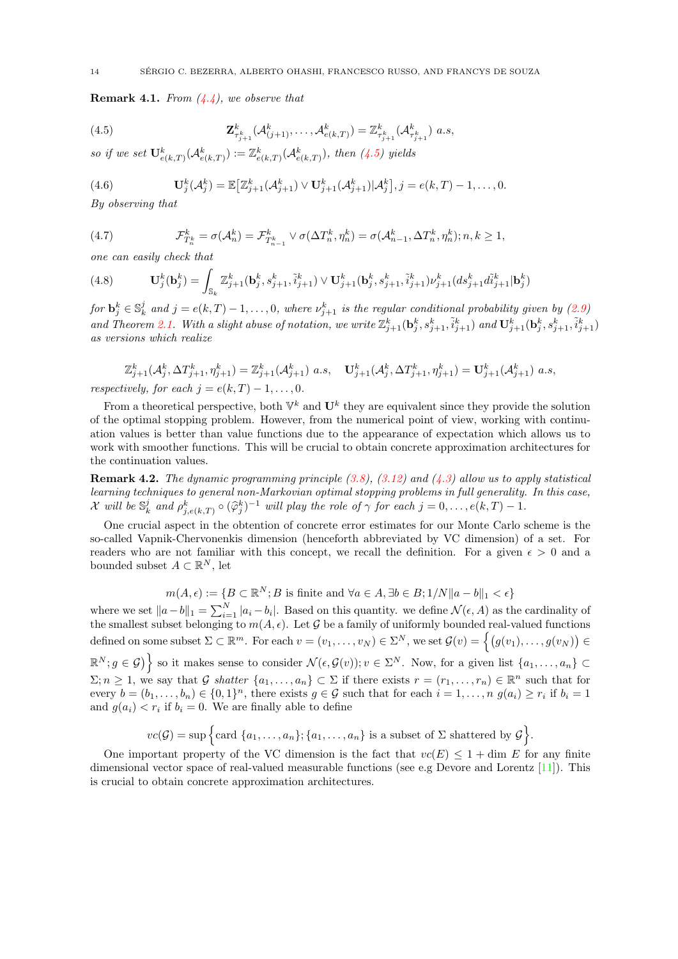<span id="page-13-1"></span>**Remark 4.1.** From  $(4.4)$ , we observe that

<span id="page-13-0"></span>(4.5) 
$$
\mathbf{Z}_{\tau_{j+1}^{k}}^{k}(\mathcal{A}_{(j+1)}^{k},\ldots,\mathcal{A}_{e(k,T)}^{k})=\mathbb{Z}_{\tau_{j+1}^{k}}^{k}(\mathcal{A}_{\tau_{j+1}^{k}}^{k})\ a.s,
$$

so if we set  $\mathbf{U}^k_{e(k,T)}(\mathcal{A}^k_{e(k,T)}) := \mathbb{Z}^k_{e(k,T)}(\mathcal{A}^k_{e(k,T)}),$  then  $(4.5)$  yields

(4.6) 
$$
\mathbf{U}_{j}^{k}(\mathcal{A}_{j}^{k})=\mathbb{E}\big[\mathbb{Z}_{j+1}^{k}(\mathcal{A}_{j+1}^{k})\vee\mathbf{U}_{j+1}^{k}(\mathcal{A}_{j+1}^{k})|\mathcal{A}_{j}^{k}\big],j=e(k,T)-1,\ldots,0.
$$

By observing that

(4.7) 
$$
\mathcal{F}_{T_n^k}^k = \sigma(\mathcal{A}_n^k) = \mathcal{F}_{T_{n-1}^k}^k \vee \sigma(\Delta T_n^k, \eta_n^k) = \sigma(\mathcal{A}_{n-1}^k, \Delta T_n^k, \eta_n^k); n, k \ge 1,
$$

one can easily check that

<span id="page-13-2"></span>(4.8) 
$$
\mathbf{U}_{j}^{k}(\mathbf{b}_{j}^{k}) = \int_{\mathbb{S}_{k}} \mathbb{Z}_{j+1}^{k}(\mathbf{b}_{j}^{k}, s_{j+1}^{k}, \tilde{i}_{j+1}^{k}) \vee \mathbf{U}_{j+1}^{k}(\mathbf{b}_{j}^{k}, s_{j+1}^{k}, \tilde{i}_{j+1}^{k}) \nu_{j+1}^{k} (ds_{j+1}^{k} d\tilde{i}_{j+1}^{k} | \mathbf{b}_{j}^{k})
$$

for  $\mathbf{b}_j^k \in \mathbb{S}_k^j$  and  $j = e(k,T) - 1, \ldots, 0$ , where  $\nu_{j+1}^k$  is the regular conditional probability given by  $(2.9)$ and Theorem [2.1.](#page-6-0) With a slight abuse of notation, we write  $\mathbb{Z}_{j+1}^k(\mathbf{b}_j^k,s_{j+1}^k,\tilde{i}_{j+1}^k)$  and  $\mathbf{U}_{j+1}^k(\mathbf{b}_j^k,s_{j+1}^k,\tilde{i}_{j+1}^k)$ as versions which realize

$$
\mathbb{Z}_{j+1}^{k}(\mathcal{A}_{j}^{k},\Delta T_{j+1}^{k},\eta_{j+1}^{k}) = \mathbb{Z}_{j+1}^{k}(\mathcal{A}_{j+1}^{k}) a.s, \quad \mathbf{U}_{j+1}^{k}(\mathcal{A}_{j}^{k},\Delta T_{j+1}^{k},\eta_{j+1}^{k}) = \mathbf{U}_{j+1}^{k}(\mathcal{A}_{j+1}^{k}) a.s,
$$
  
respectively, for each  $j = e(k,T) - 1, ..., 0$ .

From a theoretical perspective, both  $\mathbb{V}^k$  and  $\mathbf{U}^k$  they are equivalent since they provide the solution of the optimal stopping problem. However, from the numerical point of view, working with continuation values is better than value functions due to the appearance of expectation which allows us to work with smoother functions. This will be crucial to obtain concrete approximation architectures for the continuation values.

**Remark 4.2.** The dynamic programming principle  $(3.8)$ ,  $(3.12)$  and  $(4.3)$  allow us to apply statistical learning techniques to general non-Markovian optimal stopping problems in full generality. In this case, X will be  $\mathbb{S}^j_k$  and  $\rho^k_{j, e(k,T)} \circ (\widehat{\varphi}^k_j)^{-1}$  will play the role of  $\gamma$  for each  $j = 0, \ldots, e(k,T) - 1$ .

One crucial aspect in the obtention of concrete error estimates for our Monte Carlo scheme is the so-called Vapnik-Chervonenkis dimension (henceforth abbreviated by VC dimension) of a set. For readers who are not familiar with this concept, we recall the definition. For a given  $\epsilon > 0$  and a bounded subset  $A \subset \mathbb{R}^N$ , let

$$
m(A, \epsilon) := \{ B \subset \mathbb{R}^N; B \text{ is finite and } \forall a \in A, \exists b \in B; 1/N \| a - b \|_1 < \epsilon \}
$$

where we set  $||a-b||_1 = \sum_{i=1}^{N} |a_i - b_i|$ . Based on this quantity. we define  $\mathcal{N}(\epsilon, A)$  as the cardinality of the smallest subset belonging to  $m(A, \epsilon)$ . Let G be a family of uniformly bounded real-valued functions defined on some subset  $\Sigma \subset \mathbb{R}^m$ . For each  $v = (v_1, \ldots, v_N) \in \Sigma^N$ , we set  $\mathcal{G}(v) = \left\{ (g(v_1), \ldots, g(v_N)) \in \Sigma^N \right\}$  $\mathbb{R}^N; g \in \mathcal{G}$  so it makes sense to consider  $\mathcal{N}(\epsilon, \mathcal{G}(v)); v \in \Sigma^N$ . Now, for a given list  $\{a_1, \ldots, a_n\} \subset$  $\Sigma; n \geq 1$ , we say that G shatter  $\{a_1, \ldots, a_n\} \subset \Sigma$  if there exists  $r = (r_1, \ldots, r_n) \in \mathbb{R}^n$  such that for every  $b = (b_1, \ldots, b_n) \in \{0, 1\}^n$ , there exists  $g \in \mathcal{G}$  such that for each  $i = 1, \ldots, n$   $g(a_i) \geq r_i$  if  $b_i = 1$ and  $g(a_i) < r_i$  if  $b_i = 0$ . We are finally able to define

$$
vc(\mathcal{G}) = \sup \Big\{ \text{card } \{a_1, \ldots, a_n\}; \{a_1, \ldots, a_n\} \text{ is a subset of } \Sigma \text{ shattered by } \mathcal{G} \Big\}.
$$

One important property of the VC dimension is the fact that  $vc(E) \leq 1 + \dim E$  for any finite dimensional vector space of real-valued measurable functions (see e.g Devore and Lorentz  $[11]$ ). This is crucial to obtain concrete approximation architectures.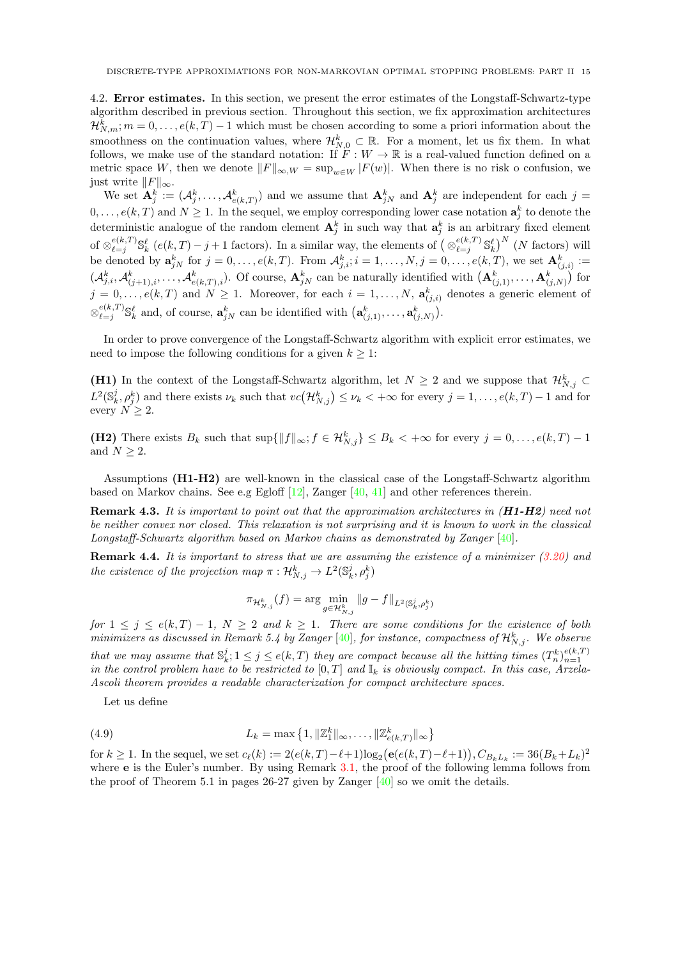4.2. Error estimates. In this section, we present the error estimates of the Longstaff-Schwartz-type algorithm described in previous section. Throughout this section, we fix approximation architectures  $\mathcal{H}_{N,m}^k$ ;  $m = 0, \ldots, e(k,T) - 1$  which must be chosen according to some a priori information about the smoothness on the continuation values, where  $\mathcal{H}_{N,0}^k\subset\mathbb{R}$ . For a moment, let us fix them. In what follows, we make use of the standard notation: If  $F : W \to \mathbb{R}$  is a real-valued function defined on a metric space W, then we denote  $||F||_{\infty,W} = \sup_{w \in W} |F(w)|$ . When there is no risk o confusion, we just write  $||F||_{\infty}$ .

We set  $\mathbf{A}_j^k := (A_j^k, \ldots, A_{e(k,T)}^k)$  and we assume that  $\mathbf{A}_{jN}^k$  and  $\mathbf{A}_j^k$  are independent for each  $j =$  $0, \ldots, e(k, T)$  and  $N \ge 1$ . In the sequel, we employ corresponding lower case notation  $\mathbf{a}_j^k$  to denote the deterministic analogue of the random element  $A_j^k$  in such way that  $a_j^k$  is an arbitrary fixed element of  $\otimes_{\ell=i}^{e(k,T)}$  $\sum_{\ell=j}^{e(k,T)} \mathbb{S}^{\ell}_{k}$  ( $e(k,T) - j + 1$  factors). In a similar way, the elements of  $\left(\otimes_{\ell=j}^{e(k,T)}\right)$  $\binom{e(k,T)}{\ell=j}$   $\mathbb{S}_k^{\ell}$   $\binom{N}{k}$  factors) will be denoted by  $\mathbf{a}_{jN}^k$  for  $j = 0, \ldots, e(k,T)$ . From  $\mathcal{A}_{j,i}^k$ ;  $i = 1, \ldots, N, j = 0, \ldots, e(k,T)$ , we set  $\mathbf{A}_{(j,i)}^k :=$  $(\mathcal{A}_{j,i}^k, \mathcal{A}_{(j+1),i}^k, \ldots, \mathcal{A}_{e(k,T),i}^k)$ . Of course,  $\mathbf{A}_{jN}^k$  can be naturally identified with  $(\mathbf{A}_{(j,1)}^k, \ldots, \mathbf{A}_{(j,N)}^k)$  for  $j = 0, \ldots, e(k, T)$  and  $N \ge 1$ . Moreover, for each  $i = 1, \ldots, N$ ,  $\mathbf{a}_{(j,i)}^k$  denotes a generic element of  $\otimes_{\ell=i}^{e(k,T)}$  $\mathbf{e}_{\ell=j}^{(k,T)} \mathbb{S}_k^{\ell}$  and, of course,  $\mathbf{a}_{jN}^k$  can be identified with  $(\mathbf{a}_{(j,1)}^k, \ldots, \mathbf{a}_{(j,N)}^k)$ .

In order to prove convergence of the Longstaff-Schwartz algorithm with explicit error estimates, we need to impose the following conditions for a given  $k \geq 1$ :

(H1) In the context of the Longstaff-Schwartz algorithm, let  $N \geq 2$  and we suppose that  $\mathcal{H}_{N,j}^k \subset$  $L^2(\mathbb{S}_k^j, \rho_j^k)$  and there exists  $\nu_k$  such that  $vc(\mathcal{H}_{N,j}^k) \leq \nu_k < +\infty$  for every  $j = 1, \ldots, e(k,T) - 1$  and for every  $N \geq 2$ .

(H2) There exists  $B_k$  such that  $\sup\{\|f\|_{\infty}; f \in \mathcal{H}_{N,j}^k\} \leq B_k < +\infty$  for every  $j = 0, \ldots, e(k,T) - 1$ and  $N\geq 2.$ 

Assumptions (H1-H2) are well-known in the classical case of the Longstaff-Schwartz algorithm based on Markov chains. See e.g Egloff  $[12]$ , Zanger  $[40, 41]$  $[40, 41]$  $[40, 41]$  and other references therein.

Remark 4.3. It is important to point out that the approximation architectures in  $(H1-H2)$  need not be neither convex nor closed. This relaxation is not surprising and it is known to work in the classical Longstaff-Schwartz algorithm based on Markov chains as demonstrated by Zanger [\[40\]](#page-29-10).

**Remark 4.4.** It is important to stress that we are assuming the existence of a minimizer  $(3.20)$  and the existence of the projection map  $\pi: \mathcal{H}_{N,j}^k \to L^2(\mathbb{S}_k^j, \rho_j^k)$ 

<span id="page-14-0"></span>
$$
\pi_{\mathcal{H}_{N,j}^k}(f) = \arg\min_{g \in \mathcal{H}_{N,j}^k} \|g - f\|_{L^2(\mathbb{S}_k^j, \rho_j^k)}
$$

for  $1 \leq j \leq e(k,T) - 1$ ,  $N \geq 2$  and  $k \geq 1$ . There are some conditions for the existence of both minimizers as discussed in Remark 5.4 by Zanger  $[40]$ , for instance, compactness of  ${\cal H}^k_{N,j}$ . We observe that we may assume that  $\mathbb{S}_k^j$ ;  $1 \leq j \leq e(k,T)$  they are compact because all the hitting times  $(T_n^k)_{n=1}^{e(k,T)}$ in the control problem have to be restricted to  $[0, T]$  and  $\mathbb{I}_k$  is obviously compact. In this case, Arzela-Ascoli theorem provides a readable characterization for compact architecture spaces.

Let us define

(4.9) 
$$
L_k = \max\left\{1, \|\mathbb{Z}_1^k\|_{\infty}, \dots, \|\mathbb{Z}_{e(k,T)}^k\|_{\infty}\right\}
$$

for  $k \ge 1$ . In the sequel, we set  $c_{\ell}(k) := 2(e(k,T) - \ell + 1)\log_2(e(e(k,T) - \ell + 1)), C_{B_kL_k} := 36(B_k + L_k)^2$ where **e** is the Euler's number. By using Remark [3.1,](#page-7-2) the proof of the following lemma follows from the proof of Theorem 5.1 in pages  $26-27$  given by Zanger  $[40]$  so we omit the details.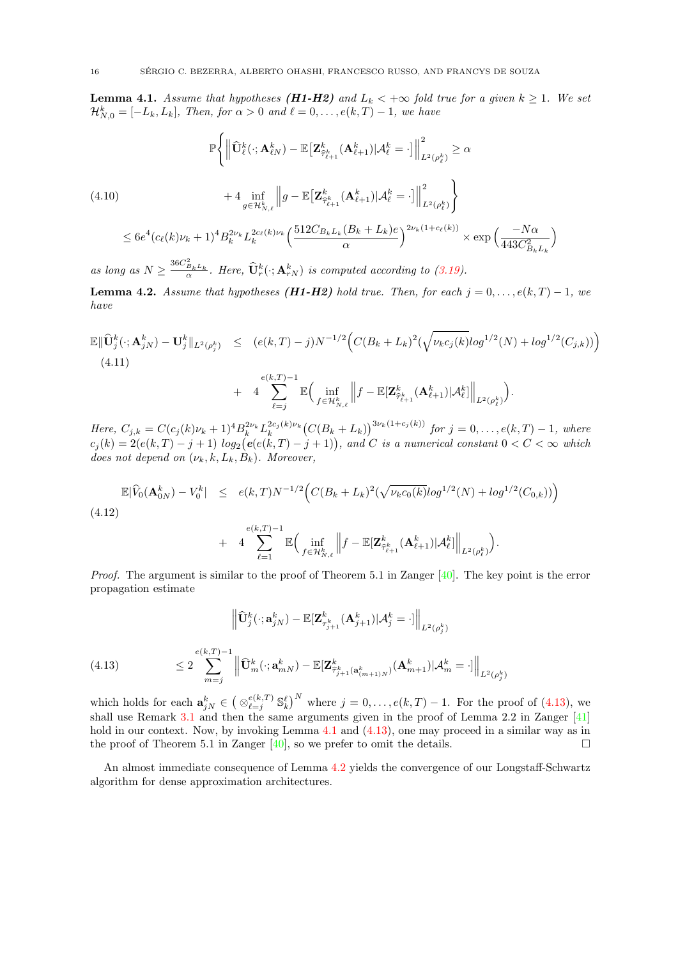<span id="page-15-1"></span>**Lemma 4.1.** Assume that hypotheses (**H1-H2**) and  $L_k < +\infty$  fold true for a given  $k > 1$ . We set  $\mathcal{H}_{N,0}^{k} = [-L_{k}, L_{k}],$  Then, for  $\alpha > 0$  and  $\ell = 0, \ldots, e(k, T) - 1$ , we have

<span id="page-15-3"></span>
$$
\mathbb{P}\Biggl\{\Big\|\widehat{\mathbf{U}}_{\ell}^{k}(\cdot;\mathbf{A}_{\ell N}^{k}) - \mathbb{E}\big[\mathbf{Z}_{\widehat{\tau}_{\ell+1}^{k}}^{k}(\mathbf{A}_{\ell+1}^{k})|\mathcal{A}_{\ell}^{k} = \cdot\big]\Big\|_{L^{2}(\rho_{\ell}^{k})}^{2} \geq \alpha
$$
\n
$$
+ 4 \inf_{g \in \mathcal{H}_{N,\ell}^{k}} \Bigg\|g - \mathbb{E}\big[\mathbf{Z}_{\widehat{\tau}_{\ell+1}^{k}}^{k}(\mathbf{A}_{\ell+1}^{k})|\mathcal{A}_{\ell}^{k} = \cdot\big]\Big\|_{L^{2}(\rho_{\ell}^{k})}^{2}
$$
\n
$$
\leq 6e^{4}(c_{\ell}(k)\nu_{k} + 1)^{4}B_{k}^{2\nu_{k}}L_{k}^{2c_{\ell}(k)\nu_{k}}\Big(\frac{512C_{B_{k}L_{k}}(B_{k} + L_{k})e}{\alpha}\Big)^{2\nu_{k}(1 + c_{\ell}(k))} \times \exp\Big(\frac{-N\alpha}{443C_{B_{k}L_{k}}^{2}}\Big)
$$

as long as  $N \geq \frac{36C_{B_kL_k}^2}{\alpha}$ . Here,  $\widehat{\mathbf{U}}_r^k(\cdot; \mathbf{A}_{rN}^k)$  is computed according to [\(3.19\)](#page-11-1).

<span id="page-15-2"></span>**Lemma 4.2.** Assume that hypotheses ( $H1-H2$ ) hold true. Then, for each  $j = 0, \ldots, e(k, T) - 1$ , we have

$$
\mathbb{E} \|\widehat{\mathbf{U}}_{j}^{k}(\cdot; \mathbf{A}_{jN}^{k}) - \mathbf{U}_{j}^{k}\|_{L^{2}(\rho_{j}^{k})} \leq (e(k, T) - j)N^{-1/2} \Big(C(B_{k} + L_{k})^{2} (\sqrt{\nu_{k}c_{j}(k)}log^{1/2}(N) + log^{1/2}(C_{j,k}))\Big)
$$
\n(4.11)

$$
+ 4 \sum_{\ell=j}^{\infty} \mathbb{E} \Big( \inf_{f \in \mathcal{H}_{N,\ell}^k} \Big\| f - \mathbb{E}[\mathbf{Z}_{\widehat{\tau}_{\ell+1}^k}^k(\mathbf{A}_{\ell+1}^k)|\mathcal{A}_{\ell}^k] \Big\|_{L^2(\rho_{\ell}^k)} \Big).
$$

Here,  $C_{j,k} = C(c_j(k)\nu_k+1)^4 B_k^{2\nu_k} L_k^{2c_j(k)\nu_k} (C(B_k+L_k))^{3\nu_k(1+c_j(k))}$  for  $j = 0, \ldots, e(k,T)-1$ , where  $c_j(k) = 2(e(k,T) - j + 1) log_2(e(e(k,T) - j + 1)),$  and C is a numerical constant  $0 < C < \infty$  which does not depend on  $(\nu_k, k, L_k, B_k)$ . Moreover,

$$
\mathbb{E}|\widehat{V}_0(\mathbf{A}_{0N}^k) - V_0^k| \leq e(k,T)N^{-1/2}\Big(C(B_k + L_k)^2(\sqrt{\nu_k c_0(k)}log^{1/2}(N) + log^{1/2}(C_{0,k}))\Big)
$$

$$
(4.12)
$$

$$
+ 4 \sum_{\ell=1}^{e(k,T)-1} \mathbb{E} \Big( \inf_{f \in \mathcal{H}_{N,\ell}^k} \Big\| f - \mathbb{E}[\mathbf{Z}_{\widehat{\tau}_{\ell+1}^k}^k(\mathbf{A}_{\ell+1}^k) | \mathcal{A}_{\ell}^k] \Big\|_{L^2(\rho_{\ell}^k)} \Big)
$$

.

Proof. The argument is similar to the proof of Theorem 5.1 in Zanger [\[40\]](#page-29-10). The key point is the error propagation estimate

$$
\left\| \widehat{\mathbf{U}}_{j}^{k}(\cdot; \mathbf{a}_{jN}^{k}) - \mathbb{E}[\mathbf{Z}_{\tau_{j+1}^{k}}^{k}(\mathbf{A}_{j+1}^{k}) | \mathcal{A}_{j}^{k} = \cdot] \right\|_{L^{2}(\rho_{j}^{k})}
$$
\n
$$
\leq 2 \sum_{m=j}^{e(k,T)-1} \left\| \widehat{\mathbf{U}}_{m}^{k}(\cdot; \mathbf{a}_{mN}^{k}) - \mathbb{E}[\mathbf{Z}_{\widehat{\tau}_{j+1}^{k}(\mathbf{a}_{(m+1)N}^{k})}^{k}(\mathbf{A}_{m+1}^{k}) | \mathcal{A}_{m}^{k} = \cdot] \right\|_{L^{2}(\rho_{j}^{k})}
$$

<span id="page-15-0"></span>which holds for each  $\mathbf{a}_{jN}^k \in \left( \otimes_{\ell=j}^{e(k,T)} \right)$  $\binom{e(k,T)}{e=j}$   $\mathbb{S}_k^{\ell}$  where  $j = 0, \ldots, e(k,T) - 1$ . For the proof of [\(4.13\)](#page-15-0), we shall use Remark [3.1](#page-7-2) and then the same arguments given in the proof of Lemma 2.2 in Zanger  $[41]$ hold in our context. Now, by invoking Lemma [4.1](#page-15-1) and  $(4.13)$ , one may proceed in a similar way as in the proof of Theorem 5.1 in Zanger  $[40]$ , so we prefer to omit the details.

An almost immediate consequence of Lemma [4.2](#page-15-2) yields the convergence of our Longstaff-Schwartz algorithm for dense approximation architectures.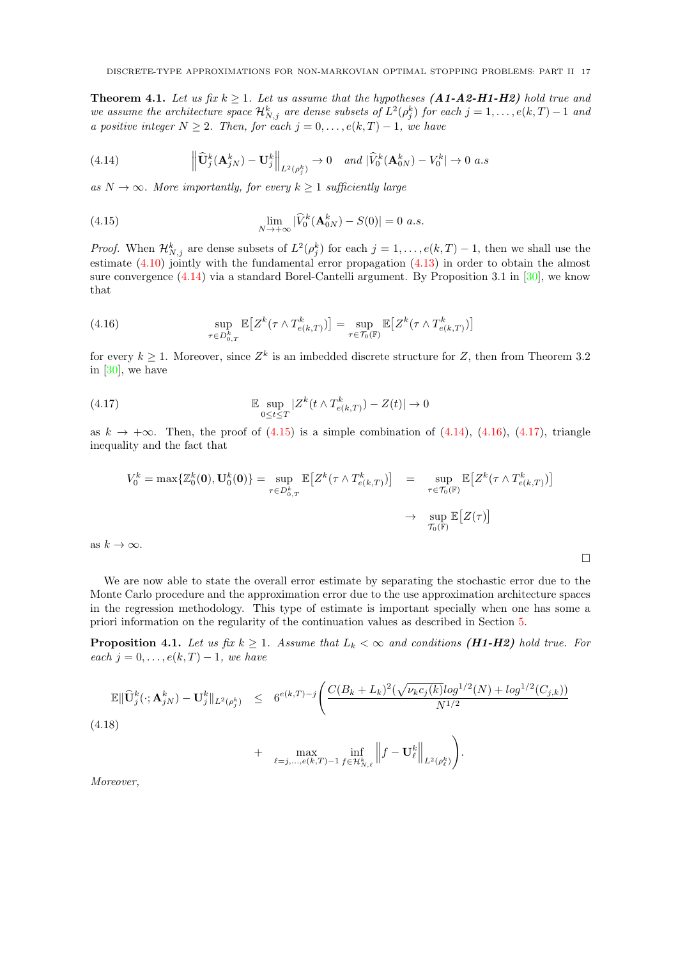<span id="page-16-0"></span>**Theorem 4.1.** Let us fix  $k \geq 1$ . Let us assume that the hypotheses (A1-A2-H1-H2) hold true and we assume the architecture space  $\mathcal{H}_{N,j}^k$  are dense subsets of  $L^2(\rho_j^k)$  for each  $j=1,\ldots,e(k,T)-1$  and a positive integer  $N \geq 2$ . Then, for each  $j = 0, \ldots, e(k, T) - 1$ , we have

<span id="page-16-2"></span>(4.14) 
$$
\left\| \widehat{\mathbf{U}}_{j}^{k}(\mathbf{A}_{jN}^{k}) - \mathbf{U}_{j}^{k} \right\|_{L^{2}(\rho_{j}^{k})} \to 0 \quad \text{and } |\widehat{V}_{0}^{k}(\mathbf{A}_{0N}^{k}) - V_{0}^{k}| \to 0 \text{ a.s}
$$

as  $N \to \infty$ . More importantly, for every  $k \geq 1$  sufficiently large

<span id="page-16-3"></span>(4.15) 
$$
\lim_{N \to +\infty} |\widehat{V}_0^k(\mathbf{A}_{0N}^k) - S(0)| = 0 \text{ a.s.}
$$

*Proof.* When  $\mathcal{H}_{N,j}^k$  are dense subsets of  $L^2(\rho_j^k)$  for each  $j = 1, \ldots, e(k,T) - 1$ , then we shall use the estimate  $(4.10)$  jointly with the fundamental error propagation  $(4.13)$  in order to obtain the almost sure convergence [\(4.14\)](#page-16-2) via a standard Borel-Cantelli argument. By Proposition 3.1 in [\[30\]](#page-29-0), we know that

<span id="page-16-4"></span>(4.16) 
$$
\sup_{\tau \in D_{0,T}^k} \mathbb{E}\big[Z^k(\tau \wedge T_{e(k,T)}^k)\big] = \sup_{\tau \in \mathcal{T}_0(\mathbb{F})} \mathbb{E}\big[Z^k(\tau \wedge T_{e(k,T)}^k)\big]
$$

for every  $k \geq 1$ . Moreover, since  $Z^k$  is an imbedded discrete structure for Z, then from Theorem 3.2 in [\[30\]](#page-29-0), we have

(4.17) 
$$
\mathbb{E} \sup_{0 \leq t \leq T} |Z^k(t \wedge T_{e(k,T)}^k) - Z(t)| \to 0
$$

as  $k \to +\infty$ . Then, the proof of [\(4.15\)](#page-16-3) is a simple combination of [\(4.14\)](#page-16-2), [\(4.16\)](#page-16-4), [\(4.17\)](#page-16-5), triangle inequality and the fact that

<span id="page-16-5"></span>
$$
V_0^k = \max \{ \mathbb{Z}_0^k(\mathbf{0}), \mathbf{U}_0^k(\mathbf{0}) \} = \sup_{\tau \in D_{0,T}^k} \mathbb{E} \left[ Z^k(\tau \wedge T_{e(k,T)}^k) \right] = \sup_{\tau \in \mathcal{T}_0(\mathbb{F})} \mathbb{E} \left[ Z^k(\tau \wedge T_{e(k,T)}^k) \right]
$$
  

$$
\rightarrow \sup_{\mathcal{T}_0(\mathbb{F})} \mathbb{E} \left[ Z(\tau) \right]
$$

 $\Box$ 

as  $k \to \infty$ .

We are now able to state the overall error estimate by separating the stochastic error due to the Monte Carlo procedure and the approximation error due to the use approximation architecture spaces in the regression methodology. This type of estimate is important specially when one has some a priori information on the regularity of the continuation values as described in Section [5.](#page-18-1)

<span id="page-16-1"></span>**Proposition 4.1.** Let us fix  $k \geq 1$ . Assume that  $L_k < \infty$  and conditions (H1-H2) hold true. For each  $j = 0, \ldots, e(k, T) - 1$ , we have

<span id="page-16-6"></span>
$$
\mathbb{E} \|\widehat{\mathbf{U}}_{j}^{k}(\cdot; \mathbf{A}_{jN}^{k}) - \mathbf{U}_{j}^{k}\|_{L^{2}(\rho_{j}^{k})} \leq 6^{e(k,T)-j} \Bigg( \frac{C(B_{k}+L_{k})^{2}(\sqrt{\nu_{k}c_{j}(k)}log^{1/2}(N) + log^{1/2}(C_{j,k}))}{N^{1/2}} \Bigg)
$$
\n(4.18)

+ 
$$
\max_{\ell=j,\ldots,e(k,T)-1} \inf_{f \in \mathcal{H}_{N,\ell}^k} \left\| f - \mathbf{U}_{\ell}^k \right\|_{L^2(\rho_{\ell}^k)} \right).
$$

Moreover,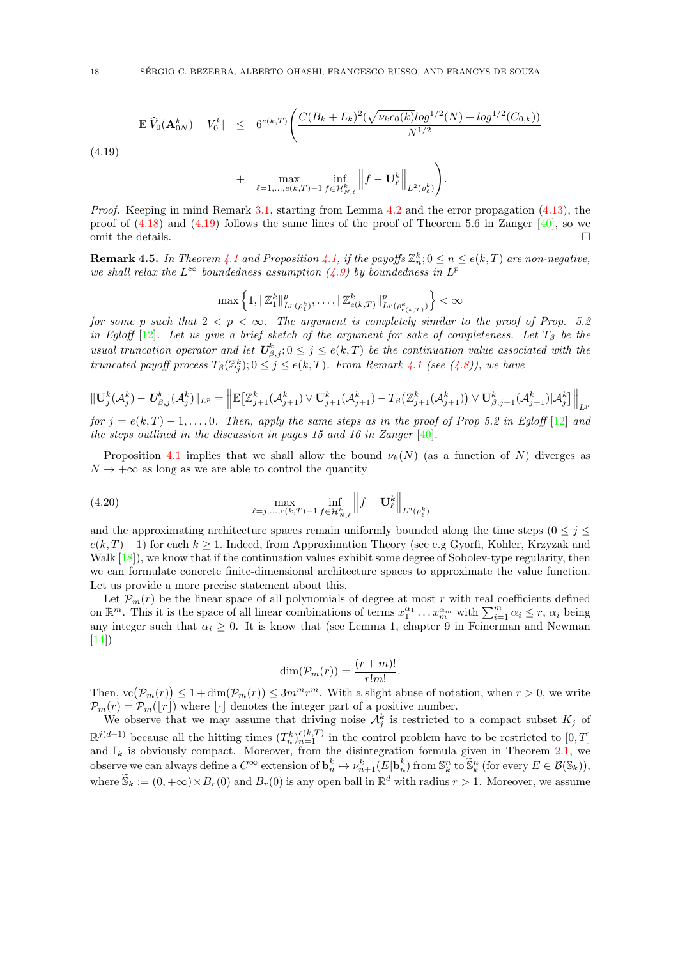<span id="page-17-0"></span>
$$
\mathbb{E}|\widehat{V}_0(\mathbf{A}_{0N}^k) - V_0^k| \leq 6^{e(k,T)} \left( \frac{C(B_k + L_k)^2 (\sqrt{\nu_k c_0(k)} \log^{1/2}(N) + \log^{1/2}(C_{0,k}))}{N^{1/2}} \right)
$$
\n(4.19)

$$
+ \quad \max_{\ell=1,\ldots,e(k,T)-1} \inf_{f \in \mathcal{H}_{N,\ell}^k} \left\| f - \mathbf{U}_{\ell}^k \right\|_{L^2(\rho_{\ell}^k)} \right).
$$

*Proof.* Keeping in mind Remark [3.1,](#page-7-2) starting from Lemma [4.2](#page-15-2) and the error propagation  $(4.13)$ , the proof of  $(4.18)$  and  $(4.19)$  follows the same lines of the proof of Theorem 5.6 in Zanger [\[40\]](#page-29-10), so we omit the details.  $\Box$ 

**Remark 4.5.** In Theorem [4.1](#page-16-0) and Proposition [4.1,](#page-16-1) if the payoffs  $\mathbb{Z}_n^k$ ;  $0 \le n \le e(k,T)$  are non-negative, we shall relax the  $L^{\infty}$  boundedness assumption [\(4.9\)](#page-14-0) by boundedness in  $L^p$ 

$$
\max\left\{1, \|\mathbb{Z}_1^k\|_{L^p(\rho_1^k)}^p, \dots, \|\mathbb{Z}_{e(k,T)}^k\|_{L^p(\rho_{e(k,T)}^k)}^p\right\} < \infty
$$

for some p such that  $2 < p < \infty$ . The argument is completely similar to the proof of Prop. 5.2 in Egloff  $[12]$ . Let us give a brief sketch of the argument for sake of completeness. Let  $T_\beta$  be the usual truncation operator and let  $U^k_{\beta,j}$ ;  $0 \leq j \leq e(k,T)$  be the continuation value associated with the truncated payoff process  $T_{\beta}(\mathbb{Z}_{j}^{k}); 0 \leq j \leq e(k,T)$ . From Remark [4.1](#page-13-1) (see [\(4.8\)](#page-13-2)), we have

$$
\|\mathbf{U}^k_j(\mathcal{A}^k_j) - \mathbf{U}^k_{\beta,j}(\mathcal{A}^k_j)\|_{L^p} = \left\|\mathbb{E}\big[\mathbb{Z}^k_{j+1}(\mathcal{A}^k_{j+1}) \vee \mathbf{U}^k_{j+1}(\mathcal{A}^k_{j+1}) - T_\beta\big(\mathbb{Z}^k_{j+1}(\mathcal{A}^k_{j+1})\big) \vee \mathbf{U}^k_{\beta,j+1}(\mathcal{A}^k_{j+1})|\mathcal{A}^k_j\big]\right\|_{L^p}
$$

for  $j = e(k, T) - 1, \ldots, 0$ . Then, apply the same steps as in the proof of Prop 5.2 in Eqloff [\[12\]](#page-29-9) and the steps outlined in the discussion in pages 15 and 16 in Zanger [\[40\]](#page-29-10).

Proposition [4.1](#page-16-1) implies that we shall allow the bound  $\nu_k(N)$  (as a function of N) diverges as  $N \to +\infty$  as long as we are able to control the quantity

(4.20) 
$$
\max_{\ell=j,...,e(k,T)-1} \inf_{f \in \mathcal{H}_{N,\ell}^k} \left\| f - \mathbf{U}_{\ell}^k \right\|_{L^2(\rho_{\ell}^k)}
$$

and the approximating architecture spaces remain uniformly bounded along the time steps ( $0 \leq j \leq$  $e(k, T) - 1$ ) for each  $k \ge 1$ . Indeed, from Approximation Theory (see e.g Gyorfi, Kohler, Krzyzak and Walk [\[18\]](#page-29-32)), we know that if the continuation values exhibit some degree of Sobolev-type regularity, then we can formulate concrete finite-dimensional architecture spaces to approximate the value function. Let us provide a more precise statement about this.

Let  $\mathcal{P}_m(r)$  be the linear space of all polynomials of degree at most r with real coefficients defined on  $\mathbb{R}^m$ . This it is the space of all linear combinations of terms  $x_1^{\alpha_1} \dots x_m^{\alpha_m}$  with  $\sum_{i=1}^m \alpha_i \leq r$ ,  $\alpha_i$  being any integer such that  $\alpha_i \geq 0$ . It is know that (see Lemma 1, chapter 9 in Feinerman and Newman [\[14\]](#page-29-33))

$$
\dim(\mathcal{P}_m(r)) = \frac{(r+m)!}{r!m!}.
$$

Then,  $\text{vc}(\mathcal{P}_m(r)) \leq 1 + \dim(\mathcal{P}_m(r)) \leq 3m^m r^m$ . With a slight abuse of notation, when  $r > 0$ , we write  $\mathcal{P}_m(r) = \mathcal{P}_m(r)$  where  $\lfloor \cdot \rfloor$  denotes the integer part of a positive number.

We observe that we may assume that driving noise  $\mathcal{A}_{j}^{k}$  is restricted to a compact subset  $K_{j}$  of  $\mathbb{R}^{j(d+1)}$  because all the hitting times  $(T_n^k)_{n=1}^{e(k,T)}$  in the control problem have to be restricted to  $[0,T]$ and  $\mathbb{I}_k$  is obviously compact. Moreover, from the disintegration formula given in Theorem [2.1,](#page-6-0) we observe we can always define a  $C^{\infty}$  extension of  $\mathbf{b}_n^k \mapsto \nu_{n+1}^k(E|\mathbf{b}_n^k)$  from  $\mathbb{S}_k^n$  to  $\widetilde{\mathbb{S}}_k^n$  (for every  $E \in \mathcal{B}(\mathbb{S}_k)$ ), where  $\widetilde{S}_k := (0, +\infty) \times B_r(0)$  and  $B_r(0)$  is any open ball in  $\mathbb{R}^d$  with radius  $r > 1$ . Moreover, we assume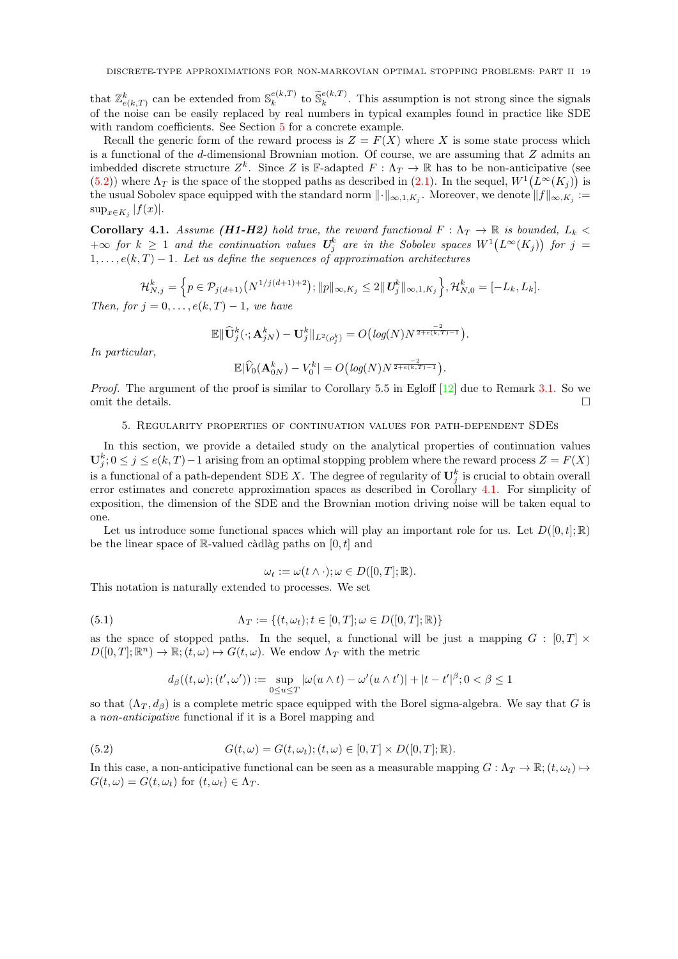that  $\mathbb{Z}_{e(k,T)}^k$  can be extended from  $\mathbb{S}_k^{e(k,T)}$  $\kappa_k^{e(k,T)}$  to  $\widetilde{\mathbb{S}}_k^{e(k,T)}$  $\kappa_k^{e(k,1)}$ . This assumption is not strong since the signals of the noise can be easily replaced by real numbers in typical examples found in practice like SDE with random coefficients. See Section [5](#page-18-1) for a concrete example.

Recall the generic form of the reward process is  $Z = F(X)$  where X is some state process which is a functional of the d-dimensional Brownian motion. Of course, we are assuming that Z admits an imbedded discrete structure  $Z^k$ . Since Z is F-adapted  $F: \Lambda_T \to \mathbb{R}$  has to be non-anticipative (see [\(5.2\)](#page-18-2)) where  $\Lambda_T$  is the space of the stopped paths as described in [\(2.1\)](#page-3-1). In the sequel,  $W^1(L^\infty(K_j))$  is the usual Sobolev space equipped with the standard norm  $\|\cdot\|_{\infty,1,K_j}$ . Moreover, we denote  $\|f\|_{\infty,K_j}:=$  $\sup_{x \in K_j} |f(x)|$ .

<span id="page-18-0"></span>Corollary 4.1. Assume (H1-H2) hold true, the reward functional  $F : \Lambda_T \to \mathbb{R}$  is bounded,  $L_k <$  $+\infty$  for  $k \geq 1$  and the continuation values  $\mathbf{U}_j^k$  are in the Sobolev spaces  $W^1(L^\infty(K_j))$  for  $j = 1$  $1, \ldots, e(k, T) - 1$ . Let us define the sequences of approximation architectures

$$
\mathcal{H}_{N,j}^k = \left\{ p \in \mathcal{P}_{j(d+1)}\left(N^{1/j(d+1)+2}\right); \|p\|_{\infty,K_j} \le 2 \|U_j^k\|_{\infty,1,K_j} \right\}, \mathcal{H}_{N,0}^k = [-L_k, L_k].
$$

Then, for  $j = 0, \ldots, e(k, T) - 1$ , we have

$$
\mathbb{E}\|\widehat{\mathbf{U}}_j^k(\cdot;\mathbf{A}_{jN}^k)-\mathbf{U}_j^k\|_{L^2(\rho_j^k)}=O\big(log(N)N^{\frac{-2}{2+\epsilon(k,T)-1}}\big).
$$

In particular,

$$
\mathbb{E}|\widehat{V}_0(\mathbf{A}_{0N}^k)-V_0^k|=O\big(log(N)N^{\frac{-2}{2+e(k,T)-1}}\big).
$$

Proof. The argument of the proof is similar to Corollary 5.5 in Egloff [\[12\]](#page-29-9) due to Remark [3.1.](#page-7-2) So we omit the details.

#### 5. Regularity properties of continuation values for path-dependent SDEs

<span id="page-18-1"></span>In this section, we provide a detailed study on the analytical properties of continuation values  $\mathbf{U}_{j}^{k}$ ;  $0 \leq j \leq e(k,T)-1$  arising from an optimal stopping problem where the reward process  $Z = F(X)$ is a functional of a path-dependent SDE X. The degree of regularity of  $\mathbf{U}_j^k$  is crucial to obtain overall error estimates and concrete approximation spaces as described in Corollary [4.1.](#page-18-0) For simplicity of exposition, the dimension of the SDE and the Brownian motion driving noise will be taken equal to one.

Let us introduce some functional spaces which will play an important role for us. Let  $D([0, t]; \mathbb{R})$ be the linear space of R-valued càdlàg paths on  $[0, t]$  and

$$
\omega_t := \omega(t \wedge \cdot); \omega \in D([0, T]; \mathbb{R}).
$$

This notation is naturally extended to processes. We set

(5.1) 
$$
\Lambda_T := \{(t, \omega_t); t \in [0, T]; \omega \in D([0, T]; \mathbb{R})\}
$$

as the space of stopped paths. In the sequel, a functional will be just a mapping  $G : [0, T] \times$  $D([0,T];\mathbb{R}^n) \to \mathbb{R}; (t,\omega) \mapsto G(t,\omega)$ . We endow  $\Lambda_T$  with the metric

<span id="page-18-2"></span>
$$
d_{\beta}((t,\omega);(t',\omega')):=\sup_{0\leq u\leq T}|\omega(u\wedge t)-\omega'(u\wedge t')|+|t-t'|^{\beta};0<\beta\leq T
$$

so that  $(\Lambda_T, d_\beta)$  is a complete metric space equipped with the Borel sigma-algebra. We say that G is a non-anticipative functional if it is a Borel mapping and

(5.2) 
$$
G(t, \omega) = G(t, \omega_t); (t, \omega) \in [0, T] \times D([0, T]; \mathbb{R}).
$$

In this case, a non-anticipative functional can be seen as a measurable mapping  $G : \Lambda_T \to \mathbb{R}; (t, \omega_t) \mapsto$  $G(t, \omega) = G(t, \omega_t)$  for  $(t, \omega_t) \in \Lambda_T$ .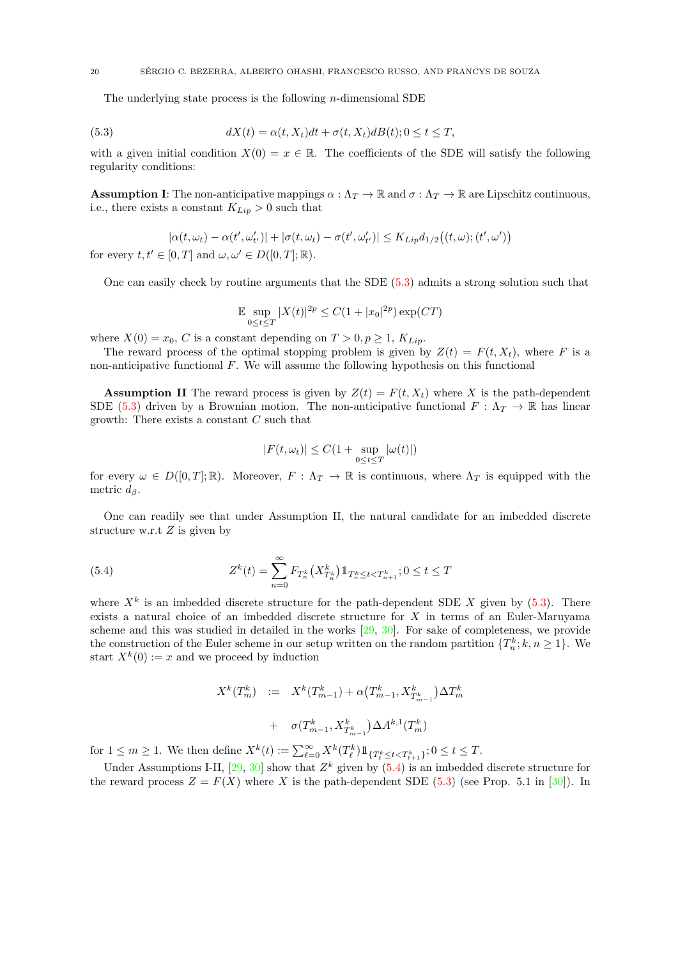<span id="page-19-0"></span>The underlying state process is the following *n*-dimensional SDE

(5.3) 
$$
dX(t) = \alpha(t, X_t)dt + \sigma(t, X_t)dB(t); 0 \le t \le T,
$$

with a given initial condition  $X(0) = x \in \mathbb{R}$ . The coefficients of the SDE will satisfy the following regularity conditions:

**Assumption I:** The non-anticipative mappings  $\alpha : \Lambda_T \to \mathbb{R}$  and  $\sigma : \Lambda_T \to \mathbb{R}$  are Lipschitz continuous, i.e., there exists a constant  $K_{Lip} > 0$  such that

$$
|\alpha(t,\omega_t) - \alpha(t',\omega'_{t'})| + |\sigma(t,\omega_t) - \sigma(t',\omega'_{t'})| \le K_{Lip} d_{1/2}((t,\omega); (t',\omega'))
$$
  
for every  $t, t' \in [0,T]$  and  $\omega, \omega' \in D([0,T]; \mathbb{R})$ .

One can easily check by routine arguments that the SDE [\(5.3\)](#page-19-0) admits a strong solution such that

$$
\mathbb{E} \sup_{0 \le t \le T} |X(t)|^{2p} \le C(1+|x_0|^{2p}) \exp(CT)
$$

where  $X(0) = x_0$ , C is a constant depending on  $T > 0, p \ge 1, K_{Lip}$ .

The reward process of the optimal stopping problem is given by  $Z(t) = F(t, X_t)$ , where F is a non-anticipative functional  $F$ . We will assume the following hypothesis on this functional

**Assumption II** The reward process is given by  $Z(t) = F(t, X_t)$  where X is the path-dependent SDE [\(5.3\)](#page-19-0) driven by a Brownian motion. The non-anticipative functional  $F : \Lambda_T \to \mathbb{R}$  has linear growth: There exists a constant  $C$  such that

<span id="page-19-1"></span>
$$
|F(t, \omega_t)| \le C(1 + \sup_{0 \le t \le T} |\omega(t)|)
$$

for every  $\omega \in D([0,T];\mathbb{R})$ . Moreover,  $F: \Lambda_T \to \mathbb{R}$  is continuous, where  $\Lambda_T$  is equipped with the metric  $d_{\beta}$ .

One can readily see that under Assumption II, the natural candidate for an imbedded discrete structure w.r.t  $Z$  is given by

(5.4) 
$$
Z^{k}(t) = \sum_{n=0}^{\infty} F_{T_{n}^{k}}(X_{T_{n}^{k}}^{k}) 1\!\!1_{T_{n}^{k} \leq t < T_{n+1}^{k}}; 0 \leq t \leq T
$$

where  $X^k$  is an imbedded discrete structure for the path-dependent SDE X given by  $(5.3)$ . There exists a natural choice of an imbedded discrete structure for X in terms of an Euler-Maruyama scheme and this was studied in detailed in the works [\[29,](#page-29-26) [30\]](#page-29-0). For sake of completeness, we provide the construction of the Euler scheme in our setup written on the random partition  $\{T_n^k; k, n \geq 1\}$ . We start  $X^k(0) := x$  and we proceed by induction

$$
X^{k}(T_{m}^{k}) := X^{k}(T_{m-1}^{k}) + \alpha (T_{m-1}^{k}, X_{T_{m-1}^{k}}^{k}) \Delta T_{m}^{k}
$$

$$
+ \sigma (T_{m-1}^{k}, X_{T_{m-1}^{k}}^{k}) \Delta A^{k,1}(T_{m}^{k})
$$

for  $1 \leq m \geq 1$ . We then define  $X^k(t) := \sum_{\ell=0}^{\infty} X^k(T_{\ell}^k) 1\!\!1_{\{T_{\ell}^k \leq t < T_{\ell+1}^k\}}$ ;  $0 \leq t \leq T$ .

Under Assumptions I-II,  $[29, 30]$  $[29, 30]$  $[29, 30]$  show that  $Z<sup>k</sup>$  given by  $(5.4)$  is an imbedded discrete structure for the reward process  $Z = F(X)$  where X is the path-dependent SDE [\(5.3\)](#page-19-0) (see Prop. 5.1 in [\[30\]](#page-29-0)). In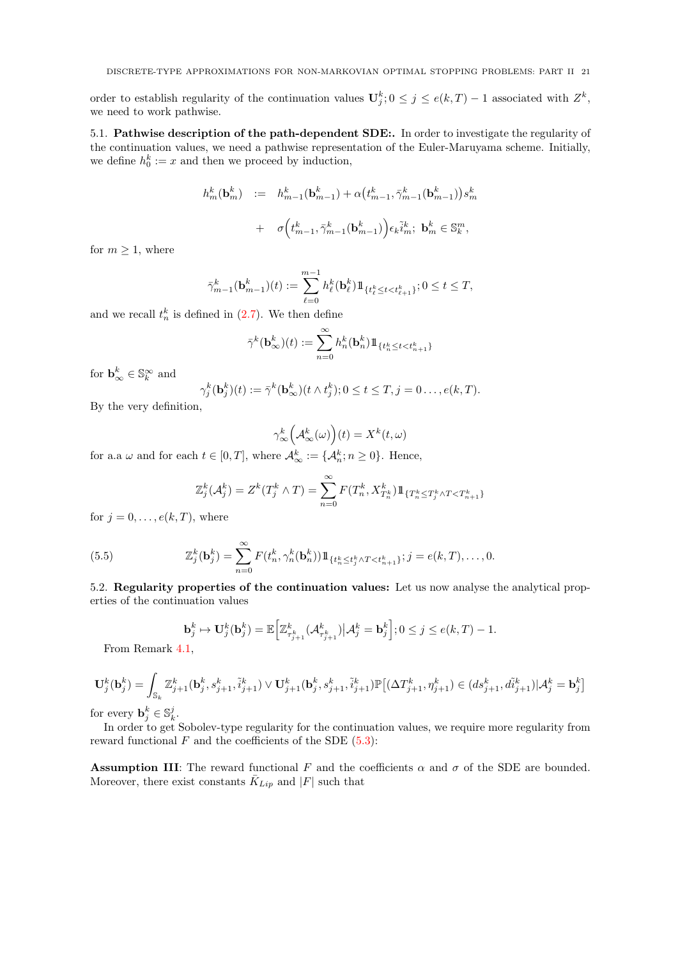DISCRETE-TYPE APPROXIMATIONS FOR NON-MARKOVIAN OPTIMAL STOPPING PROBLEMS: PART II 21

order to establish regularity of the continuation values  $\mathbf{U}_j^k; 0 \leq j \leq e(k,T) - 1$  associated with  $Z^k$ , we need to work pathwise.

5.1. Pathwise description of the path-dependent SDE:. In order to investigate the regularity of the continuation values, we need a pathwise representation of the Euler-Maruyama scheme. Initially, we define  $h_0^k := x$  and then we proceed by induction,

$$
h_m^k(\mathbf{b}_m^k) := h_{m-1}^k(\mathbf{b}_{m-1}^k) + \alpha \left(t_{m-1}^k, \bar{\gamma}_{m-1}^k(\mathbf{b}_{m-1}^k)\right) s_m^k
$$

$$
+ \sigma \left(t_{m-1}^k, \bar{\gamma}_{m-1}^k(\mathbf{b}_{m-1}^k)\right) \epsilon_k \tilde{i}_m^k; \ \mathbf{b}_m^k \in \mathbb{S}_k^m,
$$

for  $m \geq 1$ , where

$$
\bar{\gamma}_{m-1}^k(\textbf{b}^k_{m-1})(t):=\sum_{\ell=0}^{m-1}h^k_\ell(\textbf{b}^k_\ell)1\!\!1_{\{t^k_\ell\leq t < t^k_{\ell+1}\}}; 0\leq t\leq T,
$$

and we recall  $t_n^k$  is defined in  $(2.7)$ . We then define

$$
\bar{\gamma}^k(\textbf{b}^k_\infty)(t):=\sum_{n=0}^\infty h_n^k(\textbf{b}^k_n)1\!\!1_{\{t_n^k\leq t < t_{n+1}^k\}}
$$

for  $\mathbf{b}_{\infty}^k \in \mathbb{S}_k^{\infty}$  and

$$
\gamma_j^k(\mathbf{b}_j^k)(t) := \bar{\gamma}^k(\mathbf{b}_{\infty}^k)(t \wedge t_j^k); 0 \le t \le T, j = 0 \dots, e(k, T).
$$

By the very definition,

$$
\gamma^k_{\infty}\Big(\mathcal{A}^k_{\infty}(\omega)\Big)(t) = X^k(t,\omega)
$$

for a.a  $\omega$  and for each  $t \in [0, T]$ , where  $\mathcal{A}_{\infty}^{k} := \{ \mathcal{A}_{n}^{k} ; n \geq 0 \}$ . Hence,

<span id="page-20-0"></span>
$$
\mathbb{Z}_{j}^{k}(\mathcal{A}_{j}^{k}) = Z^{k}(T_{j}^{k} \wedge T) = \sum_{n=0}^{\infty} F(T_{n}^{k}, X_{T_{n}}^{k}) 1\!\!1_{\{T_{n}^{k} \le T_{j}^{k} \wedge T < T_{n+1}^{k}\}}
$$

for  $j = 0, \ldots, e(k, T)$ , where

(5.5) 
$$
\mathbb{Z}_{j}^{k}(\mathbf{b}_{j}^{k}) = \sum_{n=0}^{\infty} F(t_{n}^{k}, \gamma_{n}^{k}(\mathbf{b}_{n}^{k})) \mathbb{1}_{\{t_{n}^{k} \le t_{j}^{k} \wedge T < t_{n+1}^{k}\}; j = e(k, T), \dots, 0.
$$

5.2. Regularity properties of the continuation values: Let us now analyse the analytical properties of the continuation values

$$
\mathbf{b}_j^k \mapsto \mathbf{U}_j^k(\mathbf{b}_j^k) = \mathbb{E}\Big[\mathbb{Z}_{\tau_{j+1}^k}^k(\mathcal{A}_{\tau_{j+1}^k}^k) \big| \mathcal{A}_j^k = \mathbf{b}_j^k\Big]; 0 \le j \le e(k,T) - 1.
$$

From Remark [4.1,](#page-13-1)

$$
\mathbf{U}^k_j(\mathbf{b}^k_j) = \int_{\mathbb{S}_k} \mathbb{Z}^k_{j+1}(\mathbf{b}^k_j,s^k_{j+1},\tilde{i}^k_{j+1}) \vee \mathbf{U}^k_{j+1}(\mathbf{b}^k_j,s^k_{j+1},\tilde{i}^k_{j+1}) \mathbb{P}\big[(\Delta T^k_{j+1},\eta^k_{j+1}) \in (ds^k_{j+1},d\tilde{i}^k_{j+1}) | \mathcal{A}^k_j = \mathbf{b}^k_j\big]
$$

for every  $\mathbf{b}_j^k \in \mathbb{S}_k^j$ .

In order to get Sobolev-type regularity for the continuation values, we require more regularity from reward functional  $F$  and the coefficients of the SDE  $(5.3)$ :

**Assumption III:** The reward functional F and the coefficients  $\alpha$  and  $\sigma$  of the SDE are bounded. Moreover, there exist constants  $\overline{K}_{Lip}$  and  $|F|$  such that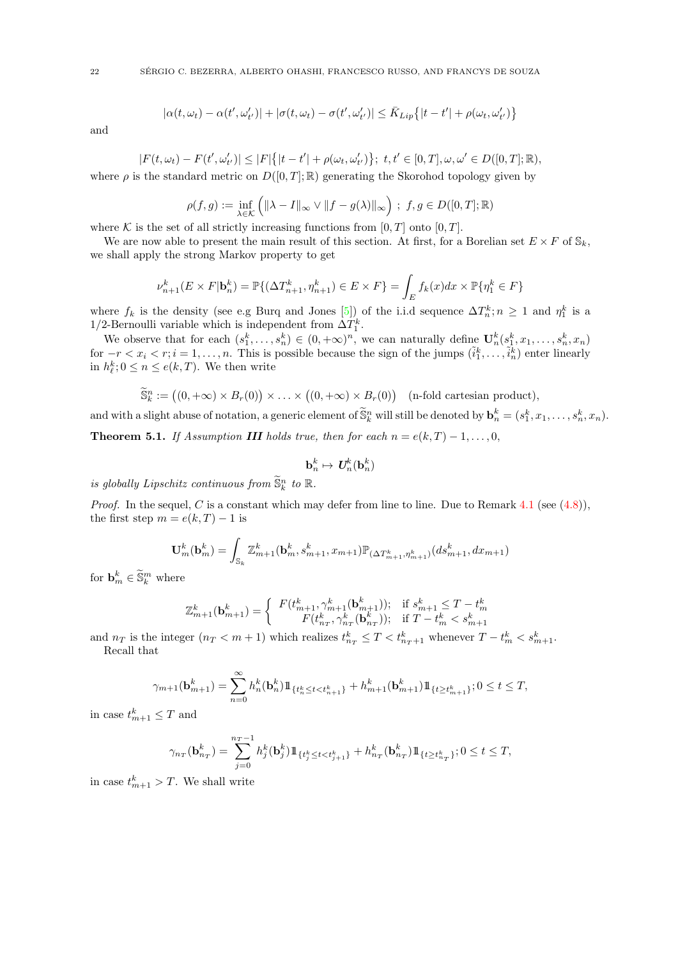$$
|\alpha(t,\omega_t) - \alpha(t',\omega'_{t'})| + |\sigma(t,\omega_t) - \sigma(t',\omega'_{t'})| \leq \bar{K}_{Lip}\{|t-t'| + \rho(\omega_t,\omega'_{t'})\}
$$

and

$$
|F(t,\omega_t) - F(t',\omega'_{t'})| \leq |F| \{ |t - t'| + \rho(\omega_t,\omega'_{t'}) \};\ t, t' \in [0,T], \omega, \omega' \in D([0,T];\mathbb{R}),
$$

where  $\rho$  is the standard metric on  $D([0,T];\mathbb{R})$  generating the Skorohod topology given by

$$
\rho(f,g) := \inf_{\lambda \in \mathcal{K}} \left( \|\lambda - I\|_{\infty} \vee \|f - g(\lambda)\|_{\infty} \right) ; f, g \in D([0, T]; \mathbb{R})
$$

where K is the set of all strictly increasing functions from  $[0, T]$  onto  $[0, T]$ .

We are now able to present the main result of this section. At first, for a Borelian set  $E \times F$  of  $\mathbb{S}_k$ , we shall apply the strong Markov property to get

$$
\nu^k_{n+1}(E \times F | \mathbf{b}^k_n) = \mathbb{P}\{(\Delta T^k_{n+1}, \eta^k_{n+1}) \in E \times F\} = \int_E f_k(x) dx \times \mathbb{P}\{\eta^k_1 \in F\}
$$

where  $f_k$  is the density (see e.g Burq and Jones [\[5\]](#page-28-4)) of the i.i.d sequence  $\Delta T_n^k$ ;  $n \geq 1$  and  $\eta_1^k$  is a 1/2-Bernoulli variable which is independent from  $\Delta T_1^k$ .

We observe that for each  $(s_1^k, \ldots, s_n^k) \in (0, +\infty)^n$ , we can naturally define  $\mathbf{U}_n^k(s_1^k, x_1, \ldots, s_n^k, x_n)$ for  $-r < x_i < r; i = 1, \ldots, n$ . This is possible because the sign of the jumps  $(\tilde{i}_1^k, \ldots, \tilde{i}_n^k)$  enter linearly in  $h_{\ell}^k$ ;  $0 \le n \le e(k,T)$ . We then write

$$
\widetilde{\mathbb{S}}_k^n := \big((0, +\infty) \times B_r(0)\big) \times \ldots \times \big((0, +\infty) \times B_r(0)\big) \quad \text{(n-fold cartesian product)},
$$

and with a slight abuse of notation, a generic element of  $\widetilde{\mathbb{S}}_k^n$  will still be denoted by  $\mathbf{b}_n^k = (s_1^k, x_1, \ldots, s_n^k, x_n)$ .

<span id="page-21-0"></span>**Theorem 5.1.** If Assumption **III** holds true, then for each  $n = e(k, T) - 1, \ldots, 0$ ,

$$
\mathbf{b}_n^k \mapsto \textbf{\textit{U}}_n^k(\mathbf{b}_n^k)
$$

is globally Lipschitz continuous from  $\widetilde{\mathbb{S}}_k^n$  to  $\mathbb{R}$ .

*Proof.* In the sequel, C is a constant which may defer from line to line. Due to Remark [4.1](#page-13-1) (see [\(4.8\)](#page-13-2)), the first step  $m = e(k, T) - 1$  is

$$
\mathbf{U}_{m}^{k}(\mathbf{b}_{m}^{k}) = \int_{\mathbb{S}_{k}} \mathbb{Z}_{m+1}^{k}(\mathbf{b}_{m}^{k}, s_{m+1}^{k}, x_{m+1}) \mathbb{P}_{(\Delta T_{m+1}^{k}, \eta_{m+1}^{k})}(ds_{m+1}^{k}, dx_{m+1})
$$

for  $\mathbf{b}_m^k \in \widetilde{\mathbb{S}}_k^m$  where

$$
\mathbb{Z}_{m+1}^{k}(\mathbf{b}^k_{m+1})=\left\{\begin{array}{cc} F(t^k_{m+1},\gamma^k_{m+1}(\mathbf{b}^k_{m+1})); & \text{if } s^k_{m+1}\leq T-t^k_m \\ F(t^k_{n_T},\gamma^k_{n_T}(\mathbf{b}^k_{n_T})); & \text{if } T-t^k_m < s^k_{m+1}\end{array}\right.
$$

and  $n_T$  is the integer  $(n_T < m + 1)$  which realizes  $t_{n_T}^k \leq T < t_{n_T+1}^k$  whenever  $T - t_m^k < s_{m+1}^k$ . Recall that

$$
\gamma_{m+1}(\mathbf{b}^k_{m+1}) = \sum_{n=0}^{\infty} h_n^k(\mathbf{b}^k_n) 1\!\!1_{\{t^k_n \le t < t^k_{n+1}\}} + h_{m+1}^k(\mathbf{b}^k_{m+1}) 1\!\!1_{\{t \ge t^k_{m+1}\}}; 0 \le t \le T,
$$

in case  $t_{m+1}^k \leq T$  and

$$
\gamma_{n_T}(\mathbf{b}^k_{n_T}) = \sum_{j=0}^{n_T-1} h^k_j(\mathbf{b}^k_j) 1\!\!1_{\{t^k_j \le t < t^k_{j+1}\}} + h^k_{n_T}(\mathbf{b}^k_{n_T}) 1\!\!1_{\{t \ge t^k_{n_T}\}}; 0 \le t \le T,
$$

in case  $t_{m+1}^k > T$ . We shall write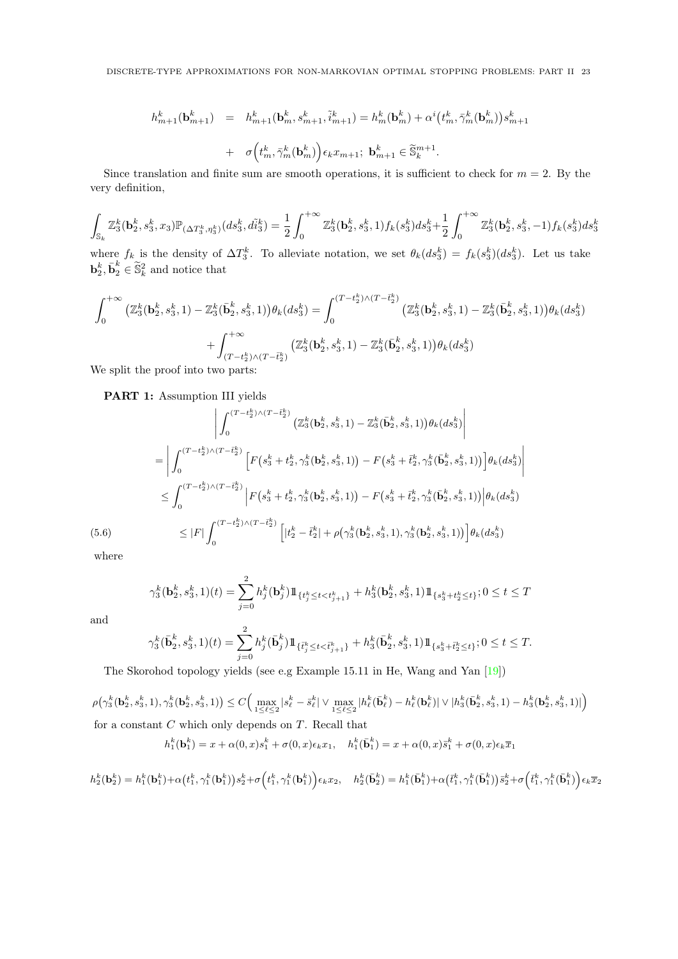$$
\begin{array}{rcl} h_{m+1}^k(\textbf{b}^k_{m+1}) & = & h_{m+1}^k(\textbf{b}^k_{m}, s_{m+1}^k, \tilde{i}^k_{m+1}) = h_m^k(\textbf{b}^k_{m}) + \alpha^i \bigl( t_m^k, \bar{\gamma}_m^k(\textbf{b}^k_{m}) \bigr) s_{m+1}^k \\ \\ & + & \sigma \Bigl( t_m^k, \bar{\gamma}_m^k(\textbf{b}^k_{m}) \Bigr) \epsilon_k x_{m+1}; \ \ \textbf{b}^k_{m+1} \in \widetilde{\mathbb{S}}^{m+1}_k. \end{array}
$$

Since translation and finite sum are smooth operations, it is sufficient to check for  $m = 2$ . By the very definition,

$$
\int_{\mathbb{S}_k} \mathbb{Z}_3^k(\mathbf{b}_2^k, s_3^k, x_3) \mathbb{P}_{(\Delta T_3^k, \eta_3^k)}(ds_3^k, d\tilde{t}_3^k) = \frac{1}{2} \int_0^{+\infty} \mathbb{Z}_3^k(\mathbf{b}_2^k, s_3^k, 1) f_k(s_3^k) ds_3^k + \frac{1}{2} \int_0^{+\infty} \mathbb{Z}_3^k(\mathbf{b}_2^k, s_3^k, -1) f_k(s_3^k) ds_3^k
$$

where  $f_k$  is the density of  $\Delta T_3^k$ . To alleviate notation, we set  $\theta_k(ds_3^k) = f_k(s_3^k)(ds_3^k)$ . Let us take  $\mathbf{b}_2^k, \bar{\mathbf{b}}_2^k \in \tilde{\mathbb{S}}_k^2$  and notice that

$$
\int_{0}^{+\infty} \left( \mathbb{Z}_{3}^{k}(\mathbf{b}_{2}^{k}, s_{3}^{k}, 1) - \mathbb{Z}_{3}^{k}(\bar{\mathbf{b}}_{2}^{k}, s_{3}^{k}, 1) \right) \theta_{k}(ds_{3}^{k}) = \int_{0}^{(T-t_{2}^{k}) \wedge (T-\bar{t}_{2}^{k})} \left( \mathbb{Z}_{3}^{k}(\mathbf{b}_{2}^{k}, s_{3}^{k}, 1) - \mathbb{Z}_{3}^{k}(\bar{\mathbf{b}}_{2}^{k}, s_{3}^{k}, 1) \right) \theta_{k}(ds_{3}^{k}) + \int_{(T-t_{2}^{k}) \wedge (T-\bar{t}_{2}^{k})}^{+\infty} \left( \mathbb{Z}_{3}^{k}(\mathbf{b}_{2}^{k}, s_{3}^{k}, 1) - \mathbb{Z}_{3}^{k}(\bar{\mathbf{b}}_{2}^{k}, s_{3}^{k}, 1) \right) \theta_{k}(ds_{3}^{k})
$$

We split the proof into two parts:

## PART 1: Assumption III yields

$$
\left| \int_{0}^{(T-t_{2}^{k})\wedge(T-t_{2}^{k})} \left( \mathbb{Z}_{3}^{k}(\mathbf{b}_{2}^{k}, s_{3}^{k}, 1) - \mathbb{Z}_{3}^{k}(\bar{\mathbf{b}}_{2}^{k}, s_{3}^{k}, 1) \right) \theta_{k}(ds_{3}^{k}) \right|
$$
\n
$$
= \left| \int_{0}^{(T-t_{2}^{k})\wedge(T-t_{2}^{k})} \left[ F(s_{3}^{k} + t_{2}^{k}, \gamma_{3}^{k}(\mathbf{b}_{2}^{k}, s_{3}^{k}, 1)) - F(s_{3}^{k} + t_{2}^{k}, \gamma_{3}^{k}(\bar{\mathbf{b}}_{2}^{k}, s_{3}^{k}, 1)) \right] \theta_{k}(ds_{3}^{k}) \right|
$$
\n
$$
\leq \int_{0}^{(T-t_{2}^{k})\wedge(T-t_{2}^{k})} \left| F(s_{3}^{k} + t_{2}^{k}, \gamma_{3}^{k}(\mathbf{b}_{2}^{k}, s_{3}^{k}, 1)) - F(s_{3}^{k} + t_{2}^{k}, \gamma_{3}^{k}(\bar{\mathbf{b}}_{2}^{k}, s_{3}^{k}, 1)) \right| \theta_{k}(ds_{3}^{k})
$$
\n
$$
\leq |F| \int_{0}^{(T-t_{2}^{k})\wedge(T-t_{2}^{k})} \left[ |t_{2}^{k} - \bar{t}_{2}^{k}| + \rho(\gamma_{3}^{k}(\mathbf{b}_{2}^{k}, s_{3}^{k}, 1), \gamma_{3}^{k}(\mathbf{b}_{2}^{k}, s_{3}^{k}, 1)) \right] \theta_{k}(ds_{3}^{k})
$$
\nwhere

where

<span id="page-22-0"></span>
$$
\gamma^k_3(\textbf{b}^k_2,s^k_3,1)(t)=\sum_{j=0}^2 h^k_j(\textbf{b}^k_j) 1\!\!1_{\{t^k_j\leq t < t^k_{j+1}\}}+h^k_3(\textbf{b}^k_2,s^k_3,1)1\!\!1_{\{s^k_3+t^k_2\leq t\}}; 0\leq t\leq T
$$

and

$$
\gamma_3^k(\bar{\mathbf{b}}_2^k, s_3^k, 1)(t) = \sum_{j=0}^2 h_j^k(\bar{\mathbf{b}}_j^k) 1\!\!1_{\{\bar{t}_j^k \le t < \bar{t}_{j+1}^k\}} + h_3^k(\bar{\mathbf{b}}_2^k, s_3^k, 1)1\!\!1_{\{s_3^k + \bar{t}_2^k \le t\}}; 0 \le t \le T.
$$

The Skorohod topology yields (see e.g Example 15.11 in He, Wang and Yan [\[19\]](#page-29-28))

 $\rho\big(\gamma_3^k(\textbf{b}_2^k,s_3^k,1),\gamma_3^k(\textbf{b}_2^k,s_3^k,1)\big)\leq C\Big(\max_{1\leq \ell\leq 2}|s_{\ell}^k-\bar{s}_{\ell}^k|\vee \max_{1\leq \ell\leq 2}|h_{\ell}^k(\bar{\textbf{b}}_{\ell}^k)-h_{\ell}^k(\textbf{b}_{\ell}^k)|\vee |h_{3}^k(\bar{\textbf{b}}_2^k,s_3^k,1)-h_{3}^k(\textbf{b}_2^k,s_3^k,1)|\Big)$ for a constant  $C$  which only depends on  $T$ . Recall that

$$
h_1^k(\mathbf{b}_1^k) = x + \alpha(0, x)s_1^k + \sigma(0, x)\epsilon_k x_1, \quad h_1^k(\bar{\mathbf{b}}_1^k) = x + \alpha(0, x)\bar{s}_1^k + \sigma(0, x)\epsilon_k \bar{x}_1
$$

$$
h_2^k(\textbf{b}_2^k) = h_1^k(\textbf{b}_1^k) + \alpha \bigl(t_1^k, \gamma_1^k(\textbf{b}_1^k)\bigr)s_2^k + \sigma \Bigl(t_1^k, \gamma_1^k(\textbf{b}_1^k)\Bigr) \epsilon_k x_2, \quad h_2^k(\bar{\textbf{b}}_2^k) = h_1^k(\bar{\textbf{b}}_1^k) + \alpha \bigl(\bar{t}_1^k, \gamma_1^k(\bar{\textbf{b}}_1^k)\bigr)\bar{s}_2^k + \sigma \Bigl(\bar{t}_1^k, \gamma_1^k(\bar{\textbf{b}}_1^k)\Bigr) \epsilon_k \overline{x}_2
$$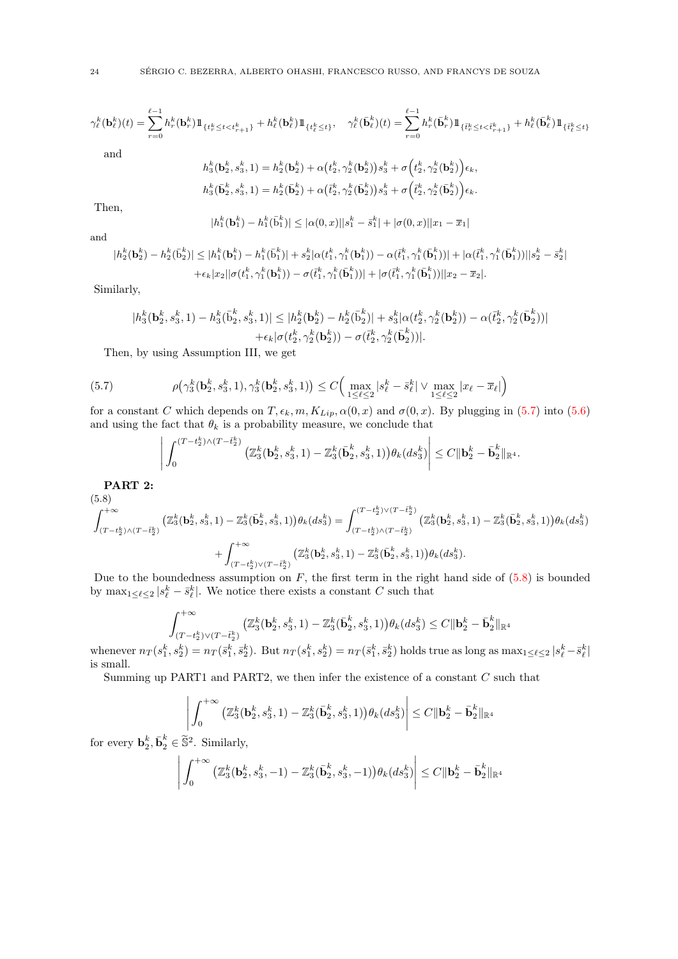$$
\gamma_{\ell}^{k}(\mathbf{b}_{\ell}^{k})(t) = \sum_{r=0}^{\ell-1} h_{r}^{k}(\mathbf{b}_{r}^{k})1\!\!1_{\{t_{r}^{k}\leq t < t_{r+1}^{k}\}} + h_{\ell}^{k}(\mathbf{b}_{\ell}^{k})1\!\!1_{\{t_{\ell}^{k}\leq t\}}, \quad \gamma_{\ell}^{k}(\bar{\mathbf{b}}_{\ell}^{k})(t) = \sum_{r=0}^{\ell-1} h_{r}^{k}(\bar{\mathbf{b}}_{r}^{k})1\!\!1_{\{\bar{t}_{r}^{k}\leq t < \bar{t}_{r+1}^{k}\}} + h_{\ell}^{k}(\bar{\mathbf{b}}_{\ell}^{k})1\!\!1_{\{\bar{t}_{\ell}^{k}\leq t\}}
$$
\nand\n
$$
h_{3}^{k}(\mathbf{b}_{2}^{k}, s_{3}^{k}, 1) = h_{2}^{k}(\mathbf{b}_{2}^{k}) + \alpha(t_{2}^{k}, \gamma_{2}^{k}(\mathbf{b}_{2}^{k}))s_{3}^{k} + \sigma(t_{2}^{k}, \gamma_{2}^{k}(\mathbf{b}_{2}^{k}))\epsilon_{k},
$$

$$
h_3^k(\mathbf{b}_2^k, s_3^k, 1) = h_2^k(\mathbf{b}_2^k) + \alpha \big(t_2^k, \gamma_2^k(\mathbf{b}_2^k)\big)s_3^k + \sigma \big(t_2^k, \gamma_2^k(\mathbf{b}_2^k)\big)\epsilon_k,
$$
  

$$
h_3^k(\bar{\mathbf{b}}_2^k, s_3^k, 1) = h_2^k(\bar{\mathbf{b}}_2^k) + \alpha \big(\bar{t}_2^k, \gamma_2^k(\bar{\mathbf{b}}_2^k)\big)s_3^k + \sigma \big(\bar{t}_2^k, \gamma_2^k(\bar{\mathbf{b}}_2^k)\big)\epsilon_k.
$$

Then,

$$
|h_1^k(\mathbf{b}_1^k) - h_1^k(\bar{b}_1^k)| \leq |\alpha(0, x)||s_1^k - \bar{s}_1^k| + |\sigma(0, x)||x_1 - \bar{x}_1|
$$

and

$$
\begin{aligned} |h^k_2(\textbf{b}^k_2)-h^k_2(\bar{\text{b}}^k_2)| &\leq |h^k_1(\textbf{b}^k_1)-h^k_1(\bar{\text{b}}^k_1)|+s^k_2|\alpha(t^k_1,\gamma^k_1(\textbf{b}^k_1))-\alpha(\bar{t}^k_1,\gamma^k_1(\bar{\textbf{b}}^k_1))|+|\alpha(\bar{t}^k_1,\gamma^k_1(\bar{\textbf{b}}^k_1))||s^k_2-\bar{s}^k_2|\\+ \epsilon_k|x_2||\sigma(t^k_1,\gamma^k_1(\textbf{b}^k_1))-\sigma(\bar{t}^k_1,\gamma^k_1(\bar{\textbf{b}}^k_1))||+\sigma(\bar{t}^k_1,\gamma^k_1(\bar{\textbf{b}}^k_1))||x_2-\overline{x}_2|. \end{aligned}
$$

Similarly,

$$
\begin{aligned}|h_3^k(\textbf{b}_2^k,s_3^k,1)-h_3^k(\bar{\textbf{b}}_2^k,s_3^k,1)|\leq|h_2^k(\textbf{b}_2^k)-h_2^k(\bar{\textbf{b}}_2^k)|+s_3^k|\alpha(t_2^k,\gamma_2^k(\textbf{b}_2^k))-\alpha(\bar{t}_2^k,\gamma_2^k(\bar{\textbf{b}}_2^k))|\\+\epsilon_k|\sigma(t_2^k,\gamma_2^k(\textbf{b}_2^k))-\sigma(\bar{t}_2^k,\gamma_2^k(\bar{\textbf{b}}_2^k))|. \end{aligned}
$$

Then, by using Assumption III, we get

(5.7) 
$$
\rho(\gamma_3^k(\mathbf{b}_2^k, s_3^k, 1), \gamma_3^k(\mathbf{b}_2^k, s_3^k, 1)) \le C \Big( \max_{1 \le \ell \le 2} |s_\ell^k - \bar{s}_\ell^k| \vee \max_{1 \le \ell \le 2} |x_\ell - \bar{x}_\ell| \Big)
$$

for a constant C which depends on  $T, \epsilon_k, m, K_{Lip}, \alpha(0, x)$  and  $\sigma(0, x)$ . By plugging in [\(5.7\)](#page-23-0) into [\(5.6\)](#page-22-0) and using the fact that  $\theta_k$  is a probability measure, we conclude that

<span id="page-23-0"></span>
$$
\left| \int_0^{(T-t_2^k)\wedge (T-\bar{t}_2^k)} \left( \mathbb{Z}_3^k(\textbf{b}_2^k, s_3^k, 1) - \mathbb{Z}_3^k(\bar{\textbf{b}}_2^k, s_3^k, 1) \right) \theta_k(ds_3^k) \right| \leq C \|\textbf{b}_2^k - \bar{\textbf{b}}_2^k\|_{\mathbb{R}^4}.
$$

PART 2:  $(5.8)$ 

<span id="page-23-1"></span>
$$
\int_{(T-t_2^k)\wedge(T-\bar{t}_2^k)}^{+\infty} \left(\mathbb{Z}_3^k(\mathbf{b}_2^k, s_3^k, 1) - \mathbb{Z}_3^k(\bar{\mathbf{b}}_2^k, s_3^k, 1)\right) \theta_k(ds_3^k) = \int_{(T-t_2^k)\wedge(T-\bar{t}_2^k)}^{(T-t_2^k)\vee(T-\bar{t}_2^k)} \left(\mathbb{Z}_3^k(\mathbf{b}_2^k, s_3^k, 1) - \mathbb{Z}_3^k(\bar{\mathbf{b}}_2^k, s_3^k, 1)\right) \theta_k(ds_3^k) + \int_{(T-t_2^k)\vee(T-\bar{t}_2^k)}^{+\infty} \left(\mathbb{Z}_3^k(\mathbf{b}_2^k, s_3^k, 1) - \mathbb{Z}_3^k(\bar{\mathbf{b}}_2^k, s_3^k, 1)\right) \theta_k(ds_3^k).
$$

Due to the boundedness assumption on  $F$ , the first term in the right hand side of  $(5.8)$  is bounded by  $\max_{1 \leq \ell \leq 2} |s_{\ell}^k - \bar{s}_{\ell}^k|$ . We notice there exists a constant C such that

$$
\int_{(T-t^k_2)\vee (T-\bar{t}^k_2)}^{+\infty}\big(\mathbb{Z}^k_3(\textbf{b}^k_2,s^k_3,1) - \mathbb{Z}^k_3(\bar{\textbf{b}}^k_2,s^k_3,1)\big)\theta_k(ds^k_3)\le C\|\textbf{b}^k_2-\bar{\textbf{b}}^k_2\|_{\mathbb{R}^4}
$$

whenever  $n_T(s_1^k, s_2^k) = n_T(\bar{s}_1^k, \bar{s}_2^k)$ . But  $n_T(s_1^k, s_2^k) = n_T(\bar{s}_1^k, \bar{s}_2^k)$  holds true as long as  $\max_{1 \leq \ell \leq 2} |s_\ell^k - \bar{s}_\ell^k|$ is small.

Summing up PART1 and PART2, we then infer the existence of a constant  $C$  such that

$$
\left| \int_0^{+\infty} \left( \mathbb{Z}_3^k({\bf b}_2^k, s_3^k, 1) - \mathbb{Z}_3^k(\bar{{\bf b}}_2^k, s_3^k, 1) \right) \theta_k(ds_3^k) \right| \le C \| {\bf b}_2^k - \bar{{\bf b}}_2^k \|_{\mathbb{R}^4}
$$

for every  $\mathbf{b}_2^k, \bar{\mathbf{b}}_2^k \in \tilde{\mathbb{S}}^2$ . Similarly,

$$
\left| \int_0^{+\infty} \left( \mathbb{Z}_3^k(\mathbf{b}_2^k, s_3^k, -1) - \mathbb{Z}_3^k(\bar{\mathbf{b}}_2^k, s_3^k, -1) \right) \theta_k(ds_3^k) \right| \leq C \|\mathbf{b}_2^k - \bar{\mathbf{b}}_2^k\|_{\mathbb{R}^4}
$$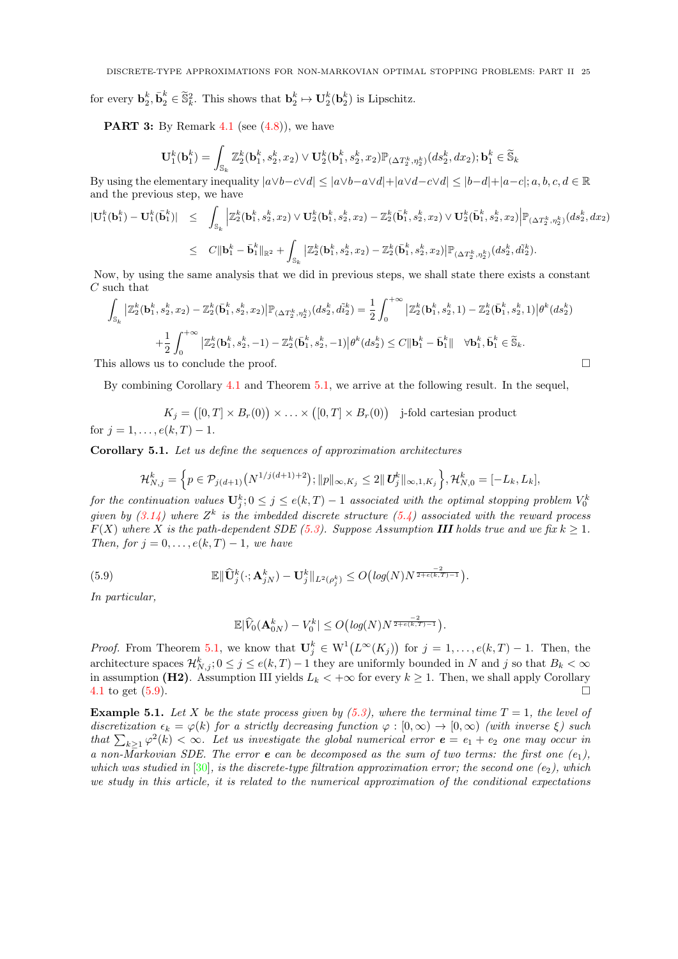for every  $\mathbf{b}_2^k$ ,  $\bar{\mathbf{b}}_2^k \in \tilde{\mathbb{S}}_k^2$ . This shows that  $\mathbf{b}_2^k \mapsto \mathbf{U}_2^k(\mathbf{b}_2^k)$  is Lipschitz.

**PART 3:** By Remark [4.1](#page-13-1) (see  $(4.8)$ ), we have

$$
\mathbf{U}_1^k(\mathbf{b}_1^k)=\int_{\mathbb{S}_k}\mathbb{Z}_2^k(\mathbf{b}_1^k,s_2^k,x_2)\vee\mathbf{U}_2^k(\mathbf{b}_1^k,s_2^k,x_2)\mathbb{P}_{(\Delta T_2^k,\eta_2^k)}(ds_2^k,dx_2);\mathbf{b}_1^k\in\widetilde{\mathbb{S}}_k
$$

By using the elementary inequality  $|a \vee b - c \vee d| \leq |a \vee b - a \vee d| + |a \vee d - c \vee d| \leq |b-d| + |a-c|$ ;  $a, b, c, d \in \mathbb{R}$ and the previous step, we have

$$
\begin{array}{lcl} |\mathbf{U}^k_1(\mathbf{b}^k_1) - \mathbf{U}^k_1(\bar{\mathbf{b}}^k_1)| & \leq & \displaystyle \int_{\mathbb{S}_k} \Big| \mathbb{Z}^k_2(\mathbf{b}^k_1,s^k_2,x_2) \vee \mathbf{U}^k_2(\mathbf{b}^k_1,s^k_2,x_2) - \mathbb{Z}^k_2(\bar{\mathbf{b}}^k_1,s^k_2,x_2) \vee \mathbf{U}^k_2(\bar{\mathbf{b}}^k_1,s^k_2,x_2) \Big| \mathbb{P}_{(\Delta T_2^k,\eta_2^k)}(ds^k_2,dx_2) \\ \\ & \leq & C \|\mathbf{b}^k_1 - \bar{\mathbf{b}}^k_1\|_{\mathbb{R}^2} + \int_{\mathbb{S}_k} \big| \mathbb{Z}^k_2(\mathbf{b}^k_1,s^k_2,x_2) - \mathbb{Z}^k_2(\bar{\mathbf{b}}^k_1,s^k_2,x_2) \big| \mathbb{P}_{(\Delta T_2^k,\eta_2^k)}(ds^k_2,d\tilde{i}^k_2). \end{array}
$$

Now, by using the same analysis that we did in previous steps, we shall state there exists a constant  $C$  such that

$$
\int_{\mathbb{S}_k} \left| \mathbb{Z}_2^k(\mathbf{b}_1^k, s_2^k, x_2) - \mathbb{Z}_2^k(\bar{\mathbf{b}}_1^k, s_2^k, x_2) \right| \mathbb{P}_{(\Delta T_2^k, \eta_2^k)}(ds_2^k, d\tilde{i}_2^k) = \frac{1}{2} \int_0^{+\infty} \left| \mathbb{Z}_2^k(\mathbf{b}_1^k, s_2^k, 1) - \mathbb{Z}_2^k(\bar{\mathbf{b}}_1^k, s_2^k, 1) \right| \theta^k(ds_2^k)
$$

$$
+ \frac{1}{2} \int_0^{+\infty} \left| \mathbb{Z}_2^k(\mathbf{b}_1^k, s_2^k, -1) - \mathbb{Z}_2^k(\bar{\mathbf{b}}_1^k, s_2^k, -1) \right| \theta^k(ds_2^k) \leq C \|\mathbf{b}_1^k - \bar{\mathbf{b}}_1^k\| \quad \forall \mathbf{b}_1^k, \bar{\mathbf{b}}_1^k \in \widetilde{\mathbb{S}}_k.
$$

This allows us to conclude the proof.

By combining Corollary [4.1](#page-18-0) and Theorem [5.1,](#page-21-0) we arrive at the following result. In the sequel,

$$
K_j = ([0, T] \times B_r(0)) \times \ldots \times ([0, T] \times B_r(0))
$$
 j-fold cartesian product for  $j = 1, ..., e(k, T) - 1$ .

<span id="page-24-1"></span>Corollary 5.1. Let us define the sequences of approximation architectures

$$
\mathcal{H}_{N,j}^k = \left\{ p \in \mathcal{P}_{j(d+1)}\left(N^{1/j(d+1)+2}\right); \|p\|_{\infty,K_j} \leq 2\|\mathbf{U}_j^k\|_{\infty,1,K_j} \right\}, \mathcal{H}_{N,0}^k = [-L_k, L_k],
$$

for the continuation values  $\mathbf{U}_j^k; 0 \leq j \leq e(k,T) - 1$  associated with the optimal stopping problem  $V_0^k$ given by  $(3.14)$  where  $Z^k$  is the imbedded discrete structure  $(5.4)$  associated with the reward process  $F(X)$  where X is the path-dependent SDE [\(5.3\)](#page-19-0). Suppose Assumption III holds true and we fix  $k \geq 1$ . Then, for  $j = 0, \ldots, e(k, T) - 1$ , we have

(5.9) 
$$
\mathbb{E} \|\widehat{\mathbf{U}}_j^k(\cdot; \mathbf{A}_{jN}^k) - \mathbf{U}_j^k\|_{L^2(\rho_j^k)} \le O\big(log(N)N^{\frac{-2}{2+\epsilon(k,T)-1}}\big).
$$

In particular,

<span id="page-24-0"></span>
$$
\mathbb{E}|\widehat{V}_0(\mathbf{A}_{0N}^k) - V_0^k| \le O\big(log(N)N^{\frac{-2}{2+\epsilon(k,T)-1}}\big).
$$

*Proof.* From Theorem [5.1,](#page-21-0) we know that  $\mathbf{U}_j^k \in W^1(L^\infty(K_j))$  for  $j = 1, \ldots, e(k,T) - 1$ . Then, the architecture spaces  $\mathcal{H}_{N,j}^k$ ;  $0 \leq j \leq e(k,T)-1$  they are uniformly bounded in N and j so that  $B_k < \infty$ in assumption (H2). Assumption III yields  $L_k < +\infty$  for every  $k \geq 1$ . Then, we shall apply Corollary [4.1](#page-18-0) to get [\(5.9\)](#page-24-0).

**Example 5.1.** Let X be the state process given by [\(5.3\)](#page-19-0), where the terminal time  $T = 1$ , the level of discretization  $\epsilon_k = \varphi(k)$  for a strictly decreasing function  $\varphi : [0, \infty) \to [0, \infty)$  (with inverse  $\xi$ ) such that  $\sum_{k\geq 1} \varphi^2(k) < \infty$ . Let us investigate the global numerical error  $e = e_1 + e_2$  one may occur in a non-Markovian SDE. The error **e** can be decomposed as the sum of two terms: the first one  $(e_1)$ , which was studied in [\[30\]](#page-29-0), is the discrete-type filtration approximation error; the second one (e<sub>2</sub>), which we study in this article, it is related to the numerical approximation of the conditional expectations

$$
\Box
$$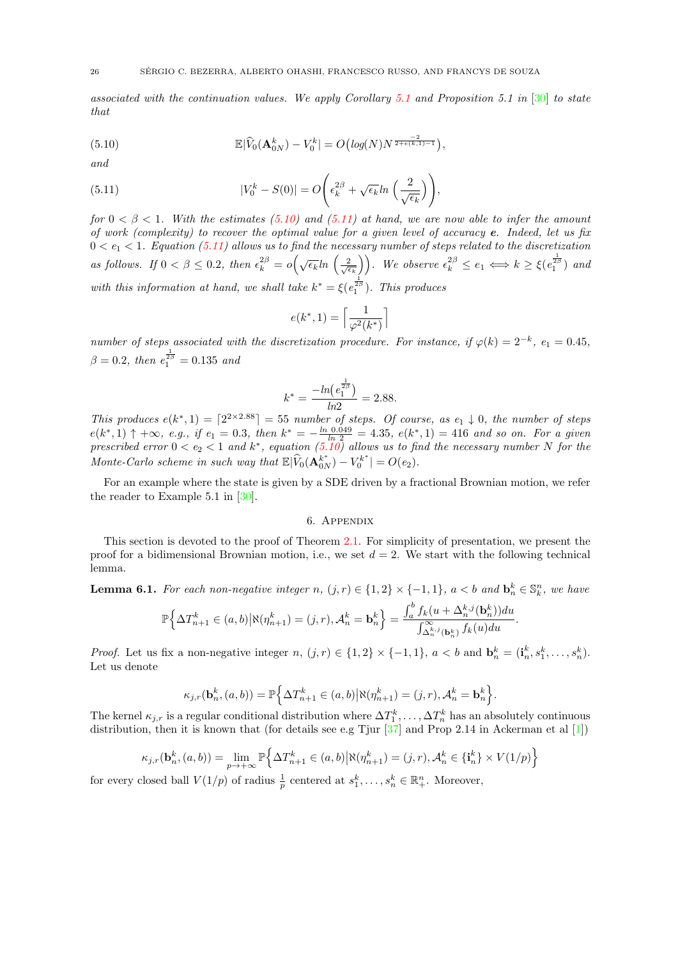associated with the continuation values. We apply Corollary [5.1](#page-24-1) and Proposition 5.1 in [\[30\]](#page-29-0) to state that

<span id="page-25-0"></span>(5.10) 
$$
\mathbb{E}|\widehat{V}_0(\mathbf{A}_{0N}^k)-V_0^k|=O\big(log(N)N^{\frac{-2}{2+\epsilon(k,1)-1}}\big),
$$

and

(5.11) 
$$
|V_0^k - S(0)| = O\left(\epsilon_k^{2\beta} + \sqrt{\epsilon_k} \ln\left(\frac{2}{\sqrt{\epsilon_k}}\right)\right),
$$

for  $0 < \beta < 1$ . With the estimates [\(5.10\)](#page-25-0) and [\(5.11\)](#page-25-1) at hand, we are now able to infer the amount of work (complexity) to recover the optimal value for a given level of accuracy  $e$ . Indeed, let us fix  $0 < e_1 < 1$ . Equation [\(5.11\)](#page-25-1) allows us to find the necessary number of steps related to the discretization as follows. If  $0 < \beta \leq 0.2$ , then  $\epsilon_k^{2\beta} = o\left(\sqrt{\epsilon_k} \ln\left(\frac{2}{\sqrt{\epsilon_k}}\right)\right)$ . We observe  $\epsilon_k^{2\beta} \leq e_1 \Longleftrightarrow k \geq \xi(e_1^{\frac{1}{2\beta}})$  and with this information at hand, we shall take  $k^* = \xi(e_1^{\frac{1}{2\beta}})$ . This produces

<span id="page-25-1"></span>
$$
e(k^*, 1) = \left\lceil \frac{1}{\varphi^2(k^*)} \right\rceil
$$

number of steps associated with the discretization procedure. For instance, if  $\varphi(k) = 2^{-k}$ ,  $e_1 = 0.45$ ,  $\beta = 0.2$ , then  $e_1^{\frac{1}{2\beta}} = 0.135$  and

$$
k^* = \frac{-\ln(e_1^{\frac{1}{2\beta}})}{\ln 2} = 2.88.
$$

This produces  $e(k^*, 1) = \lceil 2^{2 \times 2.88} \rceil = 55$  number of steps. Of course, as  $e_1 \downarrow 0$ , the number of steps  $e(k^*, 1)$  ↑ +∞, e.g., if  $e_1 = 0.3$ , then  $k^* = -\frac{\ln 0.049}{\ln 2} = 4.35$ ,  $e(k^*, 1) = 416$  and so on. For a given prescribed error  $0 < e_2 < 1$  and  $k^*$ , equation  $(5.10)$  allows us to find the necessary number N for the Monte-Carlo scheme in such way that  $\mathbb{E}|\widehat{V}_0(\mathbf{A}_{0N}^{k^*}) - V_0^{k^*}| = O(e_2)$ .

For an example where the state is given by a SDE driven by a fractional Brownian motion, we refer the reader to Example 5.1 in [\[30\]](#page-29-0).

#### 6. Appendix

This section is devoted to the proof of Theorem [2.1.](#page-6-0) For simplicity of presentation, we present the proof for a bidimensional Brownian motion, i.e., we set  $d = 2$ . We start with the following technical lemma.

<span id="page-25-2"></span>**Lemma 6.1.** For each non-negative integer  $n, (j, r) \in \{1, 2\} \times \{-1, 1\}$ ,  $a < b$  and  $\mathbf{b}_n^k \in \mathbb{S}_k^n$ , we have

$$
\mathbb{P}\Big\{\Delta T^k_{n+1}\in(a,b)\big|\aleph(\eta^k_{n+1})=(j,r),\mathcal{A}^k_n=\mathbf{b}^k_n\Big\}=\frac{\int_a^b f_k(u+\Delta^{k,j}_n(\mathbf{b}^k_n))du}{\int_{\Delta^{k,j}_n(\mathbf{b}^k_n)}^{\infty}f_k(u)du}.
$$

*Proof.* Let us fix a non-negative integer  $n, (j, r) \in \{1, 2\} \times \{-1, 1\}, a < b$  and  $\mathbf{b}_n^k = (\mathbf{i}_n^k, s_1^k, \ldots, s_n^k)$ . Let us denote

$$
\kappa_{j,r}(\mathbf{b}_n^k,(a,b)) = \mathbb{P}\Big\{\Delta T_{n+1}^k \in (a,b) \big| \aleph(\eta_{n+1}^k) = (j,r), \mathcal{A}_n^k = \mathbf{b}_n^k \Big\}.
$$

The kernel  $\kappa_{j,r}$  is a regular conditional distribution where  $\Delta T_1^k, \ldots, \Delta T_n^k$  has an absolutely continuous distribution, then it is known that (for details see e.g Tjur  $[37]$  and Prop 2.14 in Ackerman et al  $[1]$ )

$$
\kappa_{j,r}(\mathbf{b}_n^k, (a, b)) = \lim_{p \to +\infty} \mathbb{P}\Big\{\Delta T_{n+1}^k \in (a, b) \, \big| \aleph(\eta_{n+1}^k) = (j, r), \mathcal{A}_n^k \in \{\mathbf{i}_n^k\} \times V(1/p)\Big\}
$$

for every closed ball  $V(1/p)$  of radius  $\frac{1}{p}$  centered at  $s_1^k, \ldots, s_n^k \in \mathbb{R}_+^n$ . Moreover,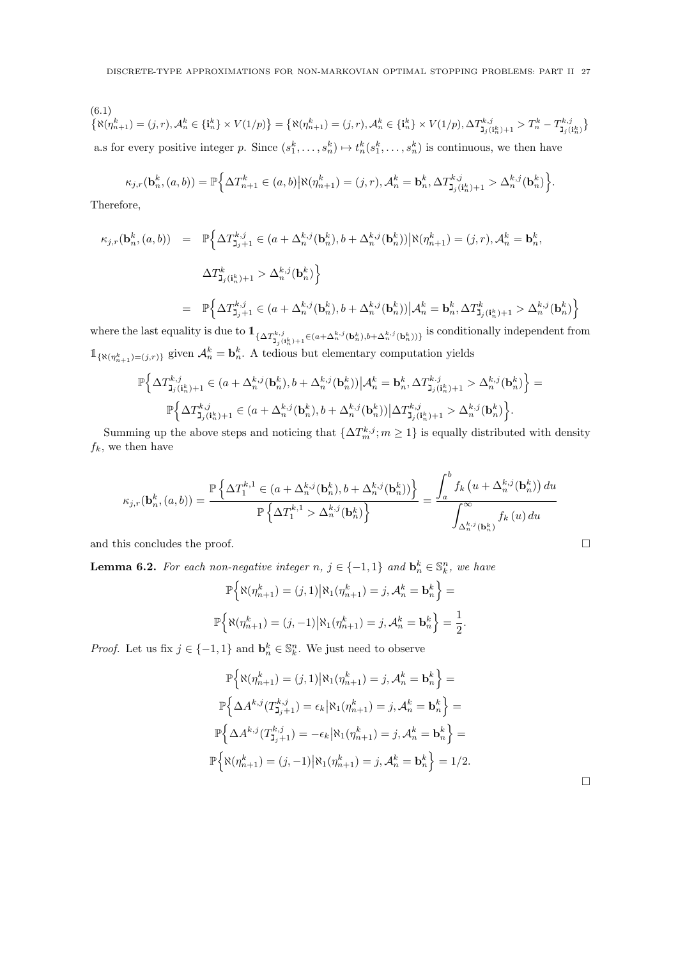(6.1)  
\n
$$
\{\aleph(\eta_{n+1}^k) = (j,r), \mathcal{A}_n^k \in \{\mathbf{i}_n^k\} \times V(1/p)\} = \{\aleph(\eta_{n+1}^k) = (j,r), \mathcal{A}_n^k \in \{\mathbf{i}_n^k\} \times V(1/p), \Delta T_{\mathbf{j}_j(\mathbf{i}_n^k)+1}^{k,j} > T_n^k - T_{\mathbf{j}_j(\mathbf{i}_n^k)}^{k,j}\}
$$
\na.s for every positive integer  $p$ . Since  $(s_1^k, \ldots, s_n^k) \mapsto t_n^k(s_1^k, \ldots, s_n^k)$  is continuous, we then have

$$
\kappa_{j,r}(\mathbf{b}_n^k,(a,b)) = \mathbb{P}\Big\{\Delta T_{n+1}^k \in (a,b) \big| \aleph(\eta_{n+1}^k) = (j,r), \mathcal{A}_n^k = \mathbf{b}_n^k, \Delta T_{\mathbf{J}_j(\mathbf{i}_n^k)+1}^{k,j} > \Delta_n^{k,j}(\mathbf{b}_n^k) \Big\}.
$$

Therefore,

$$
\kappa_{j,r}(\mathbf{b}_n^k,(a,b)) = \mathbb{P}\Big\{\Delta T_{\mathbf{J}_j+1}^{k,j} \in (a + \Delta_n^{k,j}(\mathbf{b}_n^k), b + \Delta_n^{k,j}(\mathbf{b}_n^k)) \Big| \aleph(\eta_{n+1}^k) = (j,r), \mathcal{A}_n^k = \mathbf{b}_n^k,
$$
  

$$
\Delta T_{\mathbf{J}_j(\mathbf{i}_n^k)+1}^k > \Delta_n^{k,j}(\mathbf{b}_n^k) \Big\}
$$
  

$$
= \mathbb{P}\Big\{\Delta T_{\mathbf{J}_j+1}^{k,j} \in (a + \Delta_n^{k,j}(\mathbf{b}_n^k), b + \Delta_n^{k,j}(\mathbf{b}_n^k)) \Big| \mathcal{A}_n^k = \mathbf{b}_n^k, \Delta T_{\mathbf{J}_j(\mathbf{i}_n^k)+1}^k > \Delta_n^{k,j}(\mathbf{b}_n^k) \Big\}
$$

where the last equality is due to  $\mathbb{1}_{\{\Delta T^{k,j}_{\mathbf{1}_j(\mathbf{i}_n^k)+1}\in(a+\Delta^{k,j}_n(\mathbf{b}_n^k),b+\Delta^{k,j}_n(\mathbf{b}_n^k))\}}$  is conditionally independent from  $\mathbb{1}_{\{\aleph(\eta^k_{n+1})=(j,r)\}}$  given  $\mathcal{A}^k_n = \mathbf{b}^k_n$ . A tedious but elementary computation yields

$$
\mathbb{P}\Big\{\Delta T^{k,j}_{\mathbf{j}_j(\mathbf{i}^k_n)+1}\in (a+\Delta^{k,j}_n(\mathbf{b}^k_n),b+\Delta^{k,j}_n(\mathbf{b}^k_n))\Big|\mathcal{A}^k_n=\mathbf{b}^k_n,\Delta T^{k,j}_{\mathbf{j}_j(\mathbf{i}^k_n)+1}>\Delta^{k,j}_n(\mathbf{b}^k_n)\Big\}=\newline \hspace*{1.5cm}\mathbb{P}\Big\{\Delta T^{k,j}_{\mathbf{j}_j(\mathbf{i}^k_n)+1}\in (a+\Delta^{k,j}_n(\mathbf{b}^k_n),b+\Delta^{k,j}_n(\mathbf{b}^k_n))\Big|\Delta T^{k,j}_{\mathbf{j}_j(\mathbf{i}^k_n)+1}>\Delta^{k,j}_n(\mathbf{b}^k_n)\Big\}.
$$

Summing up the above steps and noticing that  $\{\Delta T_m^{k,j}; m\geq 1\}$  is equally distributed with density  $f_k$ , we then have

$$
\kappa_{j,r}(\mathbf{b}_n^k,(a,b)) = \frac{\mathbb{P}\left\{\Delta T_1^{k,1} \in (a + \Delta_n^{k,j}(\mathbf{b}_n^k), b + \Delta_n^{k,j}(\mathbf{b}_n^k))\right\}}{\mathbb{P}\left\{\Delta T_1^{k,1} > \Delta_n^{k,j}(\mathbf{b}_n^k)\right\}} = \frac{\int_a^b f_k\left(u + \Delta_n^{k,j}(\mathbf{b}_n^k)\right) du}{\int_{\Delta_n^{k,j}(\mathbf{b}_n^k)}^{\infty} f_k\left(u\right) du}
$$

and this concludes the proof.  $\hfill \square$ 

<span id="page-26-0"></span>**Lemma 6.2.** For each non-negative integer  $n, j \in \{-1,1\}$  and  $\mathbf{b}_n^k \in \mathbb{S}_k^n$ , we have

$$
\mathbb{P}\Big\{\aleph(\eta^k_{n+1}) = (j,1)|\aleph_1(\eta^k_{n+1}) = j, \mathcal{A}^k_n = \mathbf{b}^k_n\Big\} =
$$

$$
\mathbb{P}\Big\{\aleph(\eta^k_{n+1}) = (j,-1)|\aleph_1(\eta^k_{n+1}) = j, \mathcal{A}^k_n = \mathbf{b}^k_n\Big\} = \frac{1}{2}.
$$

*Proof.* Let us fix  $j \in \{-1, 1\}$  and  $\mathbf{b}_n^k \in \mathbb{S}_k^n$ . We just need to observe

$$
\mathbb{P}\Big\{\aleph(\eta_{n+1}^k) = (j,1) \big| \aleph_1(\eta_{n+1}^k) = j, \mathcal{A}_n^k = \mathbf{b}_n^k \Big\} =
$$

$$
\mathbb{P}\Big\{\Delta A^{k,j}(T_{\mathbf{J}_j+1}^{k,j}) = \epsilon_k \big| \aleph_1(\eta_{n+1}^k) = j, \mathcal{A}_n^k = \mathbf{b}_n^k \Big\} =
$$

$$
\mathbb{P}\Big\{\Delta A^{k,j}(T_{\mathbf{J}_j+1}^{k,j}) = -\epsilon_k \big| \aleph_1(\eta_{n+1}^k) = j, \mathcal{A}_n^k = \mathbf{b}_n^k \Big\} =
$$

$$
\mathbb{P}\Big\{\aleph(\eta_{n+1}^k) = (j,-1) \big| \aleph_1(\eta_{n+1}^k) = j, \mathcal{A}_n^k = \mathbf{b}_n^k \Big\} = 1/2.
$$

 $\Box$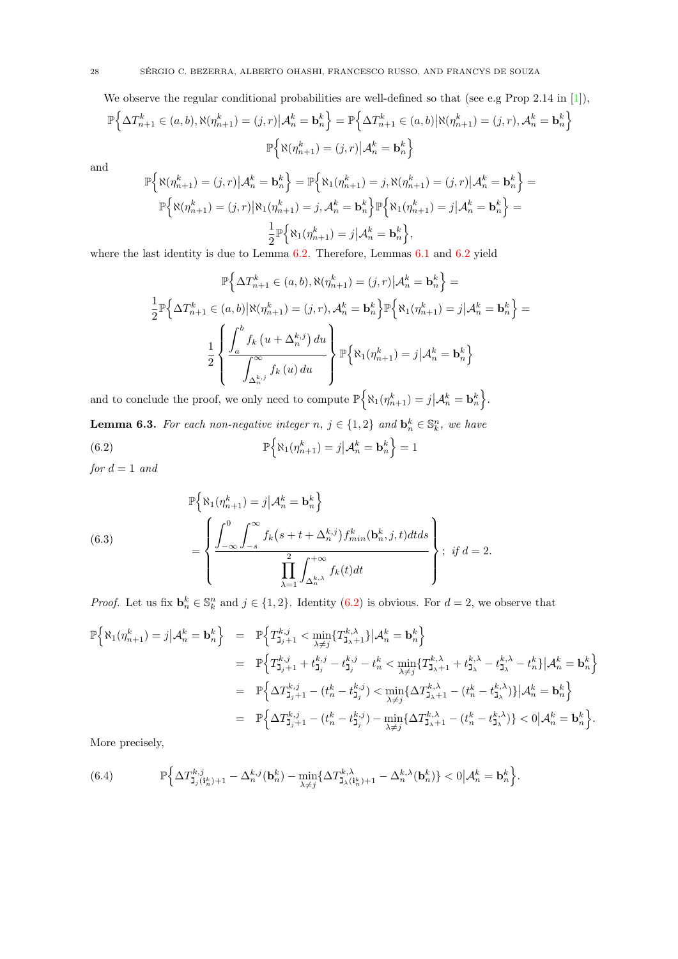We observe the regular conditional probabilities are well-defined so that (see e.g Prop 2.14 in [\[1\]](#page-28-5)),

$$
\mathbb{P}\left\{\Delta T_{n+1}^k \in (a,b), \aleph(\eta_{n+1}^k) = (j,r) \big| \mathcal{A}_n^k = \mathbf{b}_n^k \right\} = \mathbb{P}\left\{\Delta T_{n+1}^k \in (a,b) \big| \aleph(\eta_{n+1}^k) = (j,r), \mathcal{A}_n^k = \mathbf{b}_n^k \right\}
$$

$$
\mathbb{P}\left\{\aleph(\eta_{n+1}^k) = (j,r) \big| \mathcal{A}_n^k = \mathbf{b}_n^k \right\}
$$

and

$$
\mathbb{P}\Big\{\aleph(\eta^k_{n+1})=(j,r)\big| \mathcal{A}^k_n=\mathbf{b}^k_n\Big\}=\mathbb{P}\Big\{\aleph_1(\eta^k_{n+1})=j, \aleph(\eta^k_{n+1})=(j,r)\big| \mathcal{A}^k_n=\mathbf{b}^k_n\Big\}=\\\mathbb{P}\Big\{\aleph(\eta^k_{n+1})=(j,r)\big|\aleph_1(\eta^k_{n+1})=j, \mathcal{A}^k_n=\mathbf{b}^k_n\Big\}\mathbb{P}\Big\{\aleph_1(\eta^k_{n+1})=j\big| \mathcal{A}^k_n=\mathbf{b}^k_n\Big\}=\\\frac{1}{2}\mathbb{P}\Big\{\aleph_1(\eta^k_{n+1})=j\big| \mathcal{A}^k_n=\mathbf{b}^k_n\Big\},
$$

where the last identity is due to Lemma  $6.2$ . Therefore, Lemmas  $6.1$  and  $6.2$  yield

$$
\mathbb{P}\left\{\Delta T_{n+1}^k \in (a,b), \aleph(\eta_{n+1}^k) = (j,r) \Big| \mathcal{A}_n^k = \mathbf{b}_n^k \right\} =
$$
  

$$
\frac{1}{2} \mathbb{P}\left\{\Delta T_{n+1}^k \in (a,b) \Big| \aleph(\eta_{n+1}^k) = (j,r), \mathcal{A}_n^k = \mathbf{b}_n^k \right\} \mathbb{P}\left\{\aleph_1(\eta_{n+1}^k) = j \Big| \mathcal{A}_n^k = \mathbf{b}_n^k \right\} =
$$
  

$$
\frac{1}{2} \left\{ \frac{\int_a^b f_k (u + \Delta_n^{k,j}) du}{\int_{\Delta_n^{k,j}}^{\infty} f_k (u) du} \right\} \mathbb{P}\left\{\aleph_1(\eta_{n+1}^k) = j \Big| \mathcal{A}_n^k = \mathbf{b}_n^k \right\}
$$

and to conclude the proof, we only need to compute  $\mathbb{P} \Big\{ \aleph_1(\eta^k_{n+1}) = j | \mathcal{A}^k_n = \mathbf{b}^k_n \Big\}$ . **Lemma 6.3.** For each non-negative integer  $n, j \in \{1,2\}$  and  $\mathbf{b}_n^k \in \mathbb{S}_k^n$ , we have  $(6.2)$  $\left\{\aleph_1(\eta^k_{n+1})=j\middle|\mathcal{A}^k_n=\mathbf{b}^k_n\right\}=1$ 

<span id="page-27-0"></span>for  $d = 1$  and

(6.3)  

$$
\mathbb{P}\left\{\aleph_{1}(\eta_{n+1}^{k})=j|\mathcal{A}_{n}^{k}=\mathbf{b}_{n}^{k}\right\}
$$

$$
=\left\{\frac{\int_{-\infty}^{0}\int_{-s}^{\infty}f_{k}(s+t+\Delta_{n}^{k,j})f_{min}^{k}(\mathbf{b}_{n}^{k},j,t)dtds}{\prod_{\lambda=1}^{2}\int_{\Delta_{n}^{k,\lambda}}^{+\infty}f_{k}(t)dt}\right\}; \text{ if } d=2.
$$

*Proof.* Let us fix  $\mathbf{b}_n^k \in \mathbb{S}_k^n$  and  $j \in \{1,2\}$ . Identity [\(6.2\)](#page-27-0) is obvious. For  $d = 2$ , we observe that

<span id="page-27-1"></span>
$$
\begin{array}{lcl} \mathbb{P}\Big\{\aleph_{1}(\eta_{n+1}^{k})=j\big| \mathcal{A}_{n}^{k}= \mathbf{b}_{n}^{k}\Big\} &=& \mathbb{P}\Big\{T_{\mathbf{J}_{j}+1}^{k,j}< \min\limits_{\lambda\neq j}\{T_{\mathbf{J}_{\lambda}+1}^{k,\lambda}\}\big| \mathcal{A}_{n}^{k}= \mathbf{b}_{n}^{k}\Big\} \\ &=& \mathbb{P}\Big\{T_{\mathbf{J}_{j}+1}^{k,j}+t_{\mathbf{J}_{j}}^{k,j}-t_{\mathbf{J}_{j}}^{k,j}-t_{n}^{k}< \min\limits_{\lambda\neq j}\{T_{\mathbf{J}_{\lambda}+1}^{k,\lambda}+t_{\mathbf{J}_{\lambda}}^{k,\lambda}-t_{\mathbf{J}_{\lambda}}^{k,\lambda}-t_{n}^{k}\}\big| \mathcal{A}_{n}^{k}= \mathbf{b}_{n}^{k}\Big\} \\ &=& \mathbb{P}\Big\{\Delta T_{\mathbf{J}_{j}+1}^{k,j}-(t_{n}^{k}-t_{\mathbf{J}_{j}}^{k,j})< \min\limits_{\lambda\neq j}\{\Delta T_{\mathbf{J}_{\lambda}+1}^{k,\lambda}-(t_{n}^{k}-t_{\mathbf{J}_{\lambda}}^{k,\lambda})\}\big| \mathcal{A}_{n}^{k}= \mathbf{b}_{n}^{k}\Big\} \\ &=& \mathbb{P}\Big\{\Delta T_{\mathbf{J}_{j}+1}^{k,j}-(t_{n}^{k}-t_{\mathbf{J}_{j}}^{k,j})-\min\limits_{\lambda\neq j}\{\Delta T_{\mathbf{J}_{\lambda}+1}^{k,\lambda}-(t_{n}^{k}-t_{\mathbf{J}_{\lambda}}^{k,\lambda})\}< 0\big| \mathcal{A}_{n}^{k}= \mathbf{b}_{n}^{k}\Big\}.\end{array}
$$

More precisely,

(6.4) 
$$
\mathbb{P}\Big\{\Delta T_{\mathbf{J}_j(\mathbf{i}_n^k)+1}^{k,j}-\Delta_n^{k,j}(\mathbf{b}_n^k)-\min_{\lambda\neq j}\{\Delta T_{\mathbf{J}_\lambda(\mathbf{i}_n^k)+1}^{\lambda,\lambda}-\Delta_n^{k,\lambda}(\mathbf{b}_n^k)\}<0\big|\mathcal{A}_n^k=\mathbf{b}_n^k\Big\}.
$$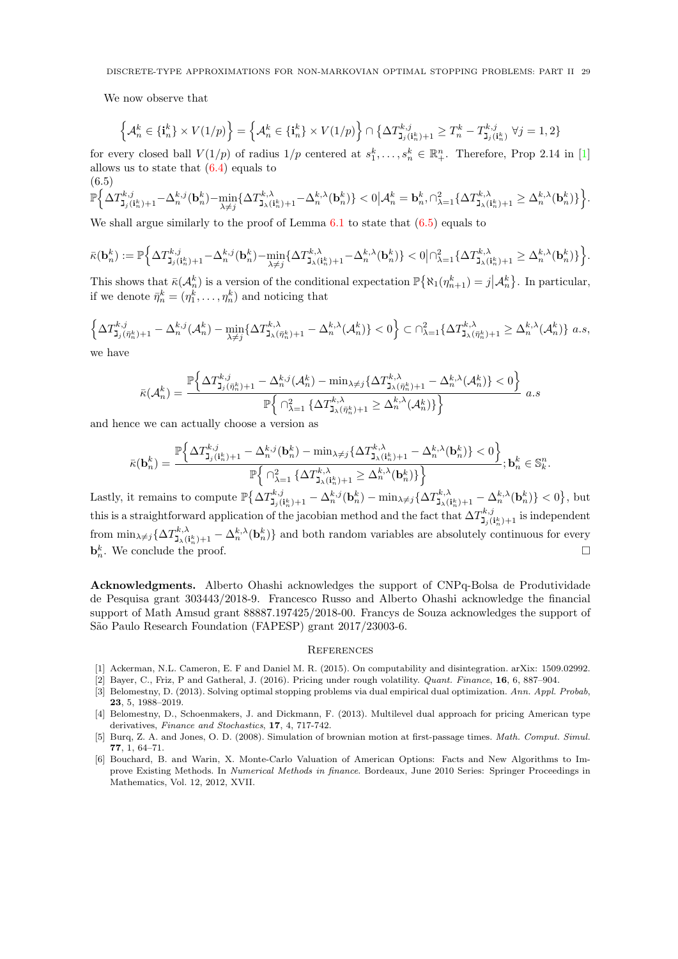We now observe that

$$
\left\{\mathcal{A}^k_n\in\{\textbf{i}^k_n\}\times V(1/p)\right\}=\left\{\mathcal{A}^k_n\in\{\textbf{i}^k_n\}\times V(1/p)\right\}\cap\left\{\Delta T^{k,j}_{\mathbf{j}_j(\mathbf{i}^k_n)+1}\geq T^k_n-T^{k,j}_{\mathbf{j}_j(\mathbf{i}^k_n)}\;\forall j=1,2\right\}
$$

for every closed ball  $V(1/p)$  of radius  $1/p$  centered at  $s_1^k, \ldots, s_n^k \in \mathbb{R}_+^n$ . Therefore, Prop 2.14 in [\[1\]](#page-28-5) allows us to state that  $(6.4)$  equals to  $(6.5)$ 

<span id="page-28-6"></span>
$$
\mathbb{P}\Big\{\Delta T^{k,j}_{\mathtt{J}_j(\mathbf{i}^k_n)+1}-\Delta^{k,j}_n(\mathbf{b}^k_n)-\min_{\lambda\neq j}\{\Delta T^{k,\lambda}_{\mathtt{J}_\lambda(\mathbf{i}^k_n)+1}-\Delta^{k,\lambda}_n(\mathbf{b}^k_n)\}<0\big|\mathcal{A}^k_n=\mathbf{b}^k_n,\cap_{\lambda=1}^2\{\Delta T^{k,\lambda}_{\mathtt{J}_\lambda(\mathbf{i}^k_n)+1}\geq \Delta^{k,\lambda}_n(\mathbf{b}^k_n)\}\Big\}.
$$

We shall argue similarly to the proof of Lemma  $6.1$  to state that  $(6.5)$  equals to

$$
\bar{\kappa}(\mathbf{b}^k_n) := \mathbb{P}\Big\{\Delta T^{k,j}_{\mathbf{J}_j(\mathbf{i}^k_n)+1} - \Delta^{k,j}_n(\mathbf{b}^k_n) - \min_{\lambda \neq j}\{\Delta T^{k,\lambda}_{\mathbf{J}_\lambda(\mathbf{i}^k_n)+1} - \Delta^{k,\lambda}_n(\mathbf{b}^k_n)\} < 0 \big| \cap_{\lambda=1}^2 \{\Delta T^{k,\lambda}_{\mathbf{J}_\lambda(\mathbf{i}^k_n)+1} \geq \Delta^{k,\lambda}_n(\mathbf{b}^k_n)\} \Big\}.
$$

This shows that  $\bar{\kappa}(\mathcal{A}_n^k)$  is a version of the conditional expectation  $\mathbb{P}\{\aleph_1(\eta_{n+1}^k) = j | \mathcal{A}_n^k\}$ . In particular, if we denote  $\bar{\eta}_n^k = (\eta_1^k, \dots, \eta_n^k)$  and noticing that

$$
\left\{\Delta T_{\mathbf{J}_j(\bar{\eta}_n^k)+1}^{k,j} - \Delta_n^{k,j}(\mathcal{A}_n^k) - \min_{\lambda \neq j} \{\Delta T_{\mathbf{J}_\lambda(\bar{\eta}_n^k)+1}^{k,\lambda} - \Delta_n^{k,\lambda}(\mathcal{A}_n^k)\} < 0\right\} \subset \bigcap_{\lambda=1}^2 \{\Delta T_{\mathbf{J}_\lambda(\bar{\eta}_n^k)+1}^{k,\lambda} \ge \Delta_n^{k,\lambda}(\mathcal{A}_n^k)\} \text{ a.s.}
$$

we have

$$
\bar{\kappa}(\mathcal{A}^k_n) = \frac{\mathbb{P}\Big\{ \Delta T^{k,j}_{\mathbf{J}_j(\bar{\eta}^k_n)+1} - \Delta^{k,j}_n(\mathcal{A}^k_n) - \min_{\lambda \neq j} \{ \Delta T^{k,\lambda}_{\mathbf{J}_\lambda(\bar{\eta}^k_n)+1} - \Delta^{k,\lambda}_n(\mathcal{A}^k_n) \} < 0 \Big\}}{\mathbb{P}\Big\{\cap_{\lambda=1}^2 \{ \Delta T^{k,\lambda}_{\mathbf{J}_\lambda(\bar{\eta}^k_n)+1} \geq \Delta^{k,\lambda}_n(\mathcal{A}^k_n) \} \Big\}} \quad a.s
$$

and hence we can actually choose a version as

$$
\bar{\kappa}(\mathbf{b}_{n}^{k}) = \frac{\mathbb{P}\Big\{\Delta T_{\mathbf{J}_{j}(\mathbf{i}_{n}^{k})+1}^{k,j} - \Delta_{n}^{k,j}(\mathbf{b}_{n}^{k}) - \min_{\lambda \neq j} \{\Delta T_{\mathbf{J}_{\lambda}(\mathbf{i}_{n}^{k})+1}^{k,\lambda} - \Delta_{n}^{k,\lambda}(\mathbf{b}_{n}^{k})\} < 0\Big\}}{\mathbb{P}\Big\{\bigcap_{\lambda=1}^{2} \{\Delta T_{\mathbf{J}_{\lambda}(\mathbf{i}_{n}^{k})+1}^{k,\lambda} \geq \Delta_{n}^{k,\lambda}(\mathbf{b}_{n}^{k})\}\Big\}}; \mathbf{b}_{n}^{k} \in \mathbb{S}_{k}^{n}.
$$

Lastly, it remains to compute  $\mathbb{P}\left\{\Delta T_{\mathbf{J}_j(\mathbf{i}_n^k)+1}^{k,j} - \Delta_n^{k,j}(\mathbf{b}_n^k) - \min_{\lambda \neq j} \{\Delta T_{\mathbf{J}_{\lambda}(\mathbf{i}_n^k)+1}^{k,\lambda} - \Delta_n^{k,\lambda}(\mathbf{b}_n^k)\} \right\}<0\right\}$ , but this is a straightforward application of the jacobian method and the fact that  $\Delta T_{\mathbf{J}_j(i_n^k)+1}^{k,j}$  is independent from  $\min_{\lambda \neq j} \{ \Delta T_{\lambda, (i_n^k)+1}^{k,\lambda} - \Delta_n^{k,\lambda}(\mathbf{b}_n^k) \}$  and both random variables are absolutely continuous for every  $\mathbf{b}_n^k$ . We conclude the proof.

Acknowledgments. Alberto Ohashi acknowledges the support of CNPq-Bolsa de Produtividade de Pesquisa grant 303443/2018-9. Francesco Russo and Alberto Ohashi acknowledge the financial support of Math Amsud grant 88887.197425/2018-00. Francys de Souza acknowledges the support of São Paulo Research Foundation (FAPESP) grant 2017/23003-6.

#### **REFERENCES**

- <span id="page-28-5"></span>[1] Ackerman, N.L. Cameron, E. F and Daniel M. R. (2015). On computability and disintegration. arXix: 1509.02992.
- <span id="page-28-3"></span>[2] Bayer, C., Friz, P and Gatheral, J. (2016). Pricing under rough volatility. Quant. Finance, 16, 6, 887–904.
- <span id="page-28-1"></span>[3] Belomestny, D. (2013). Solving optimal stopping problems via dual empirical dual optimization. Ann. Appl. Probab, 23, 5, 1988–2019.
- <span id="page-28-2"></span>[4] Belomestny, D., Schoenmakers, J. and Dickmann, F. (2013). Multilevel dual approach for pricing American type derivatives, Finance and Stochastics, 17, 4, 717-742.
- <span id="page-28-4"></span>[5] Burq, Z. A. and Jones, O. D. (2008). Simulation of brownian motion at first-passage times. Math. Comput. Simul. 77, 1, 64–71.
- <span id="page-28-0"></span>[6] Bouchard, B. and Warin, X. Monte-Carlo Valuation of American Options: Facts and New Algorithms to Improve Existing Methods. In Numerical Methods in finance. Bordeaux, June 2010 Series: Springer Proceedings in Mathematics, Vol. 12, 2012, XVII.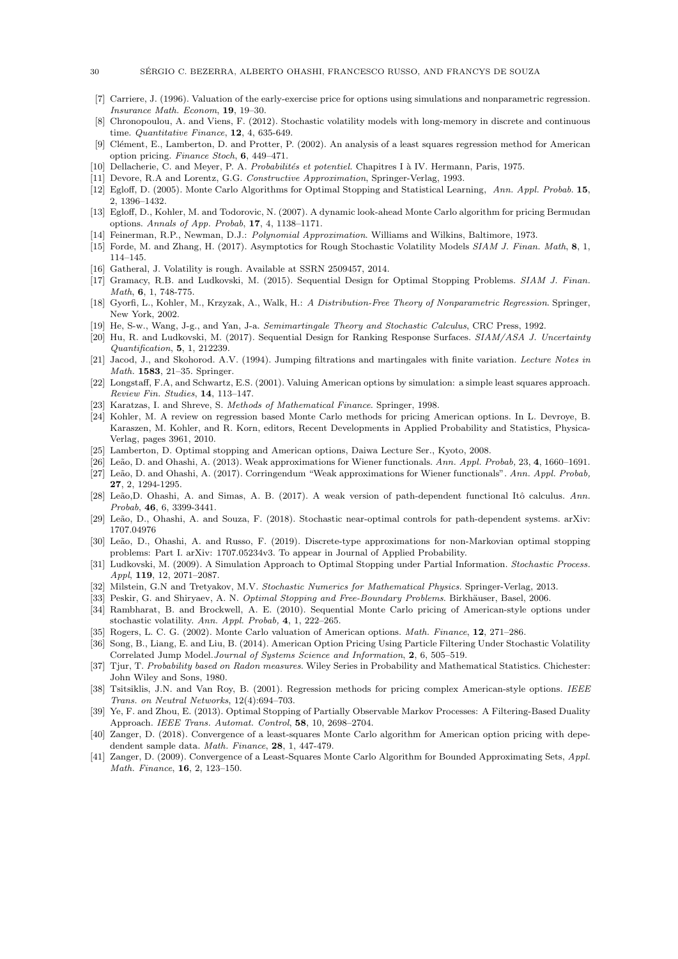- <span id="page-29-5"></span>[7] Carriere, J. (1996). Valuation of the early-exercise price for options using simulations and nonparametric regression. Insurance Math. Econom, 19, 19–30.
- <span id="page-29-20"></span>[8] Chronopoulou, A. and Viens, F. (2012). Stochastic volatility models with long-memory in discrete and continuous time. Quantitative Finance, 12, 4, 635-649.
- <span id="page-29-8"></span>[9] Clément, E., Lamberton, D. and Protter, P. (2002). An analysis of a least squares regression method for American option pricing. Finance Stoch, 6, 449–471.
- <span id="page-29-30"></span>[10] Dellacherie, C. and Meyer, P. A. Probabilités et potentiel. Chapitres I à IV. Hermann, Paris, 1975.
- <span id="page-29-31"></span>[11] Devore, R.A and Lorentz, G.G. Constructive Approximation, Springer-Verlag, 1993.
- <span id="page-29-9"></span>[12] Egloff, D. (2005). Monte Carlo Algorithms for Optimal Stopping and Statistical Learning, Ann. Appl. Probab. 15, 2, 1396–1432.
- <span id="page-29-27"></span>[13] Egloff, D., Kohler, M. and Todorovic, N. (2007). A dynamic look-ahead Monte Carlo algorithm for pricing Bermudan options. Annals of App. Probab, 17, 4, 1138–1171.
- <span id="page-29-33"></span>[14] Feinerman, R.P., Newman, D.J.: Polynomial Approximation. Williams and Wilkins, Baltimore, 1973.
- <span id="page-29-21"></span>[15] Forde, M. and Zhang, H. (2017). Asymptotics for Rough Stochastic Volatility Models SIAM J. Finan. Math, 8, 1, 114–145.
- <span id="page-29-19"></span>[16] Gatheral, J. Volatility is rough. Available at SSRN 2509457, 2014.
- <span id="page-29-12"></span>[17] Gramacy, R.B. and Ludkovski, M. (2015). Sequential Design for Optimal Stopping Problems. SIAM J. Finan. Math, 6, 1, 748-775.
- <span id="page-29-32"></span>[18] Gyorfi, L., Kohler, M., Krzyzak, A., Walk, H.: A Distribution-Free Theory of Nonparametric Regression. Springer, New York, 2002.
- <span id="page-29-28"></span>[19] He, S-w., Wang, J-g., and Yan, J-a. Semimartingale Theory and Stochastic Calculus, CRC Press, 1992.
- <span id="page-29-13"></span>[20] Hu, R. and Ludkovski, M. (2017). Sequential Design for Ranking Response Surfaces. SIAM/ASA J. Uncertainty Quantification, 5, 1, 212239.
- <span id="page-29-29"></span>[21] Jacod, J., and Skohorod. A.V. (1994). Jumping filtrations and martingales with finite variation. Lecture Notes in Math. 1583, 21–35. Springer.
- <span id="page-29-7"></span>[22] Longstaff, F.A, and Schwartz, E.S. (2001). Valuing American options by simulation: a simple least squares approach. Review Fin. Studies, 14, 113–147.
- <span id="page-29-1"></span>[23] Karatzas, I. and Shreve, S. Methods of Mathematical Finance. Springer, 1998.
- <span id="page-29-4"></span>[24] Kohler, M. A review on regression based Monte Carlo methods for pricing American options. In L. Devroye, B. Karaszen, M. Kohler, and R. Korn, editors, Recent Developments in Applied Probability and Statistics, Physica-Verlag, pages 3961, 2010.
- <span id="page-29-2"></span>[25] Lamberton, D. Optimal stopping and American options, Daiwa Lecture Ser., Kyoto, 2008.
- <span id="page-29-22"></span>[26] Leão, D. and Ohashi, A. (2013). Weak approximations for Wiener functionals. Ann. Appl. Probab, 23, 4, 1660–1691.
- <span id="page-29-23"></span>[27] Leão, D. and Ohashi, A. (2017). Corringendum "Weak approximations for Wiener functionals". Ann. Appl. Probab, 27, 2, 1294-1295.
- <span id="page-29-24"></span>[28] Leão,D. Ohashi, A. and Simas, A. B. (2017). A weak version of path-dependent functional Itô calculus. Ann. Probab, 46, 6, 3399-3441.
- <span id="page-29-26"></span>[29] Leão, D., Ohashi, A. and Souza, F. (2018). Stochastic near-optimal controls for path-dependent systems. arXiv: 1707.04976
- <span id="page-29-0"></span>[30] Leão, D., Ohashi, A. and Russo, F. (2019). Discrete-type approximations for non-Markovian optimal stopping problems: Part I. arXiv: 1707.05234v3. To appear in Journal of Applied Probability.
- <span id="page-29-16"></span>[31] Ludkovski, M. (2009). A Simulation Approach to Optimal Stopping under Partial Information. Stochastic Process. Appl, 119, 12, 2071–2087.
- <span id="page-29-25"></span>[32] Milstein, G.N and Tretyakov, M.V. Stochastic Numerics for Mathematical Physics. Springer-Verlag, 2013.
- <span id="page-29-3"></span>[33] Peskir, G. and Shiryaev, A. N. Optimal Stopping and Free-Boundary Problems. Birkhäuser, Basel, 2006.
- <span id="page-29-15"></span>[34] Rambharat, B. and Brockwell, A. E. (2010). Sequential Monte Carlo pricing of American-style options under stochastic volatility. Ann. Appl. Probab, 4, 1, 222–265.
- <span id="page-29-14"></span>[35] Rogers, L. C. G. (2002). Monte Carlo valuation of American options. *Math. Finance*, 12, 271–286.
- <span id="page-29-17"></span>[36] Song, B., Liang, E. and Liu, B. (2014). American Option Pricing Using Particle Filtering Under Stochastic Volatility Correlated Jump Model.Journal of Systems Science and Information, 2, 6, 505–519.
- <span id="page-29-34"></span>[37] Tjur, T. Probability based on Radon measures. Wiley Series in Probability and Mathematical Statistics. Chichester: John Wiley and Sons, 1980.
- <span id="page-29-6"></span>[38] Tsitsiklis, J.N. and Van Roy, B. (2001). Regression methods for pricing complex American-style options. IEEE Trans. on Neutral Networks, 12(4):694–703.
- <span id="page-29-18"></span>[39] Ye, F. and Zhou, E. (2013). Optimal Stopping of Partially Observable Markov Processes: A Filtering-Based Duality Approach. IEEE Trans. Automat. Control, 58, 10, 2698–2704.
- <span id="page-29-10"></span>[40] Zanger, D. (2018). Convergence of a least-squares Monte Carlo algorithm for American option pricing with depedendent sample data. Math. Finance, 28, 1, 447-479.
- <span id="page-29-11"></span>[41] Zanger, D. (2009). Convergence of a Least-Squares Monte Carlo Algorithm for Bounded Approximating Sets, Appl. Math. Finance, 16, 2, 123–150.